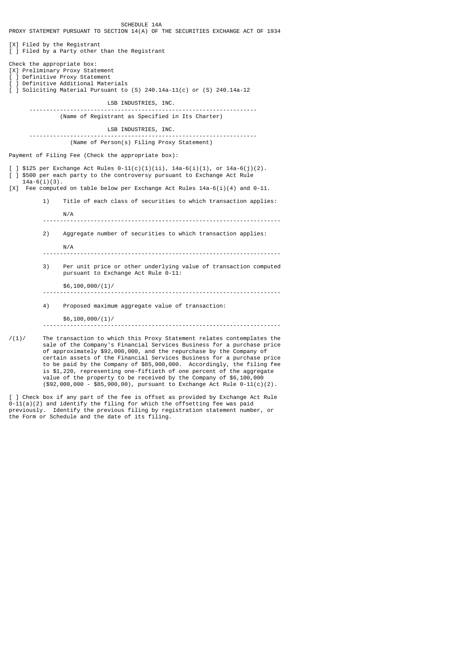PROXY STATEMENT PURSUANT TO SECTION 14(A) OF THE SECURITIES EXCHANGE ACT OF 1934 [X] Filed by the Registrant  $\overline{1}$  Filed by a Party other than the Registrant Check the appropriate box: [X] Preliminary Proxy Statement [ ] Definitive Proxy Statement [ ] Definitive Additional Materials [ ] Soliciting Material Pursuant to (S) 240.14a-11(c) or (S) 240.14a-12 LSB INDUSTRIES, INC. ------------------------------------------------------------------- (Name of Registrant as Specified in Its Charter) LSB INDUSTRIES, INC. ------------------------------------------------------------------- (Name of Person(s) Filing Proxy Statement) Payment of Filing Fee (Check the appropriate box): ] \$125 per Exchange Act Rules  $0-11(c)(1)(ii)$ , 14a-6(i)(1), or 14a-6(j)(2). [ ] \$500 per each party to the controversy pursuant to Exchange Act Rule  $14a-6(i)(3)$ . [X] Fee computed on table below per Exchange Act Rules  $14a-6(i)(4)$  and  $0-11$ . 1) Title of each class of securities to which transaction applies: N/A ---------------------------------------------------------------------- 2) Aggregate number of securities to which transaction applies: N/A ---------------------------------------------------------------------- 3) Per unit price or other underlying value of transaction computed pursuant to Exchange Act Rule 0-11:  $$6,100,000/(1)$ / ---------------------------------------------------------------------- 4) Proposed maximum aggregate value of transaction: \$6,100,000/(1)/ ----------------------------------------------------------------------  $/(1)$ / The transaction to which this Proxy Statement relates contemplates the sale of the Company's Financial Services Business for a purchase price of approximately \$92,000,000, and the repurchase by the Company of certain assets of the Financial Services Business for a purchase price to be paid by the Company of \$85,900,000. Accordingly, the filing fee

SCHEDULE 14A

] Check box if any part of the fee is offset as provided by Exchange Act Rule 0-11(a)(2) and identify the filing for which the offsetting fee was paid previously. Identify the previous filing by registration statement number, or the Form or Schedule and the date of its filing.

 is \$1,220, representing one-fiftieth of one percent of the aggregate value of the property to be received by the Company of \$6,100,000 (\$92,000,000 - \$85,900,00), pursuant to Exchange Act Rule 0-11(c)(2).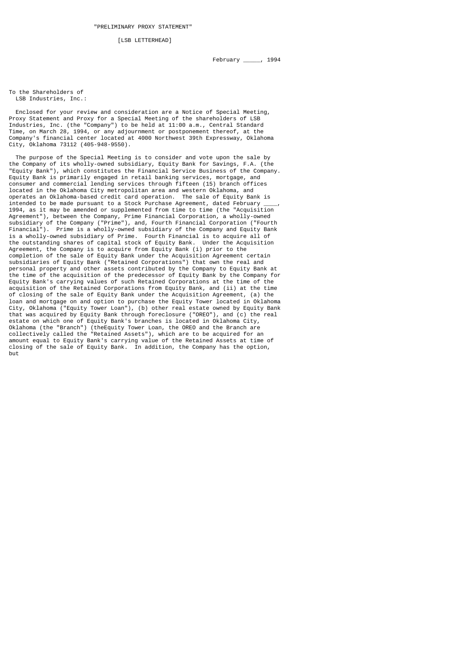[LSB LETTERHEAD]

To the Shareholders of LSB Industries, Inc.:

 Enclosed for your review and consideration are a Notice of Special Meeting, Proxy Statement and Proxy for a Special Meeting of the shareholders of LSB Industries, Inc. (the "Company") to be held at 11:00 a.m., Central Standard Time, on March 28, 1994, or any adjournment or postponement thereof, at the Company's financial center located at 4000 Northwest 39th Expressway, Oklahoma City, Oklahoma 73112 (405-948-9550).

 The purpose of the Special Meeting is to consider and vote upon the sale by the Company of its wholly-owned subsidiary, Equity Bank for Savings, F.A. (the "Equity Bank"), which constitutes the Financial Service Business of the Company. Equity Bank is primarily engaged in retail banking services, mortgage, and consumer and commercial lending services through fifteen (15) branch offices located in the Oklahoma City metropolitan area and western Oklahoma, and operates an Oklahoma-based credit card operation. The sale of Equity Bank is intended to be made pursuant to a Stock Purchase Agreement, dated February \_\_\_\_, 1994, as it may be amended or supplemented from time to time (the "Acquisition Agreement"), between the Company, Prime Financial Corporation, a wholly-owned subsidiary of the Company ("Prime"), and, Fourth Financial Corporation ("Fourth Financial"). Prime is a wholly-owned subsidiary of the Company and Equity Bank is a wholly-owned subsidiary of Prime. Fourth Financial is to acquire all of the outstanding shares of capital stock of Equity Bank. Under the Acquisition Agreement, the Company is to acquire from Equity Bank (i) prior to the completion of the sale of Equity Bank under the Acquisition Agreement certain subsidiaries of Equity Bank ("Retained Corporations") that own the real and personal property and other assets contributed by the Company to Equity Bank at the time of the acquisition of the predecessor of Equity Bank by the Company for Equity Bank's carrying values of such Retained Corporations at the time of the acquisition of the Retained Corporations from Equity Bank, and (ii) at the time of closing of the sale of Equity Bank under the Acquisition Agreement, (a) the loan and mortgage on and option to purchase the Equity Tower located in Oklahoma City, Oklahoma ("Equity Tower Loan"), (b) other real estate owned by Equity Bank that was acquired by Equity Bank through foreclosure ("OREO"), and (c) the real estate on which one of Equity Bank's branches is located in Oklahoma City, Oklahoma (the "Branch") (theEquity Tower Loan, the OREO and the Branch are collectively called the "Retained Assets"), which are to be acquired for an amount equal to Equity Bank's carrying value of the Retained Assets at time of closing of the sale of Equity Bank. In addition, the Company has the option, but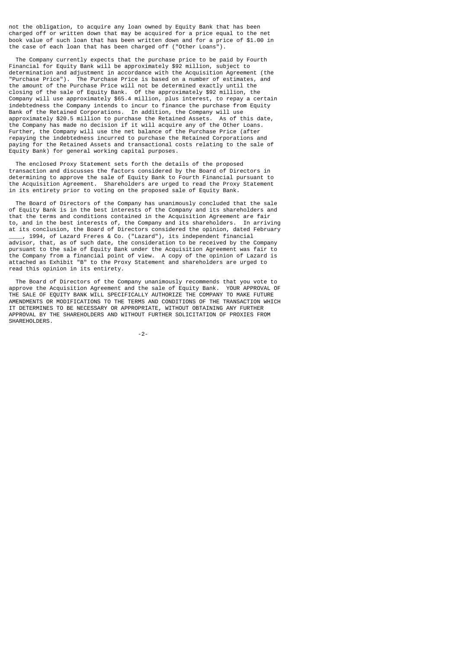not the obligation, to acquire any loan owned by Equity Bank that has been charged off or written down that may be acquired for a price equal to the net book value of such loan that has been written down and for a price of \$1.00 in the case of each loan that has been charged off ("Other Loans").

 The Company currently expects that the purchase price to be paid by Fourth Financial for Equity Bank will be approximately \$92 million, subject to determination and adjustment in accordance with the Acquisition Agreement (the "Purchase Price"). The Purchase Price is based on a number of estimates, and the amount of the Purchase Price will not be determined exactly until the closing of the sale of Equity Bank. Of the approximately \$92 million, the Company will use approximately \$65.4 million, plus interest, to repay a certain indebtedness the Company intends to incur to finance the purchase from Equity Bank of the Retained Corporations. In addition, the Company will use approximately \$20.5 million to purchase the Retained Assets. As of this date, the Company has made no decision if it will acquire any of the Other Loans. Further, the Company will use the net balance of the Purchase Price (after repaying the indebtedness incurred to purchase the Retained Corporations and paying for the Retained Assets and transactional costs relating to the sale of Equity Bank) for general working capital purposes.

 The enclosed Proxy Statement sets forth the details of the proposed transaction and discusses the factors considered by the Board of Directors in determining to approve the sale of Equity Bank to Fourth Financial pursuant to the Acquisition Agreement. Shareholders are urged to read the Proxy Statement in its entirety prior to voting on the proposed sale of Equity Bank.

 The Board of Directors of the Company has unanimously concluded that the sale of Equity Bank is in the best interests of the Company and its shareholders and that the terms and conditions contained in the Acquisition Agreement are fair to, and in the best interests of, the Company and its shareholders. In arriving at its conclusion, the Board of Directors considered the opinion, dated February \_\_\_\_, 1994, of Lazard Freres & Co. ("Lazard"), its independent financial advisor, that, as of such date, the consideration to be received by the Company pursuant to the sale of Equity Bank under the Acquisition Agreement was fair to the Company from a financial point of view. A copy of the opinion of Lazard is attached as Exhibit "B" to the Proxy Statement and shareholders are urged to read this opinion in its entirety.

 The Board of Directors of the Company unanimously recommends that you vote to approve the Acquisition Agreement and the sale of Equity Bank. YOUR APPROVAL OF THE SALE OF EQUITY BANK WILL SPECIFICALLY AUTHORIZE THE COMPANY TO MAKE FUTURE AMENDMENTS OR MODIFICATIONS TO THE TERMS AND CONDITIONS OF THE TRANSACTION WHICH IT DETERMINES TO BE NECESSARY OR APPROPRIATE, WITHOUT OBTAINING ANY FURTHER APPROVAL BY THE SHAREHOLDERS AND WITHOUT FURTHER SOLICITATION OF PROXIES FROM SHAREHOLDERS.

-2-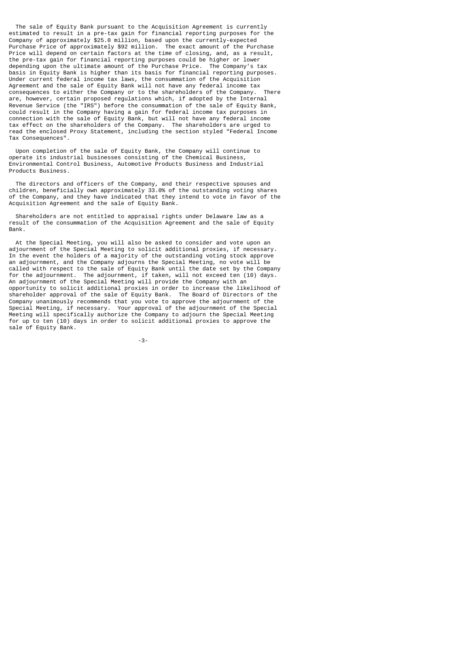The sale of Equity Bank pursuant to the Acquisition Agreement is currently estimated to result in a pre-tax gain for financial reporting purposes for the Company of approximately \$25.0 million, based upon the currently-expected Purchase Price of approximately \$92 million. The exact amount of the Purchase Price will depend on certain factors at the time of closing, and, as a result, the pre-tax gain for financial reporting purposes could be higher or lower depending upon the ultimate amount of the Purchase Price. The Company's tax basis in Equity Bank is higher than its basis for financial reporting purposes. Under current federal income tax laws, the consummation of the Acquisition Agreement and the sale of Equity Bank will not have any federal income tax<br>consequences to either the Company or to the shareholders of the Company. There consequences to either the Company or to the shareholders of the Company. are, however, certain proposed regulations which, if adopted by the Internal Revenue Service (the "IRS") before the consummation of the sale of Equity Bank, could result in the Company having a gain for federal income tax purposes in connection with the sale of Equity Bank, but will not have any federal income tax effect on the shareholders of the Company. The shareholders are urged to read the enclosed Proxy Statement, including the section styled "Federal Income Tax Consequences".

 Upon completion of the sale of Equity Bank, the Company will continue to operate its industrial businesses consisting of the Chemical Business, Environmental Control Business, Automotive Products Business and Industrial Products Business.

 The directors and officers of the Company, and their respective spouses and children, beneficially own approximately 33.0% of the outstanding voting shares of the Company, and they have indicated that they intend to vote in favor of the Acquisition Agreement and the sale of Equity Bank.

 Shareholders are not entitled to appraisal rights under Delaware law as a result of the consummation of the Acquisition Agreement and the sale of Equity Bank.

 At the Special Meeting, you will also be asked to consider and vote upon an adjournment of the Special Meeting to solicit additional proxies, if necessary. In the event the holders of a majority of the outstanding voting stock approve an adjournment, and the Company adjourns the Special Meeting, no vote will be called with respect to the sale of Equity Bank until the date set by the Company for the adjournment. The adjournment, if taken, will not exceed ten (10) days. An adjournment of the Special Meeting will provide the Company with an opportunity to solicit additional proxies in order to increase the likelihood of shareholder approval of the sale of Equity Bank. The Board of Directors of the Company unanimously recommends that you vote to approve the adjournment of the Special Meeting, if necessary. Your approval of the adjournment of the Special Meeting will specifically authorize the Company to adjourn the Special Meeting for up to ten (10) days in order to solicit additional proxies to approve the sale of Equity Bank.

-3-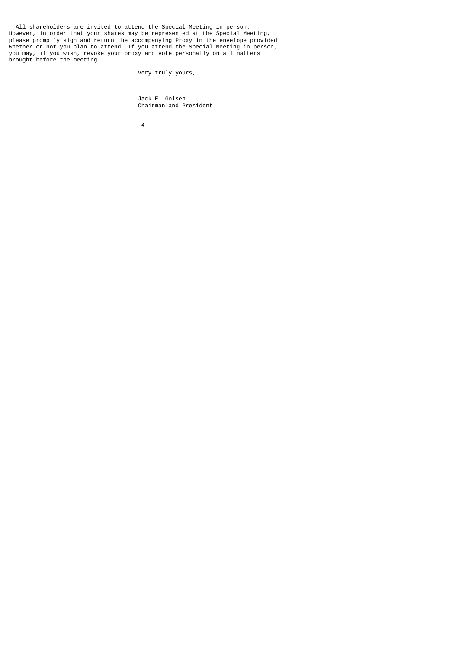All shareholders are invited to attend the Special Meeting in person. However, in order that your shares may be represented at the Special Meeting, please promptly sign and return the accompanying Proxy in the envelope provided whether or not you plan to attend. If you attend the Special Meeting in person, you may, if you wish, revoke your proxy and vote personally on all matters brought before the meeting.

Very truly yours,

 Jack E. Golsen Chairman and President

-4-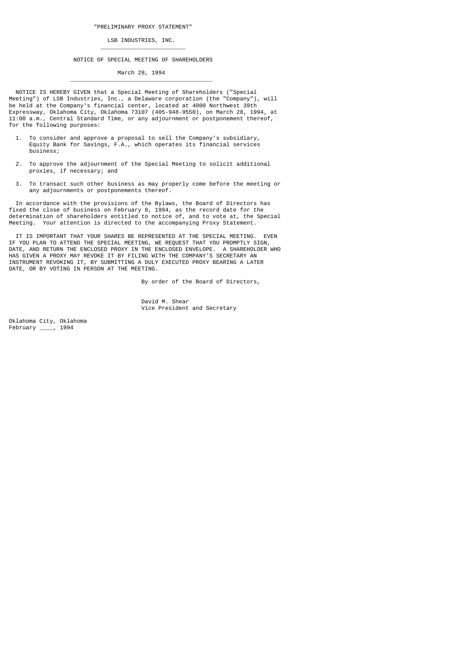## LSB INDUSTRIES, INC.

\_\_\_\_\_\_\_\_\_\_\_\_\_\_\_\_\_\_\_\_\_\_\_\_\_

 $\overline{\phantom{a}}$  ,  $\overline{\phantom{a}}$  ,  $\overline{\phantom{a}}$  ,  $\overline{\phantom{a}}$  ,  $\overline{\phantom{a}}$  ,  $\overline{\phantom{a}}$  ,  $\overline{\phantom{a}}$  ,  $\overline{\phantom{a}}$  ,  $\overline{\phantom{a}}$  ,  $\overline{\phantom{a}}$  ,  $\overline{\phantom{a}}$  ,  $\overline{\phantom{a}}$  ,  $\overline{\phantom{a}}$  ,  $\overline{\phantom{a}}$  ,  $\overline{\phantom{a}}$  ,  $\overline{\phantom{a}}$ 

#### NOTICE OF SPECIAL MEETING OF SHAREHOLDERS

March 28, 1994

 NOTICE IS HEREBY GIVEN that a Special Meeting of Shareholders ("Special Meeting") of LSB Industries, Inc., a Delaware corporation (the "Company"), will be held at the Company's financial center, located at 4000 Northwest 39th Expressway, Oklahoma City, Oklahoma 73107 (405-948-9550), on March 28, 1994, at 11:00 a.m., Central Standard Time, or any adjournment or postponement thereof, for the following purposes:

- 1. To consider and approve a proposal to sell the Company's subsidiary, Equity Bank for Savings, F.A., which operates its financial services business;
- 2. To approve the adjournment of the Special Meeting to solicit additional proxies, if necessary; and
- 3. To transact such other business as may properly come before the meeting or any adjournments or postponements thereof.

 In accordance with the provisions of the Bylaws, the Board of Directors has fixed the close of business on February 8, 1994, as the record date for the determination of shareholders entitled to notice of, and to vote at, the Special Meeting. Your attention is directed to the accompanying Proxy Statement.

 IT IS IMPORTANT THAT YOUR SHARES BE REPRESENTED AT THE SPECIAL MEETING. EVEN IF YOU PLAN TO ATTEND THE SPECIAL MEETING, WE REQUEST THAT YOU PROMPTLY SIGN, DATE, AND RETURN THE ENCLOSED PROXY IN THE ENCLOSED ENVELOPE. A SHAREHOLDER WHO HAS GIVEN A PROXY MAY REVOKE IT BY FILING WITH THE COMPANY'S SECRETARY AN INSTRUMENT REVOKING IT, BY SUBMITTING A DULY EXECUTED PROXY BEARING A LATER DATE, OR BY VOTING IN PERSON AT THE MEETING.

By order of the Board of Directors,

 David M. Shear Vice President and Secretary

Oklahoma City, Oklahoma<br>February \_\_\_ , 1994 February \_\_\_\_, 1994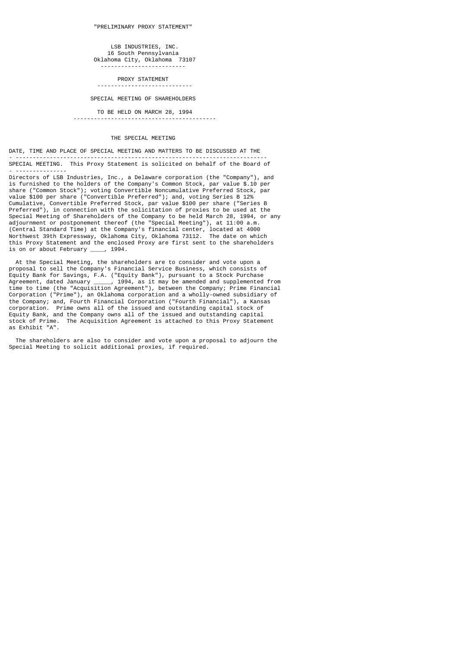LSB INDUSTRIES, INC. 16 South Pennsylvania Oklahoma City, Oklahoma 73107 -------------------------

PROXY STATEMENT

#### ----------------------------

## SPECIAL MEETING OF SHAREHOLDERS

# TO BE HELD ON MARCH 28, 1994

## THE SPECIAL MEETING

## DATE, TIME AND PLACE OF SPECIAL MEETING AND MATTERS TO BE DISCUSSED AT THE

------------------------------------------

- -------------------------------------------------------------------------- SPECIAL MEETING. This Proxy Statement is solicited on behalf of the Board of - ---------------

Directors of LSB Industries, Inc., a Delaware corporation (the "Company"), and is furnished to the holders of the Company's Common Stock, par value \$.10 per share ("Common Stock"); voting Convertible Noncumulative Preferred Stock, par value \$100 per share ("Convertible Preferred"); and, voting Series B 12% Cumulative, Convertible Preferred Stock, par value \$100 per share ("Series B Preferred"), in connection with the solicitation of proxies to be used at the Special Meeting of Shareholders of the Company to be held March 28, 1994, or any adjournment or postponement thereof (the "Special Meeting"), at 11:00 a.m. (Central Standard Time) at the Company's financial center, located at 4000 Northwest 39th Expressway, Oklahoma City, Oklahoma 73112. The date on which this Proxy Statement and the enclosed Proxy are first sent to the shareholders is on or about February \_\_\_\_, 1994. is on or about February

 At the Special Meeting, the shareholders are to consider and vote upon a proposal to sell the Company's Financial Service Business, which consists of Equity Bank for Savings, F.A. ("Equity Bank"), pursuant to a Stock Purchase Agreement, dated January \_\_\_\_\_, 1994, as it may be amended and supplemented from time to time (the "Acquisition Agreement"), between the Company; Prime Financial Corporation ("Prime"), an Oklahoma corporation and a wholly-owned subsidiary of the Company; and, Fourth Financial Corporation ("Fourth Financial"), a Kansas corporation. Prime owns all of the issued and outstanding capital stock of Equity Bank, and the Company owns all of the issued and outstanding capital stock of Prime. The Acquisition Agreement is attached to this Proxy Statement as Exhibit "A".

 The shareholders are also to consider and vote upon a proposal to adjourn the Special Meeting to solicit additional proxies, if required.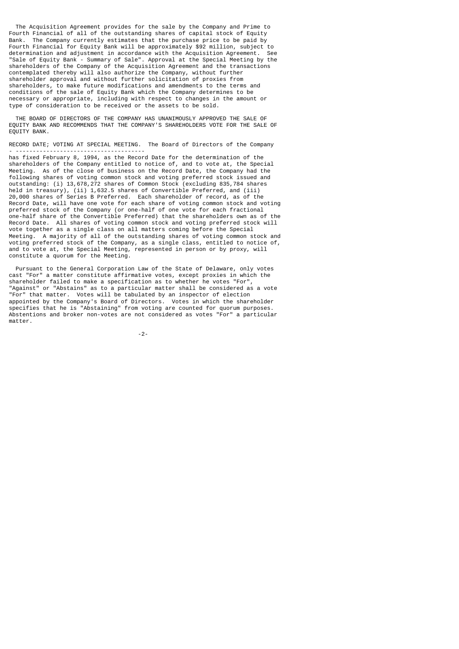The Acquisition Agreement provides for the sale by the Company and Prime to Fourth Financial of all of the outstanding shares of capital stock of Equity Bank. The Company currently estimates that the purchase price to be paid by Fourth Financial for Equity Bank will be approximately \$92 million, subject to determination and adjustment in accordance with the Acquisition Agreement. See "Sale of Equity Bank - Summary of Sale". Approval at the Special Meeting by the shareholders of the Company of the Acquisition Agreement and the transactions contemplated thereby will also authorize the Company, without further shareholder approval and without further solicitation of proxies from shareholders, to make future modifications and amendments to the terms and conditions of the sale of Equity Bank which the Company determines to be necessary or appropriate, including with respect to changes in the amount or type of consideration to be received or the assets to be sold.

 THE BOARD OF DIRECTORS OF THE COMPANY HAS UNANIMOUSLY APPROVED THE SALE OF EQUITY BANK AND RECOMMENDS THAT THE COMPANY'S SHAREHOLDERS VOTE FOR THE SALE OF EQUITY BANK.

RECORD DATE; VOTING AT SPECIAL MEETING. The Board of Directors of the Company - --------------------------------------

has fixed February 8, 1994, as the Record Date for the determination of the shareholders of the Company entitled to notice of, and to vote at, the Special Meeting. As of the close of business on the Record Date, the Company had the following shares of voting common stock and voting preferred stock issued and outstanding: (i) 13,678,272 shares of Common Stock (excluding 835,784 shares held in treasury), (ii) 1,632.5 shares of Convertible Preferred, and (iii) 20,000 shares of Series B Preferred. Each shareholder of record, as of the Record Date, will have one vote for each share of voting common stock and voting preferred stock of the Company (or one-half of one vote for each fractional one-half share of the Convertible Preferred) that the shareholders own as of the Record Date. All shares of voting common stock and voting preferred stock will vote together as a single class on all matters coming before the Special Meeting. A majority of all of the outstanding shares of voting common stock and voting preferred stock of the Company, as a single class, entitled to notice of, and to vote at, the Special Meeting, represented in person or by proxy, will constitute a quorum for the Meeting.

 Pursuant to the General Corporation Law of the State of Delaware, only votes cast "For" a matter constitute affirmative votes, except proxies in which the shareholder failed to make a specification as to whether he votes "For" "Against" or "Abstains" as to a particular matter shall be considered as a vote "For" that matter. Votes will be tabulated by an inspector of election appointed by the Company's Board of Directors. Votes in which the shareholder specifies that he is "Abstaining" from voting are counted for quorum purposes. Abstentions and broker non-votes are not considered as votes "For" a particular matter.

-2-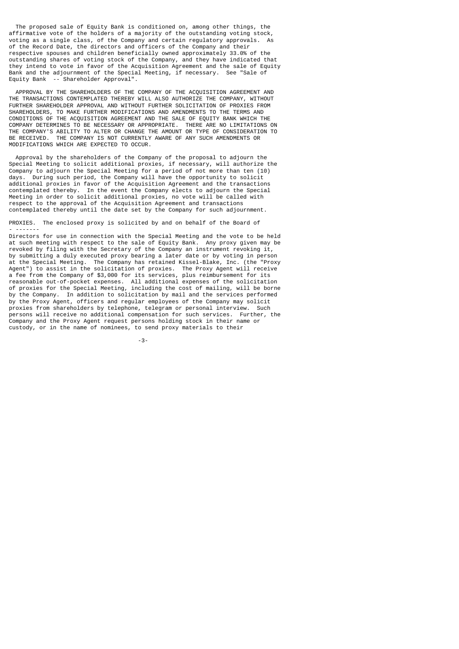The proposed sale of Equity Bank is conditioned on, among other things, the affirmative vote of the holders of a majority of the outstanding voting stock, voting as a single class, of the Company and certain regulatory approvals. As of the Record Date, the directors and officers of the Company and their respective spouses and children beneficially owned approximately 33.0% of the outstanding shares of voting stock of the Company, and they have indicated that they intend to vote in favor of the Acquisition Agreement and the sale of Equity Bank and the adjournment of the Special Meeting, if necessary. See "Sale of Equity Bank -- Shareholder Approval".

 APPROVAL BY THE SHAREHOLDERS OF THE COMPANY OF THE ACQUISITION AGREEMENT AND THE TRANSACTIONS CONTEMPLATED THEREBY WILL ALSO AUTHORIZE THE COMPANY, WITHOUT FURTHER SHAREHOLDER APPROVAL AND WITHOUT FURTHER SOLICITATION OF PROXIES FROM SHAREHOLDERS, TO MAKE FURTHER MODIFICATIONS AND AMENDMENTS TO THE TERMS AND CONDITIONS OF THE ACQUISITION AGREEMENT AND THE SALE OF EQUITY BANK WHICH THE COMPANY DETERMINES TO BE NECESSARY OR APPROPRIATE. THERE ARE NO LIMITATIONS ON THE COMPANY'S ABILITY TO ALTER OR CHANGE THE AMOUNT OR TYPE OF CONSIDERATION TO BE RECEIVED. THE COMPANY IS NOT CURRENTLY AWARE OF ANY SUCH AMENDMENTS OR MODIFICATIONS WHICH ARE EXPECTED TO OCCUR.

 Approval by the shareholders of the Company of the proposal to adjourn the Special Meeting to solicit additional proxies, if necessary, will authorize the Company to adjourn the Special Meeting for a period of not more than ten (10) During such period, the Company will have the opportunity to solicit additional proxies in favor of the Acquisition Agreement and the transactions contemplated thereby. In the event the Company elects to adjourn the Special Meeting in order to solicit additional proxies, no vote will be called with respect to the approval of the Acquisition Agreement and transactions contemplated thereby until the date set by the Company for such adjournment.

PROXIES. The enclosed proxy is solicited by and on behalf of the Board of

- -------

Directors for use in connection with the Special Meeting and the vote to be held at such meeting with respect to the sale of Equity Bank. Any proxy given may be revoked by filing with the Secretary of the Company an instrument revoking it, by submitting a duly executed proxy bearing a later date or by voting in person at the Special Meeting. The Company has retained Kissel-Blake, Inc. (the "Proxy Agent") to assist in the solicitation of proxies. The Proxy Agent will receive a fee from the Company of \$3,000 for its services, plus reimbursement for its reasonable out-of-pocket expenses. All additional expenses of the solicitation of proxies for the Special Meeting, including the cost of mailing, will be borne by the Company. In addition to solicitation by mail and the services performed by the Proxy Agent, officers and regular employees of the Company may solicit proxies from shareholders by telephone, telegram or personal interview. Such persons will receive no additional compensation for such services. Further, the Company and the Proxy Agent request persons holding stock in their name or custody, or in the name of nominees, to send proxy materials to their

-3-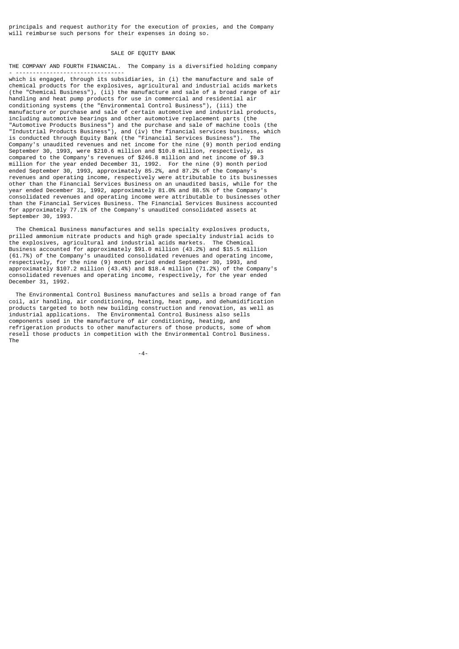principals and request authority for the execution of proxies, and the Company will reimburse such persons for their expenses in doing so.

## SALE OF EQUITY BANK

THE COMPANY AND FOURTH FINANCIAL. The Company is a diversified holding company - --------------------------------

which is engaged, through its subsidiaries, in (i) the manufacture and sale of chemical products for the explosives, agricultural and industrial acids markets (the "Chemical Business"), (ii) the manufacture and sale of a broad range of air handling and heat pump products for use in commercial and residential air conditioning systems (the "Environmental Control Business"), (iii) the manufacture or purchase and sale of certain automotive and industrial products, including automotive bearings and other automotive replacement parts (the "Automotive Products Business") and the purchase and sale of machine tools (the "Industrial Products Business"), and (iv) the financial services business, which is conducted through Equity Bank (the "Financial Services Business"). The Company's unaudited revenues and net income for the nine (9) month period ending September 30, 1993, were \$210.6 million and \$10.8 million, respectively, as compared to the Company's revenues of \$246.8 million and net income of \$9.3 million for the year ended December 31, 1992. For the nine (9) month period ended September 30, 1993, approximately 85.2%, and 87.2% of the Company's revenues and operating income, respectively were attributable to its businesses other than the Financial Services Business on an unaudited basis, while for the year ended December 31, 1992, approximately 81.0% and 88.5% of the Company's consolidated revenues and operating income were attributable to businesses other than the Financial Services Business. The Financial Services Business accounted for approximately 77.1% of the Company's unaudited consolidated assets at September 30, 1993.

 The Chemical Business manufactures and sells specialty explosives products, prilled ammonium nitrate products and high grade specialty industrial acids to the explosives, agricultural and industrial acids markets. The Chemical Business accounted for approximately \$91.0 million (43.2%) and \$15.5 million (61.7%) of the Company's unaudited consolidated revenues and operating income, respectively, for the nine (9) month period ended September 30, 1993, and approximately \$107.2 million (43.4%) and \$18.4 million (71.2%) of the Company's consolidated revenues and operating income, respectively, for the year ended December 31, 1992.

 The Environmental Control Business manufactures and sells a broad range of fan coil, air handling, air conditioning, heating, heat pump, and dehumidification products targeted to both new building construction and renovation, as well as industrial applications. The Environmental Control Business also sells components used in the manufacture of air conditioning, heating, and refrigeration products to other manufacturers of those products, some of whom resell those products in competition with the Environmental Control Business. The

-4-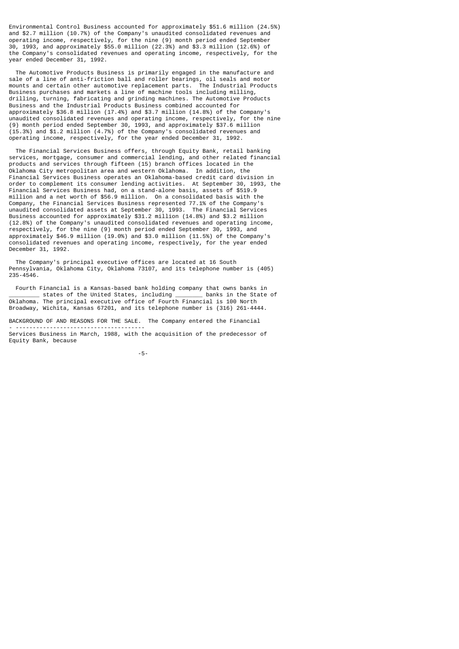Environmental Control Business accounted for approximately \$51.6 million (24.5%) and \$2.7 million (10.7%) of the Company's unaudited consolidated revenues and operating income, respectively, for the nine (9) month period ended September 30, 1993, and approximately \$55.0 million (22.3%) and \$3.3 million (12.6%) of the Company's consolidated revenues and operating income, respectively, for the year ended December 31, 1992.

 The Automotive Products Business is primarily engaged in the manufacture and sale of a line of anti-friction ball and roller bearings, oil seals and motor mounts and certain other automotive replacement parts. The Industrial Products Business purchases and markets a line of machine tools including milling, drilling, turning, fabricating and grinding machines. The Automotive Products Business and the Industrial Products Business combined accounted for approximately \$36.8 million (17.4%) and \$3.7 million (14.8%) of the Company's unaudited consolidated revenues and operating income, respectively, for the nine (9) month period ended September 30, 1993, and approximately \$37.6 million (15.3%) and \$1.2 million (4.7%) of the Company's consolidated revenues and operating income, respectively, for the year ended December 31, 1992.

 The Financial Services Business offers, through Equity Bank, retail banking services, mortgage, consumer and commercial lending, and other related financial products and services through fifteen (15) branch offices located in the Oklahoma City metropolitan area and western Oklahoma. In addition, the Financial Services Business operates an Oklahoma-based credit card division in order to complement its consumer lending activities. At September 30, 1993, the Financial Services Business had, on a stand-alone basis, assets of \$519.9 million and a net worth of \$56.9 million. On a consolidated basis with the Company, the Financial Services Business represented 77.1% of the Company's unaudited consolidated assets at September 30, 1993. The Financial Services Business accounted for approximately \$31.2 million (14.8%) and \$3.2 million (12.8%) of the Company's unaudited consolidated revenues and operating income, respectively, for the nine (9) month period ended September 30, 1993, and approximately \$46.9 million (19.0%) and \$3.0 million (11.5%) of the Company's consolidated revenues and operating income, respectively, for the year ended December 31, 1992.

 The Company's principal executive offices are located at 16 South Pennsylvania, Oklahoma City, Oklahoma 73107, and its telephone number is (405) 235-4546.

Fourth Financial is a Kansas-based bank holding company that owns banks in<br>\_\_\_\_\_\_\_\_\_ states of the United States, including \_\_\_\_\_\_\_\_\_\_ banks in the State of \_\_\_\_\_\_\_\_\_ states of the United States, including \_\_\_\_\_\_\_\_ banks in the State of Oklahoma. The principal executive office of Fourth Financial is 100 North Broadway, Wichita, Kansas 67201, and its telephone number is (316) 261-4444.

BACKGROUND OF AND REASONS FOR THE SALE. The Company entered the Financial - --------------------------------------

Services Business in March, 1988, with the acquisition of the predecessor of Equity Bank, because

-5-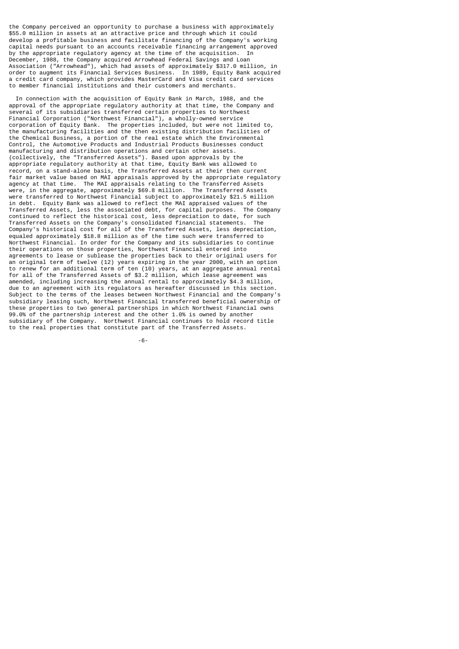the Company perceived an opportunity to purchase a business with approximately \$55.0 million in assets at an attractive price and through which it could develop a profitable business and facilitate financing of the Company's working capital needs pursuant to an accounts receivable financing arrangement approved by the appropriate regulatory agency at the time of the acquisition. In December, 1988, the Company acquired Arrowhead Federal Savings and Loan Association ("Arrowhead"), which had assets of approximately \$317.0 million, in order to augment its Financial Services Business. In 1989, Equity Bank acquired a credit card company, which provides MasterCard and Visa credit card services to member financial institutions and their customers and merchants.

 In connection with the acquisition of Equity Bank in March, 1988, and the approval of the appropriate regulatory authority at that time, the Company and several of its subsidiaries transferred certain properties to Northwest Financial Corporation ("Northwest Financial"), a wholly-owned service corporation of Equity Bank. The properties included, but were not limited to, the manufacturing facilities and the then existing distribution facilities of the Chemical Business, a portion of the real estate which the Environmental Control, the Automotive Products and Industrial Products Businesses conduct manufacturing and distribution operations and certain other assets. (collectively, the "Transferred Assets"). Based upon approvals by the appropriate regulatory authority at that time, Equity Bank was allowed to record, on a stand-alone basis, the Transferred Assets at their then current fair market value based on MAI appraisals approved by the appropriate regulatory agency at that time. The MAI appraisals relating to the Transferred Assets were, in the aggregate, approximately \$69.8 million. The Transferred Assets were transferred to Northwest Financial subject to approximately \$21.5 million in debt. Equity Bank was allowed to reflect the MAI appraised values of the Transferred Assets, less the associated debt, for capital purposes. The Company continued to reflect the historical cost, less depreciation to date, for such Transferred Assets on the Company's consolidated financial statements. The Company's historical cost for all of the Transferred Assets, less depreciation, equaled approximately \$18.8 million as of the time such were transferred to Northwest Financial. In order for the Company and its subsidiaries to continue their operations on those properties, Northwest Financial entered into agreements to lease or sublease the properties back to their original users for an original term of twelve (12) years expiring in the year 2000, with an option to renew for an additional term of ten (10) years, at an aggregate annual rental for all of the Transferred Assets of \$3.2 million, which lease agreement was amended, including increasing the annual rental to approximately \$4.3 million, due to an agreement with its regulators as hereafter discussed in this section. Subject to the terms of the leases between Northwest Financial and the Company's subsidiary leasing such, Northwest Financial transferred beneficial ownership of these properties to two general partnerships in which Northwest Financial owns 99.0% of the partnership interest and the other 1.0% is owned by another subsidiary of the Company. Northwest Financial continues to hold record title to the real properties that constitute part of the Transferred Assets.

-6-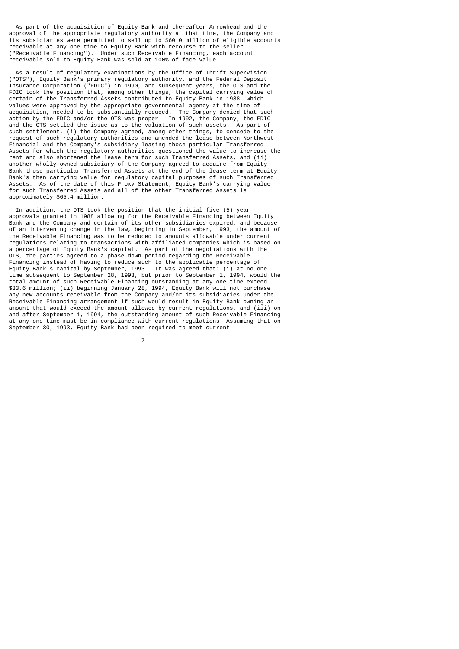As part of the acquisition of Equity Bank and thereafter Arrowhead and the approval of the appropriate regulatory authority at that time, the Company and its subsidiaries were permitted to sell up to \$60.0 million of eligible accounts receivable at any one time to Equity Bank with recourse to the seller ("Receivable Financing"). Under such Receivable Financing, each account receivable sold to Equity Bank was sold at 100% of face value.

 As a result of regulatory examinations by the Office of Thrift Supervision ("OTS"), Equity Bank's primary regulatory authority, and the Federal Deposit Insurance Corporation ("FDIC") in 1990, and subsequent years, the OTS and the FDIC took the position that, among other things, the capital carrying value of certain of the Transferred Assets contributed to Equity Bank in 1988, which values were approved by the appropriate governmental agency at the time of acquisition, needed to be substantially reduced. The Company denied that such action by the FDIC and/or the OTS was proper. In 1992, the Company, the FDIC and the OTS settled the issue as to the valuation of such assets. As part of such settlement, (i) the Company agreed, among other things, to concede to the request of such regulatory authorities and amended the lease between Northwest Financial and the Company's subsidiary leasing those particular Transferred Assets for which the regulatory authorities questioned the value to increase the rent and also shortened the lease term for such Transferred Assets, and (ii) another wholly-owned subsidiary of the Company agreed to acquire from Equity Bank those particular Transferred Assets at the end of the lease term at Equity Bank's then carrying value for regulatory capital purposes of such Transferred Assets. As of the date of this Proxy Statement, Equity Bank's carrying value for such Transferred Assets and all of the other Transferred Assets is approximately \$65.4 million.

 In addition, the OTS took the position that the initial five (5) year approvals granted in 1988 allowing for the Receivable Financing between Equity Bank and the Company and certain of its other subsidiaries expired, and because of an intervening change in the law, beginning in September, 1993, the amount of the Receivable Financing was to be reduced to amounts allowable under current regulations relating to transactions with affiliated companies which is based on a percentage of Equity Bank's capital. As part of the negotiations with the OTS, the parties agreed to a phase-down period regarding the Receivable Financing instead of having to reduce such to the applicable percentage of Equity Bank's capital by September, 1993. It was agreed that: (i) at no one time subsequent to September 28, 1993, but prior to September 1, 1994, would the total amount of such Receivable Financing outstanding at any one time exceed \$33.6 million; (ii) beginning January 28, 1994, Equity Bank will not purchase any new accounts receivable from the Company and/or its subsidiaries under the Receivable Financing arrangement if such would result in Equity Bank owning an amount that would exceed the amount allowed by current regulations, and (iii) on and after September 1, 1994, the outstanding amount of such Receivable Financing at any one time must be in compliance with current regulations. Assuming that on September 30, 1993, Equity Bank had been required to meet current

-7-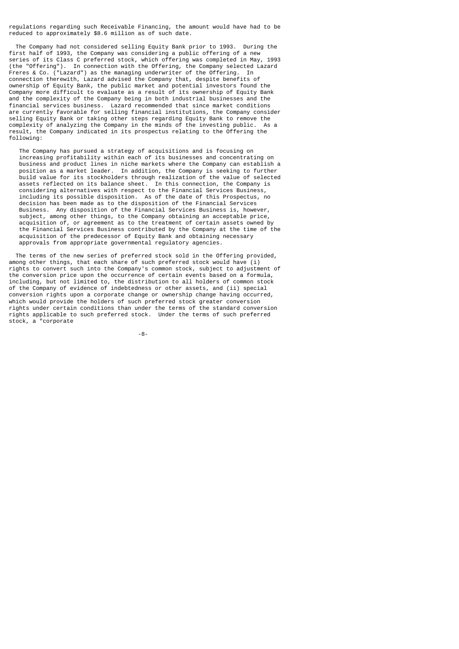regulations regarding such Receivable Financing, the amount would have had to be reduced to approximately \$8.6 million as of such date.

 The Company had not considered selling Equity Bank prior to 1993. During the first half of 1993, the Company was considering a public offering of a new series of its Class C preferred stock, which offering was completed in May, 1993 (the "Offering"). In connection with the Offering, the Company selected Lazard Freres & Co. ("Lazard") as the managing underwriter of the Offering. In connection therewith, Lazard advised the Company that, despite benefits of ownership of Equity Bank, the public market and potential investors found the Company more difficult to evaluate as a result of its ownership of Equity Bank and the complexity of the Company being in both industrial businesses and the financial services business. Lazard recommended that since market conditions are currently favorable for selling financial institutions, the Company consider selling Equity Bank or taking other steps regarding Equity Bank to remove the complexity of analyzing the Company in the minds of the investing public. As a result, the Company indicated in its prospectus relating to the Offering the following:

 The Company has pursued a strategy of acquisitions and is focusing on increasing profitability within each of its businesses and concentrating on business and product lines in niche markets where the Company can establish a position as a market leader. In addition, the Company is seeking to further build value for its stockholders through realization of the value of selected assets reflected on its balance sheet. In this connection, the Company is considering alternatives with respect to the Financial Services Business, including its possible disposition. As of the date of this Prospectus, no decision has been made as to the disposition of the Financial Services Business. Any disposition of the Financial Services Business is, however, subject, among other things, to the Company obtaining an acceptable price, acquisition of, or agreement as to the treatment of certain assets owned by the Financial Services Business contributed by the Company at the time of the acquisition of the predecessor of Equity Bank and obtaining necessary approvals from appropriate governmental regulatory agencies.

 The terms of the new series of preferred stock sold in the Offering provided, among other things, that each share of such preferred stock would have (i) rights to convert such into the Company's common stock, subject to adjustment of the conversion price upon the occurrence of certain events based on a formula, including, but not limited to, the distribution to all holders of common stock of the Company of evidence of indebtedness or other assets, and (ii) special conversion rights upon a corporate change or ownership change having occurred, which would provide the holders of such preferred stock greater conversion rights under certain conditions than under the terms of the standard conversion rights applicable to such preferred stock. Under the terms of such preferred stock, a "corporate

-8-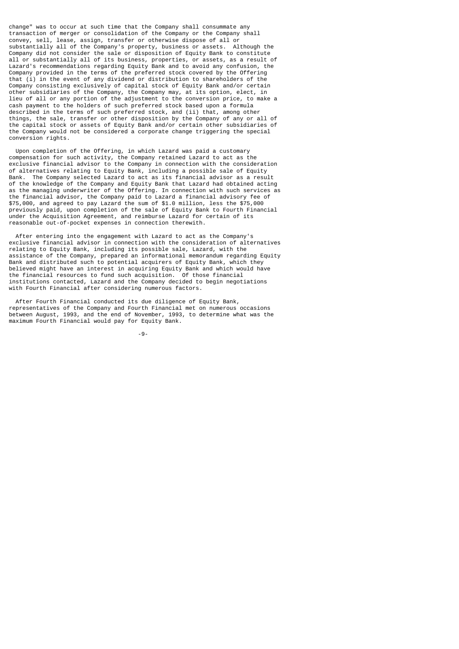change" was to occur at such time that the Company shall consummate any transaction of merger or consolidation of the Company or the Company shall convey, sell, lease, assign, transfer or otherwise dispose of all or substantially all of the Company's property, business or assets. Although the Company did not consider the sale or disposition of Equity Bank to constitute all or substantially all of its business, properties, or assets, as a result of Lazard's recommendations regarding Equity Bank and to avoid any confusion, the Company provided in the terms of the preferred stock covered by the Offering that (i) in the event of any dividend or distribution to shareholders of the Company consisting exclusively of capital stock of Equity Bank and/or certain other subsidiaries of the Company, the Company may, at its option, elect, in lieu of all or any portion of the adjustment to the conversion price, to make a cash payment to the holders of such preferred stock based upon a formula described in the terms of such preferred stock, and (ii) that, among other things, the sale, transfer or other disposition by the Company of any or all of the capital stock or assets of Equity Bank and/or certain other subsidiaries of the Company would not be considered a corporate change triggering the special conversion rights.

 Upon completion of the Offering, in which Lazard was paid a customary compensation for such activity, the Company retained Lazard to act as the exclusive financial advisor to the Company in connection with the consideration of alternatives relating to Equity Bank, including a possible sale of Equity Bank. The Company selected Lazard to act as its financial advisor as a result of the knowledge of the Company and Equity Bank that Lazard had obtained acting as the managing underwriter of the Offering. In connection with such services as the financial advisor, the Company paid to Lazard a financial advisory fee of \$75,000, and agreed to pay Lazard the sum of \$1.0 million, less the \$75,000 previously paid, upon completion of the sale of Equity Bank to Fourth Financial under the Acquisition Agreement, and reimburse Lazard for certain of its reasonable out-of-pocket expenses in connection therewith.

 After entering into the engagement with Lazard to act as the Company's exclusive financial advisor in connection with the consideration of alternatives relating to Equity Bank, including its possible sale, Lazard, with the assistance of the Company, prepared an informational memorandum regarding Equity Bank and distributed such to potential acquirers of Equity Bank, which they believed might have an interest in acquiring Equity Bank and which would have the financial resources to fund such acquisition. Of those financial institutions contacted, Lazard and the Company decided to begin negotiations with Fourth Financial after considering numerous factors.

 After Fourth Financial conducted its due diligence of Equity Bank, representatives of the Company and Fourth Financial met on numerous occasions between August, 1993, and the end of November, 1993, to determine what was the maximum Fourth Financial would pay for Equity Bank.

-9-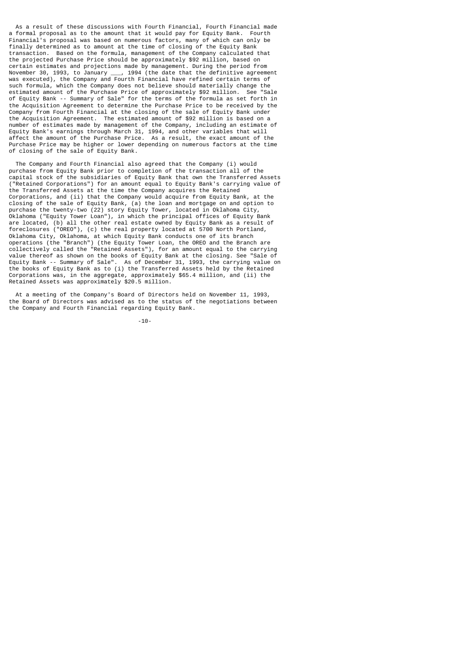As a result of these discussions with Fourth Financial, Fourth Financial made a formal proposal as to the amount that it would pay for Equity Bank. Fourth Financial's proposal was based on numerous factors, many of which can only be finally determined as to amount at the time of closing of the Equity Bank transaction. Based on the formula, management of the Company calculated that the projected Purchase Price should be approximately \$92 million, based on certain estimates and projections made by management. During the period from November 30, 1993, to January \_\_\_, 1994 (the date that the definitive agreement was executed), the Company and Fourth Financial have refined certain terms of such formula, which the Company does not believe should materially change the estimated amount of the Purchase Price of approximately \$92 million. See "Sale of Equity Bank -- Summary of Sale" for the terms of the formula as set forth in the Acquisition Agreement to determine the Purchase Price to be received by the Company from Fourth Financial at the closing of the sale of Equity Bank under the Acquisition Agreement. The estimated amount of \$92 million is based on a number of estimates made by management of the Company, including an estimate of Equity Bank's earnings through March 31, 1994, and other variables that will affect the amount of the Purchase Price. As a result, the exact amount of the Purchase Price may be higher or lower depending on numerous factors at the time of closing of the sale of Equity Bank.

 The Company and Fourth Financial also agreed that the Company (i) would purchase from Equity Bank prior to completion of the transaction all of the capital stock of the subsidiaries of Equity Bank that own the Transferred Assets ("Retained Corporations") for an amount equal to Equity Bank's carrying value of the Transferred Assets at the time the Company acquires the Retained Corporations, and (ii) that the Company would acquire from Equity Bank, at the closing of the sale of Equity Bank, (a) the loan and mortgage on and option to purchase the twenty-two (22) story Equity Tower, located in Oklahoma City, Oklahoma ("Equity Tower Loan"), in which the principal offices of Equity Bank are located, (b) all the other real estate owned by Equity Bank as a result of foreclosures ("OREO"), (c) the real property located at 5700 North Portland, Oklahoma City, Oklahoma, at which Equity Bank conducts one of its branch operations (the "Branch") (the Equity Tower Loan, the OREO and the Branch are collectively called the "Retained Assets"), for an amount equal to the carrying value thereof as shown on the books of Equity Bank at the closing. See "Sale of Equity Bank -- Summary of Sale". As of December 31, 1993, the carrying value on the books of Equity Bank as to (i) the Transferred Assets held by the Retained Corporations was, in the aggregate, approximately \$65.4 million, and (ii) the Retained Assets was approximately \$20.5 million.

 At a meeting of the Company's Board of Directors held on November 11, 1993, the Board of Directors was advised as to the status of the negotiations between the Company and Fourth Financial regarding Equity Bank.

-10-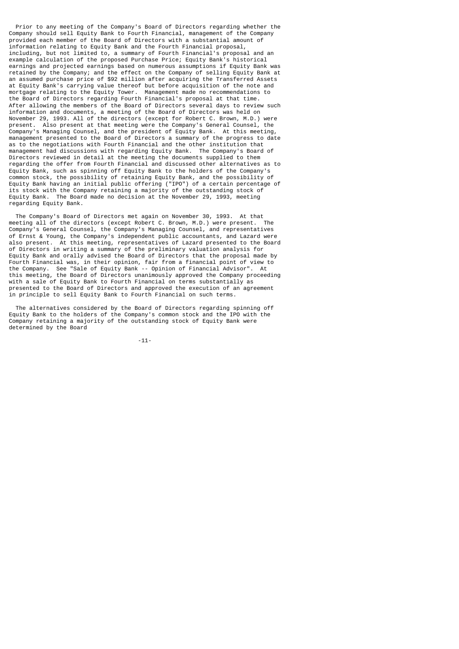Prior to any meeting of the Company's Board of Directors regarding whether the Company should sell Equity Bank to Fourth Financial, management of the Company provided each member of the Board of Directors with a substantial amount of information relating to Equity Bank and the Fourth Financial proposal, including, but not limited to, a summary of Fourth Financial's proposal and an example calculation of the proposed Purchase Price; Equity Bank's historical earnings and projected earnings based on numerous assumptions if Equity Bank was retained by the Company; and the effect on the Company of selling Equity Bank at an assumed purchase price of \$92 million after acquiring the Transferred Assets at Equity Bank's carrying value thereof but before acquisition of the note and mortgage relating to the Equity Tower. Management made no recommendations to the Board of Directors regarding Fourth Financial's proposal at that time. After allowing the members of the Board of Directors several days to review such information and documents, a meeting of the Board of Directors was held on November 29, 1993. All of the directors (except for Robert C. Brown, M.D.) were present. Also present at that meeting were the Company's General Counsel, the Company's Managing Counsel, and the president of Equity Bank. At this meeting, management presented to the Board of Directors a summary of the progress to date as to the negotiations with Fourth Financial and the other institution that management had discussions with regarding Equity Bank. The Company's Board of Directors reviewed in detail at the meeting the documents supplied to them regarding the offer from Fourth Financial and discussed other alternatives as to Equity Bank, such as spinning off Equity Bank to the holders of the Company's common stock, the possibility of retaining Equity Bank, and the possibility of Equity Bank having an initial public offering ("IPO") of a certain percentage of its stock with the Company retaining a majority of the outstanding stock of Equity Bank. The Board made no decision at the November 29, 1993, meeting regarding Equity Bank.

The Company's Board of Directors met again on November 30, 1993. At that<br>eting all of the directors (except Robert C. Brown, M.D.) were present. The meeting all of the directors (except Robert C. Brown, M.D.) were present. Company's General Counsel, the Company's Managing Counsel, and representatives of Ernst & Young, the Company's independent public accountants, and Lazard were also present. At this meeting, representatives of Lazard presented to the Board of Directors in writing a summary of the preliminary valuation analysis for Equity Bank and orally advised the Board of Directors that the proposal made by Fourth Financial was, in their opinion, fair from a financial point of view to the Company. See "Sale of Equity Bank -- Opinion of Financial Advisor". At this meeting, the Board of Directors unanimously approved the Company proceeding with a sale of Equity Bank to Fourth Financial on terms substantially as presented to the Board of Directors and approved the execution of an agreement in principle to sell Equity Bank to Fourth Financial on such terms.

 The alternatives considered by the Board of Directors regarding spinning off Equity Bank to the holders of the Company's common stock and the IPO with the Company retaining a majority of the outstanding stock of Equity Bank were determined by the Board

-11-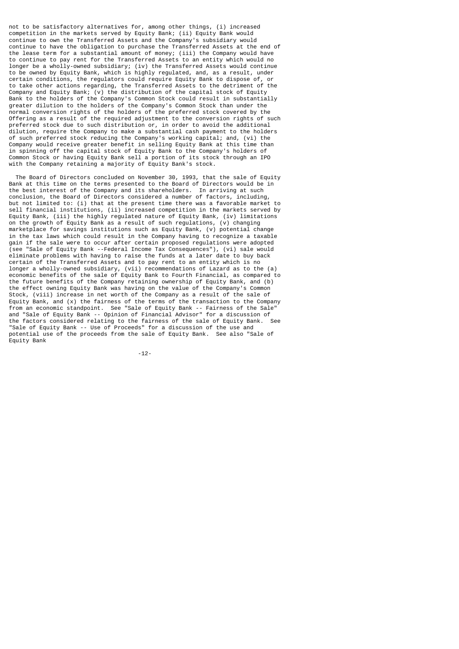not to be satisfactory alternatives for, among other things, (i) increased competition in the markets served by Equity Bank; (ii) Equity Bank would continue to own the Transferred Assets and the Company's subsidiary would continue to have the obligation to purchase the Transferred Assets at the end of the lease term for a substantial amount of money; (iii) the Company would have to continue to pay rent for the Transferred Assets to an entity which would no longer be a wholly-owned subsidiary; (iv) the Transferred Assets would continue to be owned by Equity Bank, which is highly regulated, and, as a result, under certain conditions, the regulators could require Equity Bank to dispose of, or to take other actions regarding, the Transferred Assets to the detriment of the Company and Equity Bank; (v) the distribution of the capital stock of Equity Bank to the holders of the Company's Common Stock could result in substantially greater dilution to the holders of the Company's Common Stock than under the normal conversion rights of the holders of the preferred stock covered by the Offering as a result of the required adjustment to the conversion rights of such preferred stock due to such distribution or, in order to avoid the additional dilution, require the Company to make a substantial cash payment to the holders of such preferred stock reducing the Company's working capital; and, (vi) the Company would receive greater benefit in selling Equity Bank at this time than in spinning off the capital stock of Equity Bank to the Company's holders of Common Stock or having Equity Bank sell a portion of its stock through an IPO with the Company retaining a majority of Equity Bank's stock.

 The Board of Directors concluded on November 30, 1993, that the sale of Equity Bank at this time on the terms presented to the Board of Directors would be in the best interest of the Company and its shareholders. In arriving at such conclusion, the Board of Directors considered a number of factors, including, but not limited to: (i) that at the present time there was a favorable market to sell financial institutions, (ii) increased competition in the markets served by Equity Bank, (iii) the highly regulated nature of Equity Bank, (iv) limitations on the growth of Equity Bank as a result of such regulations, (v) changing marketplace for savings institutions such as Equity Bank, (v) potential change in the tax laws which could result in the Company having to recognize a taxable gain if the sale were to occur after certain proposed regulations were adopted (see "Sale of Equity Bank --Federal Income Tax Consequences"), (vi) sale would eliminate problems with having to raise the funds at a later date to buy back certain of the Transferred Assets and to pay rent to an entity which is no longer a wholly-owned subsidiary, (vii) recommendations of Lazard as to the (a) economic benefits of the sale of Equity Bank to Fourth Financial, as compared to the future benefits of the Company retaining ownership of Equity Bank, and (b) the effect owning Equity Bank was having on the value of the Company's Common Stock, (viii) increase in net worth of the Company as a result of the sale of Equity Bank, and (x) the fairness of the terms of the transaction to the Company from an economic standpoint. See "Sale of Equity Bank -- Fairness of the Sale" and "Sale of Equity Bank -- Opinion of Financial Advisor" for a discussion of the factors considered relating to the fairness of the sale of Equity Bank. See "Sale of Equity Bank -- Use of Proceeds" for a discussion of the use and potential use of the proceeds from the sale of Equity Bank. See also "Sale of Equity Bank

-12-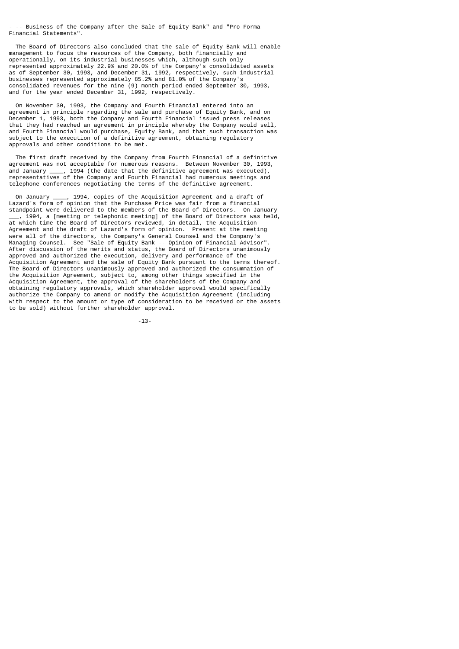- -- Business of the Company after the Sale of Equity Bank" and "Pro Forma Financial Statements".

 The Board of Directors also concluded that the sale of Equity Bank will enable management to focus the resources of the Company, both financially and operationally, on its industrial businesses which, although such only represented approximately 22.9% and 20.0% of the Company's consolidated assets as of September 30, 1993, and December 31, 1992, respectively, such industrial businesses represented approximately 85.2% and 81.0% of the Company's consolidated revenues for the nine (9) month period ended September 30, 1993, and for the year ended December 31, 1992, respectively.

 On November 30, 1993, the Company and Fourth Financial entered into an agreement in principle regarding the sale and purchase of Equity Bank, and on December 1, 1993, both the Company and Fourth Financial issued press releases that they had reached an agreement in principle whereby the Company would sell, and Fourth Financial would purchase, Equity Bank, and that such transaction was subject to the execution of a definitive agreement, obtaining regulatory approvals and other conditions to be met.

 The first draft received by the Company from Fourth Financial of a definitive agreement was not acceptable for numerous reasons. Between November 30, 1993,<br>and January . 1994 (the date that the definitive agreement was executed).  $\mu$  1994 (the date that the definitive agreement was executed), representatives of the Company and Fourth Financial had numerous meetings and telephone conferences negotiating the terms of the definitive agreement.

 On January \_\_\_\_, 1994, copies of the Acquisition Agreement and a draft of Lazard's form of opinion that the Purchase Price was fair from a financial standpoint were delivered to the members of the Board of Directors. On January \_\_\_, 1994, a [meeting or telephonic meeting] of the Board of Directors was held, at which time the Board of Directors reviewed, in detail, the Acquisition Agreement and the draft of Lazard's form of opinion. Present at the meeting were all of the directors, the Company's General Counsel and the Company's Managing Counsel. See "Sale of Equity Bank -- Opinion of Financial Advisor". After discussion of the merits and status, the Board of Directors unanimously approved and authorized the execution, delivery and performance of the Acquisition Agreement and the sale of Equity Bank pursuant to the terms thereof. The Board of Directors unanimously approved and authorized the consummation of the Acquisition Agreement, subject to, among other things specified in the Acquisition Agreement, the approval of the shareholders of the Company and obtaining regulatory approvals, which shareholder approval would specifically authorize the Company to amend or modify the Acquisition Agreement (including with respect to the amount or type of consideration to be received or the assets to be sold) without further shareholder approval.

-13-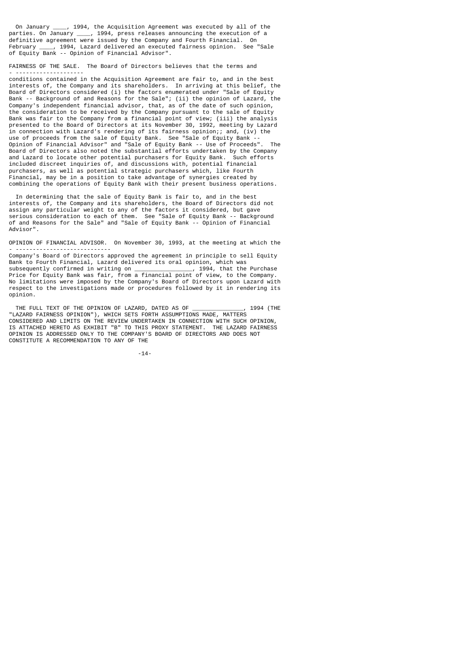On January \_\_\_\_, 1994, the Acquisition Agreement was executed by all of the parties. On January \_\_\_\_, 1994, press releases announcing the execution of a definitive agreement were issued by the Company and Fourth Financial. On February \_\_\_\_, 1994, Lazard delivered an executed fairness opinion. See "Sale of Equity Bank -- Opinion of Financial Advisor".

FAIRNESS OF THE SALE. The Board of Directors believes that the terms and - --------------------

conditions contained in the Acquisition Agreement are fair to, and in the best interests of, the Company and its shareholders. In arriving at this belief, the Board of Directors considered (i) the factors enumerated under "Sale of Equity Bank -- Background of and Reasons for the Sale"; (ii) the opinion of Lazard, the Company's independent financial advisor, that, as of the date of such opinion, the consideration to be received by the Company pursuant to the sale of Equity Bank was fair to the Company from a financial point of view; (iii) the analysis presented to the Board of Directors at its November 30, 1992, meeting by Lazard in connection with Lazard's rendering of its fairness opinion;; and, (iv) the use of proceeds from the sale of Equity Bank. See "Sale of Equity Bank --Opinion of Financial Advisor" and "Sale of Equity Bank -- Use of Proceeds". Board of Directors also noted the substantial efforts undertaken by the Company and Lazard to locate other potential purchasers for Equity Bank. Such efforts included discreet inquiries of, and discussions with, potential financial purchasers, as well as potential strategic purchasers which, like Fourth Financial, may be in a position to take advantage of synergies created by combining the operations of Equity Bank with their present business operations.

 In determining that the sale of Equity Bank is fair to, and in the best interests of, the Company and its shareholders, the Board of Directors did not assign any particular weight to any of the factors it considered, but gave serious consideration to each of them. See "Sale of Equity Bank -- Background of and Reasons for the Sale" and "Sale of Equity Bank -- Opinion of Financial Advisor".

OPINION OF FINANCIAL ADVISOR. On November 30, 1993, at the meeting at which the - ----------------------------

Company's Board of Directors approved the agreement in principle to sell Equity Bank to Fourth Financial, Lazard delivered its oral opinion, which was<br>subsequently confirmed in writing on \_\_\_\_\_\_\_\_\_\_\_\_\_\_, 1994, that the Purchase subsequently confirmed in writing on \_\_\_\_\_\_\_\_\_\_\_\_\_\_\_\_\_, 1994, that the Purchase Price for Equity Bank was fair, from a financial point of view, to the Company. No limitations were imposed by the Company's Board of Directors upon Lazard with respect to the investigations made or procedures followed by it in rendering its opinion.

 THE FULL TEXT OF THE OPINION OF LAZARD, DATED AS OF \_\_\_\_\_\_\_\_\_\_\_\_\_\_\_, 1994 (THE "LAZARD FAIRNESS OPINION"), WHICH SETS FORTH ASSUMPTIONS MADE, MATTERS CONSIDERED AND LIMITS ON THE REVIEW UNDERTAKEN IN CONNECTION WITH SUCH OPINION, IS ATTACHED HERETO AS EXHIBIT "B" TO THIS PROXY STATEMENT. THE LAZARD FAIRNESS OPINION IS ADDRESSED ONLY TO THE COMPANY'S BOARD OF DIRECTORS AND DOES NOT CONSTITUTE A RECOMMENDATION TO ANY OF THE

-14-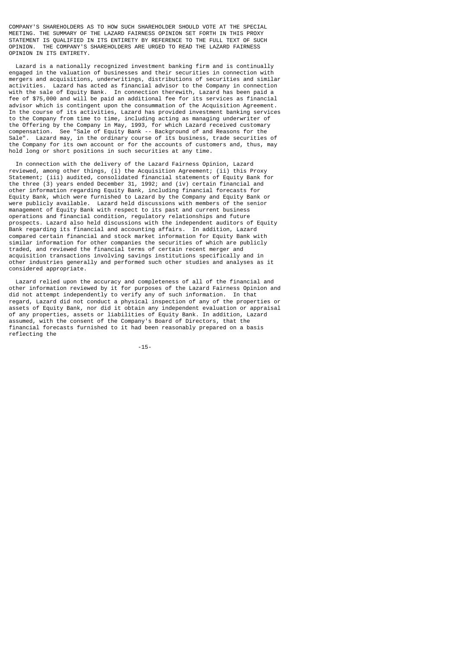COMPANY'S SHAREHOLDERS AS TO HOW SUCH SHAREHOLDER SHOULD VOTE AT THE SPECIAL MEETING. THE SUMMARY OF THE LAZARD FAIRNESS OPINION SET FORTH IN THIS PROXY STATEMENT IS QUALIFIED IN ITS ENTIRETY BY REFERENCE TO THE FULL TEXT OF SUCH OPINION. THE COMPANY'S SHAREHOLDERS ARE URGED TO READ THE LAZARD FAIRNESS OPINION IN ITS ENTIRETY.

 Lazard is a nationally recognized investment banking firm and is continually engaged in the valuation of businesses and their securities in connection with mergers and acquisitions, underwritings, distributions of securities and similar activities. Lazard has acted as financial advisor to the Company in connection with the sale of Equity Bank. In connection therewith, Lazard has been paid a fee of \$75,000 and will be paid an additional fee for its services as financial advisor which is contingent upon the consummation of the Acquisition Agreement. In the course of its activities, Lazard has provided investment banking services to the Company from time to time, including acting as managing underwriter of the Offering by the Company in May, 1993, for which Lazard received customary<br>compensation. See "Sale of Equity Bank -- Background of and Reasons for the See "Sale of Equity Bank -- Background of and Reasons for the Sale". Lazard may, in the ordinary course of its business, trade securities of the Company for its own account or for the accounts of customers and, thus, may hold long or short positions in such securities at any time.

 In connection with the delivery of the Lazard Fairness Opinion, Lazard reviewed, among other things, (i) the Acquisition Agreement; (ii) this Proxy Statement; (iii) audited, consolidated financial statements of Equity Bank for the three (3) years ended December 31, 1992; and (iv) certain financial and other information regarding Equity Bank, including financial forecasts for Equity Bank, which were furnished to Lazard by the Company and Equity Bank or were publicly available. Lazard held discussions with members of the senior management of Equity Bank with respect to its past and current business operations and financial condition, regulatory relationships and future prospects. Lazard also held discussions with the independent auditors of Equity Bank regarding its financial and accounting affairs. In addition, Lazard compared certain financial and stock market information for Equity Bank with similar information for other companies the securities of which are publicly traded, and reviewed the financial terms of certain recent merger and acquisition transactions involving savings institutions specifically and in other industries generally and performed such other studies and analyses as it considered appropriate.

 Lazard relied upon the accuracy and completeness of all of the financial and other information reviewed by it for purposes of the Lazard Fairness Opinion and did not attempt independently to verify any of such information. In that regard, Lazard did not conduct a physical inspection of any of the properties or assets of Equity Bank, nor did it obtain any independent evaluation or appraisal of any properties, assets or liabilities of Equity Bank. In addition, Lazard assumed, with the consent of the Company's Board of Directors, that the financial forecasts furnished to it had been reasonably prepared on a basis reflecting the

-15-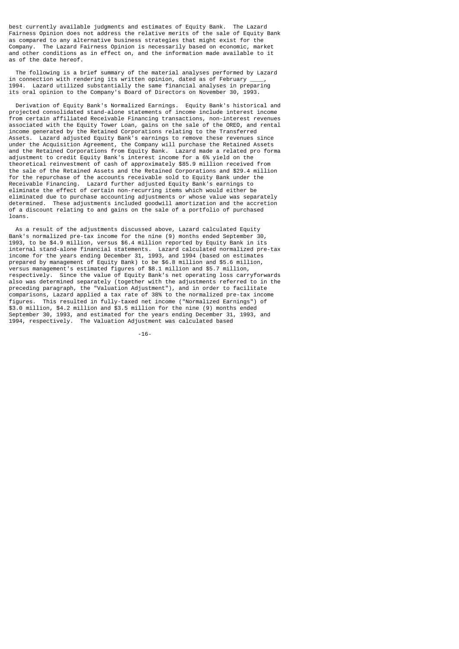best currently available judgments and estimates of Equity Bank. The Lazard Fairness Opinion does not address the relative merits of the sale of Equity Bank as compared to any alternative business strategies that might exist for the Company. The Lazard Fairness Opinion is necessarily based on economic, market and other conditions as in effect on, and the information made available to it as of the date hereof.

 The following is a brief summary of the material analyses performed by Lazard in connection with rendering its written opinion, dated as of February 1994. Lazard utilized substantially the same financial analyses in preparing its oral opinion to the Company's Board of Directors on November 30, 1993.

 Derivation of Equity Bank's Normalized Earnings. Equity Bank's historical and projected consolidated stand-alone statements of income include interest income from certain affiliated Receivable Financing transactions, non-interest revenues associated with the Equity Tower Loan, gains on the sale of the OREO, and rental income generated by the Retained Corporations relating to the Transferred Assets. Lazard adjusted Equity Bank's earnings to remove these revenues since under the Acquisition Agreement, the Company will purchase the Retained Assets and the Retained Corporations from Equity Bank. Lazard made a related pro forma adjustment to credit Equity Bank's interest income for a 6% yield on the theoretical reinvestment of cash of approximately \$85.9 million received from the sale of the Retained Assets and the Retained Corporations and \$29.4 million for the repurchase of the accounts receivable sold to Equity Bank under the Receivable Financing. Lazard further adjusted Equity Bank's earnings to eliminate the effect of certain non-recurring items which would either be eliminated due to purchase accounting adjustments or whose value was separately determined. These adjustments included goodwill amortization and the accretion of a discount relating to and gains on the sale of a portfolio of purchased loans.

 As a result of the adjustments discussed above, Lazard calculated Equity Bank's normalized pre-tax income for the nine (9) months ended September 30, 1993, to be \$4.9 million, versus \$6.4 million reported by Equity Bank in its internal stand-alone financial statements. Lazard calculated normalized pre-tax income for the years ending December 31, 1993, and 1994 (based on estimates prepared by management of Equity Bank) to be \$6.8 million and \$5.6 million, versus management's estimated figures of \$8.1 million and \$5.7 million, respectively. Since the value of Equity Bank's net operating loss carryforwards also was determined separately (together with the adjustments referred to in the preceding paragraph, the "Valuation Adjustment"), and in order to facilitate comparisons, Lazard applied a tax rate of 38% to the normalized pre-tax income figures. This resulted in fully-taxed net income ("Normalized Earnings") of \$3.0 million, \$4.2 million and \$3.5 million for the nine (9) months ended September 30, 1993, and estimated for the years ending December 31, 1993, and 1994, respectively. The Valuation Adjustment was calculated based

-16-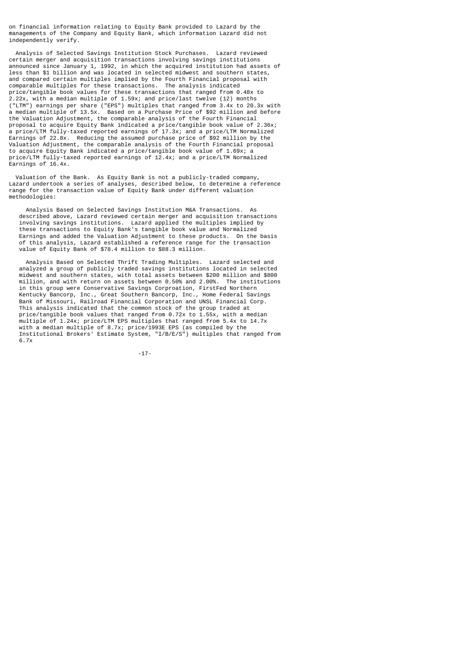on financial information relating to Equity Bank provided to Lazard by the managements of the Company and Equity Bank, which information Lazard did not independently verify.

 Analysis of Selected Savings Institution Stock Purchases. Lazard reviewed certain merger and acquisition transactions involving savings institutions announced since January 1, 1992, in which the acquired institution had assets of less than \$1 billion and was located in selected midwest and southern states, and compared certain multiples implied by the Fourth Financial proposal with comparable multiples for these transactions. The analysis indicated price/tangible book values for these transactions that ranged from 0.48x to 2.22x, with a median multiple of 1.59x; and price/last twelve (12) months ("LTM") earnings per share ("EPS") multiples that ranged from 3.4x to 20.3x with a median multiple of 13.5x. Based on a Purchase Price of \$92 million and before the Valuation Adjustment, the comparable analysis of the Fourth Financial proposal to acquire Equity Bank indicated a price/tangible book value of 2.36x; a price/LTM fully-taxed reported earnings of 17.3x; and a price/LTM Normalized Earnings of 22.8x. Reducing the assumed purchase price of \$92 million by the Valuation Adjustment, the comparable analysis of the Fourth Financial proposal to acquire Equity Bank indicated a price/tangible book value of 1.69x; a price/LTM fully-taxed reported earnings of 12.4x; and a price/LTM Normalized Earnings of 16.4x.

 Valuation of the Bank. As Equity Bank is not a publicly-traded company, Lazard undertook a series of analyses, described below, to determine a reference range for the transaction value of Equity Bank under different valuation methodologies:

 Analysis Based on Selected Savings Institution M&A Transactions. As described above, Lazard reviewed certain merger and acquisition transactions involving savings institutions. Lazard applied the multiples implied by these transactions to Equity Bank's tangible book value and Normalized Earnings and added the Valuation Adjustment to these products. On the basis of this analysis, Lazard established a reference range for the transaction value of Equity Bank of \$78.4 million to \$88.3 million.

 Analysis Based on Selected Thrift Trading Multiples. Lazard selected and analyzed a group of publicly traded savings institutions located in selected midwest and southern states, with total assets between \$200 million and \$800 million, and with return on assets between 0.50% and 2.00%. The institutions in this group were Conservative Savings Corproation, FirstFed Northern Kentucky Bancorp, Inc., Great Southern Bancorp, Inc., Home Federal Savings Bank of Missouri, Railroad Financial Corporation and UNSL Financial Corp. This analysis indicated that the common stock of the group traded at price/tangible book values that ranged from 0.72x to 1.55x, with a median multiple of 1.24x; price/LTM EPS multiples that ranged from 5.4x to 14.7x with a median multiple of 8.7x; price/1993E EPS (as compiled by the Institutional Brokers' Estimate System, "I/B/E/S") multiples that ranged from 6.7x

-17-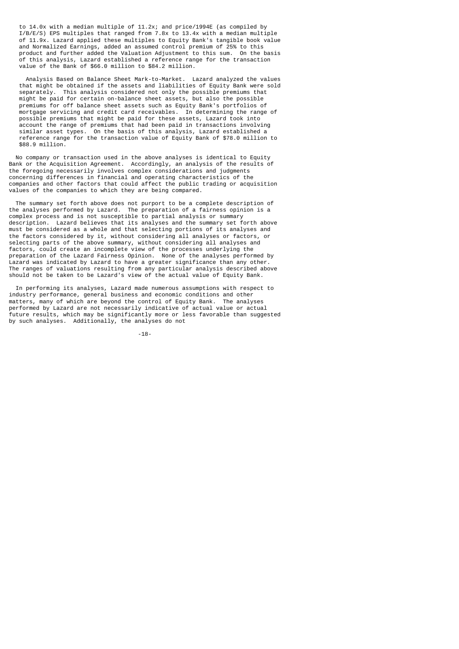to 14.0x with a median multiple of 11.2x; and price/1994E (as compiled by I/B/E/S) EPS multiples that ranged from 7.8x to 13.4x with a median multiple of 11.9x. Lazard applied these multiples to Equity Bank's tangible book value and Normalized Earnings, added an assumed control premium of 25% to this product and further added the Valuation Adjustment to this sum. On the basis of this analysis, Lazard established a reference range for the transaction value of the Bank of \$66.0 million to \$84.2 million.

 Analysis Based on Balance Sheet Mark-to-Market. Lazard analyzed the values that might be obtained if the assets and liabilities of Equity Bank were sold separately. This analysis considered not only the possible premiums that This analysis considered not only the possible premiums that might be paid for certain on-balance sheet assets, but also the possible premiums for off balance sheet assets such as Equity Bank's portfolios of mortgage servicing and credit card receivables. In determining the range of possible premiums that might be paid for these assets, Lazard took into account the range of premiums that had been paid in transactions involving similar asset types. On the basis of this analysis, Lazard established a reference range for the transaction value of Equity Bank of \$78.0 million to \$88.9 million.

 No company or transaction used in the above analyses is identical to Equity Bank or the Acquisition Agreement. Accordingly, an analysis of the results of the foregoing necessarily involves complex considerations and judgments concerning differences in financial and operating characteristics of the companies and other factors that could affect the public trading or acquisition values of the companies to which they are being compared.

 The summary set forth above does not purport to be a complete description of the analyses performed by Lazard. The preparation of a fairness opinion is a complex process and is not susceptible to partial analysis or summary description. Lazard believes that its analyses and the summary set forth above must be considered as a whole and that selecting portions of its analyses and the factors considered by it, without considering all analyses or factors, or selecting parts of the above summary, without considering all analyses and factors, could create an incomplete view of the processes underlying the preparation of the Lazard Fairness Opinion. None of the analyses performed by Lazard was indicated by Lazard to have a greater significance than any other. The ranges of valuations resulting from any particular analysis described above should not be taken to be Lazard's view of the actual value of Equity Bank.

 In performing its analyses, Lazard made numerous assumptions with respect to industry performance, general business and economic conditions and other matters, many of which are beyond the control of Equity Bank. The analyses performed by Lazard are not necessarily indicative of actual value or actual future results, which may be significantly more or less favorable than suggested by such analyses. Additionally, the analyses do not

-18-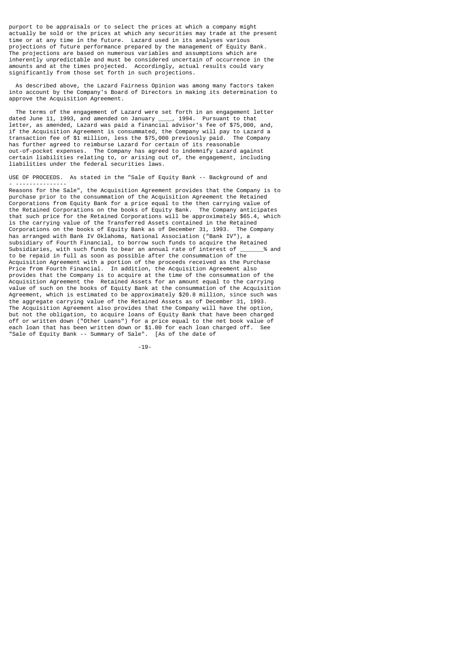purport to be appraisals or to select the prices at which a company might actually be sold or the prices at which any securities may trade at the present time or at any time in the future. Lazard used in its analyses various projections of future performance prepared by the management of Equity Bank. The projections are based on numerous variables and assumptions which are inherently unpredictable and must be considered uncertain of occurrence in the amounts and at the times projected. Accordingly, actual results could vary significantly from those set forth in such projections.

 As described above, the Lazard Fairness Opinion was among many factors taken into account by the Company's Board of Directors in making its determination to approve the Acquisition Agreement.

 The terms of the engagement of Lazard were set forth in an engagement letter dated June 11, 1993, and amended on January \_\_\_\_, 1994. Pursuant to that letter, as amended, Lazard was paid a financial advisor's fee of \$75,000, and, if the Acquisition Agreement is consummated, the Company will pay to Lazard a transaction fee of \$1 million, less the \$75,000 previously paid. The Company has further agreed to reimburse Lazard for certain of its reasonable out-of-pocket expenses. The Company has agreed to indemnify Lazard against certain liabilities relating to, or arising out of, the engagement, including liabilities under the federal securities laws.

USE OF PROCEEDS. As stated in the "Sale of Equity Bank -- Background of and - ---------------

Reasons for the Sale", the Acquisition Agreement provides that the Company is to purchase prior to the consummation of the Acquisition Agreement the Retained Corporations from Equity Bank for a price equal to the then carrying value of the Retained Corporations on the books of Equity Bank. The Company anticipates that such price for the Retained Corporations will be approximately \$65.4, which is the carrying value of the Transferred Assets contained in the Retained<br>Corporations on the books of Equity Bank as of December 31, 1993. The Company Corporations on the books of Equity Bank as of December 31, 1993. has arranged with Bank IV Oklahoma, National Association ("Bank IV"), a subsidiary of Fourth Financial, to borrow such funds to acquire the Retained<br>Subsidiaries, with such funds to bear an annual rate of interest of  $\frac{4}{3}$  and Subsidiaries, with such funds to bear an annual rate of interest of \_\_\_\_\_\_\_% and to be repaid in full as soon as possible after the consummation of the Acquisition Agreement with a portion of the proceeds received as the Purchase Price from Fourth Financial. In addition, the Acquisition Agreement also provides that the Company is to acquire at the time of the consummation of the Acquisition Agreement the Retained Assets for an amount equal to the carrying value of such on the books of Equity Bank at the consummation of the Acquisition Agreement, which is estimated to be approximately \$20.8 million, since such was the aggregate carrying value of the Retained Assets as of December 31, 1993. The Acquisition Agreement also provides that the Company will have the option, but not the obligation, to acquire loans of Equity Bank that have been charged off or written down ("Other Loans") for a price equal to the net book value of each loan that has been written down or \$1.00 for each loan charged off. See "Sale of Equity Bank -- Summary of Sale". [As of the date of

-19-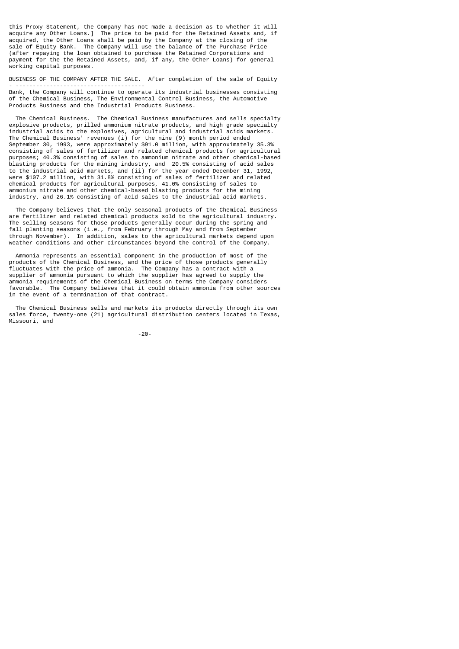this Proxy Statement, the Company has not made a decision as to whether it will acquire any Other Loans.] The price to be paid for the Retained Assets and, if acquired, the Other Loans shall be paid by the Company at the closing of the sale of Equity Bank. The Company will use the balance of the Purchase Price (after repaying the loan obtained to purchase the Retained Corporations and payment for the the Retained Assets, and, if any, the Other Loans) for general working capital purposes.

BUSINESS OF THE COMPANY AFTER THE SALE. After completion of the sale of Equity - --------------------------------------

Bank, the Company will continue to operate its industrial businesses consisting of the Chemical Business, The Environmental Control Business, the Automotive Products Business and the Industrial Products Business.

 The Chemical Business. The Chemical Business manufactures and sells specialty explosive products, prilled ammonium nitrate products, and high grade specialty industrial acids to the explosives, agricultural and industrial acids markets. The Chemical Business' revenues (i) for the nine (9) month period ended September 30, 1993, were approximately \$91.0 million, with approximately 35.3% consisting of sales of fertilizer and related chemical products for agricultural purposes; 40.3% consisting of sales to ammonium nitrate and other chemical-based blasting products for the mining industry, and 20.5% consisting of acid sales to the industrial acid markets, and (ii) for the year ended December 31, 1992, were \$107.2 million, with 31.8% consisting of sales of fertilizer and related chemical products for agricultural purposes, 41.0% consisting of sales to ammonium nitrate and other chemical-based blasting products for the mining industry, and 26.1% consisting of acid sales to the industrial acid markets.

 The Company believes that the only seasonal products of the Chemical Business are fertilizer and related chemical products sold to the agricultural industry. The selling seasons for those products generally occur during the spring and fall planting seasons (i.e., from February through May and from September through November). In addition, sales to the agricultural markets depend upon weather conditions and other circumstances beyond the control of the Company.

 Ammonia represents an essential component in the production of most of the products of the Chemical Business, and the price of those products generally fluctuates with the price of ammonia. The Company has a contract with a supplier of ammonia pursuant to which the supplier has agreed to supply the ammonia requirements of the Chemical Business on terms the Company considers favorable. The Company believes that it could obtain ammonia from other sources in the event of a termination of that contract.

 The Chemical Business sells and markets its products directly through its own sales force, twenty-one (21) agricultural distribution centers located in Texas, Missouri, and

-20-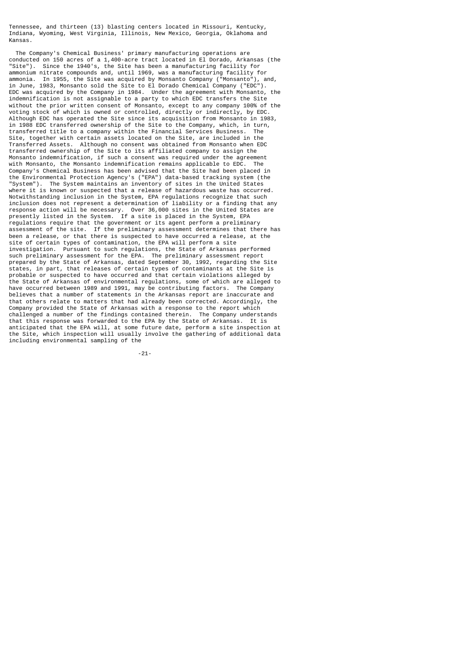Tennessee, and thirteen (13) blasting centers located in Missouri, Kentucky, Indiana, Wyoming, West Virginia, Illinois, New Mexico, Georgia, Oklahoma and Kansas.

 The Company's Chemical Business' primary manufacturing operations are conducted on 150 acres of a 1,400-acre tract located in El Dorado, Arkansas (the "Site"). Since the 1940's, the Site has been a manufacturing facility for ammonium nitrate compounds and, until 1969, was a manufacturing facility for ammonia. In 1955, the Site was acquired by Monsanto Company ("Monsanto"), and, in June, 1983, Monsanto sold the Site to El Dorado Chemical Company ("EDC"). EDC was acquired by the Company in 1984. Under the agreement with Monsanto, the indemnification is not assignable to a party to which EDC transfers the Site without the prior written consent of Monsanto, except to any company 100% of the voting stock of which is owned or controlled, directly or indirectly, by EDC. Although EDC has operated the Site since its acquisition from Monsanto in 1983, in 1988 EDC transferred ownership of the Site to the Company, which, in turn, transferred title to a company within the Financial Services Business. The Site, together with certain assets located on the Site, are included in the Transferred Assets. Although no consent was obtained from Monsanto when EDC transferred ownership of the Site to its affiliated company to assign the Monsanto indemnification, if such a consent was required under the agreement with Monsanto, the Monsanto indemnification remains applicable to EDC. The Company's Chemical Business has been advised that the Site had been placed in the Environmental Protection Agency's ("EPA") data-based tracking system (the "System"). The System maintains an inventory of sites in the United States where it is known or suspected that a release of hazardous waste has occurred. Notwithstanding inclusion in the System, EPA regulations recognize that such inclusion does not represent a determination of liability or a finding that any response action will be necessary. Over 36,000 sites in the United States are presently listed in the System. If a site is placed in the System, EPA regulations require that the government or its agent perform a preliminary assessment of the site. If the preliminary assessment determines that there has been a release, or that there is suspected to have occurred a release, at the site of certain types of contamination, the EPA will perform a site investigation. Pursuant to such regulations, the State of Arkansas performed such preliminary assessment for the EPA. The preliminary assessment report prepared by the State of Arkansas, dated September 30, 1992, regarding the Site states, in part, that releases of certain types of contaminants at the Site is probable or suspected to have occurred and that certain violations alleged by the State of Arkansas of environmental regulations, some of which are alleged to have occurred between 1989 and 1991, may be contributing factors. The Company believes that a number of statements in the Arkansas report are inaccurate and that others relate to matters that had already been corrected. Accordingly, the Company provided the State of Arkansas with a response to the report which challenged a number of the findings contained therein. The Company understands that this response was forwarded to the EPA by the State of Arkansas. It is anticipated that the EPA will, at some future date, perform a site inspection at the Site, which inspection will usually involve the gathering of additional data including environmental sampling of the

-21-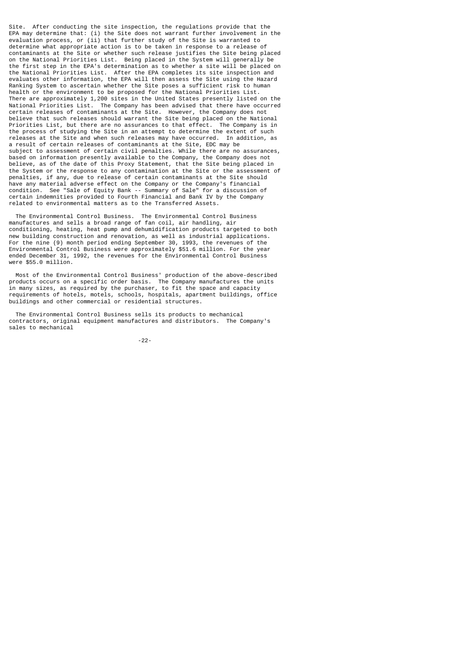Site. After conducting the site inspection, the regulations provide that the EPA may determine that: (i) the Site does not warrant further involvement in the evaluation process, or (ii) that further study of the Site is warranted to determine what appropriate action is to be taken in response to a release of contaminants at the Site or whether such release justifies the Site being placed on the National Priorities List. Being placed in the System will generally be the first step in the EPA's determination as to whether a site will be placed on the National Priorities List. After the EPA completes its site inspection and evaluates other information, the EPA will then assess the Site using the Hazard Ranking System to ascertain whether the Site poses a sufficient risk to human health or the environment to be proposed for the National Priorities List. There are approximately 1,200 sites in the United States presently listed on the National Priorities List. The Company has been advised that there have occurred certain releases of contaminants at the Site. However, the Company does not believe that such releases should warrant the Site being placed on the National Priorities List, but there are no assurances to that effect. The Company is in the process of studying the Site in an attempt to determine the extent of such releases at the Site and when such releases may have occurred. In addition, as a result of certain releases of contaminants at the Site, EDC may be subject to assessment of certain civil penalties. While there are no assurances, based on information presently available to the Company, the Company does not believe, as of the date of this Proxy Statement, that the Site being placed in the System or the response to any contamination at the Site or the assessment of penalties, if any, due to release of certain contaminants at the Site should have any material adverse effect on the Company or the Company's financial condition. See "Sale of Equity Bank -- Summary of Sale" for a discussion of certain indemnities provided to Fourth Financial and Bank IV by the Company related to environmental matters as to the Transferred Assets.

 The Environmental Control Business. The Environmental Control Business manufactures and sells a broad range of fan coil, air handling, air conditioning, heating, heat pump and dehumidification products targeted to both new building construction and renovation, as well as industrial applications. For the nine (9) month period ending September 30, 1993, the revenues of the Environmental Control Business were approximately \$51.6 million. For the year ended December 31, 1992, the revenues for the Environmental Control Business were \$55.0 million.

 Most of the Environmental Control Business' production of the above-described products occurs on a specific order basis. The Company manufactures the units in many sizes, as required by the purchaser, to fit the space and capacity requirements of hotels, motels, schools, hospitals, apartment buildings, office buildings and other commercial or residential structures.

 The Environmental Control Business sells its products to mechanical contractors, original equipment manufactures and distributors. The Company's sales to mechanical

-22-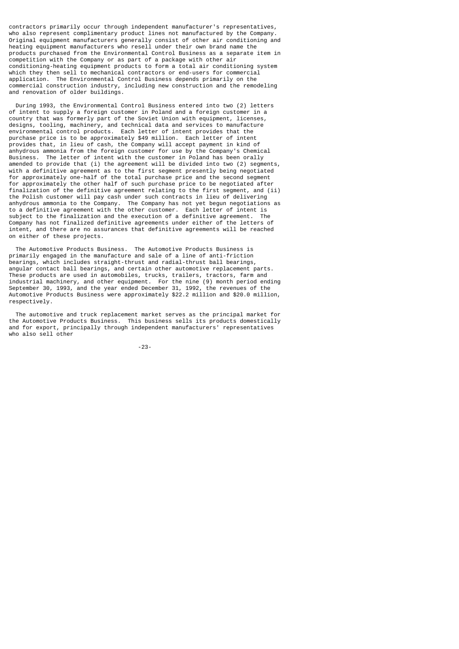contractors primarily occur through independent manufacturer's representatives, who also represent complimentary product lines not manufactured by the Company. Original equipment manufacturers generally consist of other air conditioning and heating equipment manufacturers who resell under their own brand name the products purchased from the Environmental Control Business as a separate item in competition with the Company or as part of a package with other air conditioning-heating equipment products to form a total air conditioning system which they then sell to mechanical contractors or end-users for commercial application. The Environmental Control Business depends primarily on the commercial construction industry, including new construction and the remodeling and renovation of older buildings.

 During 1993, the Environmental Control Business entered into two (2) letters of intent to supply a foreign customer in Poland and a foreign customer in a country that was formerly part of the Soviet Union with equipment, licenses, designs, tooling, machinery, and technical data and services to manufacture environmental control products. Each letter of intent provides that the purchase price is to be approximately \$49 million. Each letter of intent provides that, in lieu of cash, the Company will accept payment in kind of anhydrous ammonia from the foreign customer for use by the Company's Chemical Business. The letter of intent with the customer in Poland has been orally amended to provide that (i) the agreement will be divided into two (2) segments, with a definitive agreement as to the first segment presently being negotiated for approximately one-half of the total purchase price and the second segment for approximately the other half of such purchase price to be negotiated after finalization of the definitive agreement relating to the first segment, and (ii) the Polish customer will pay cash under such contracts in lieu of delivering anhydrous ammonia to the Company. The Company has not yet begun negotiations as to a definitive agreement with the other customer. Each letter of intent is subject to the finalization and the execution of a definitive agreement. Company has not finalized definitive agreements under either of the letters of intent, and there are no assurances that definitive agreements will be reached on either of these projects.

 The Automotive Products Business. The Automotive Products Business is primarily engaged in the manufacture and sale of a line of anti-friction bearings, which includes straight-thrust and radial-thrust ball bearings, angular contact ball bearings, and certain other automotive replacement parts. These products are used in automobiles, trucks, trailers, tractors, farm and industrial machinery, and other equipment. For the nine (9) month period ending September 30, 1993, and the year ended December 31, 1992, the revenues of the Automotive Products Business were approximately \$22.2 million and \$20.0 million, respectively.

 The automotive and truck replacement market serves as the principal market for the Automotive Products Business. This business sells its products domestically and for export, principally through independent manufacturers' representatives who also sell other

-23-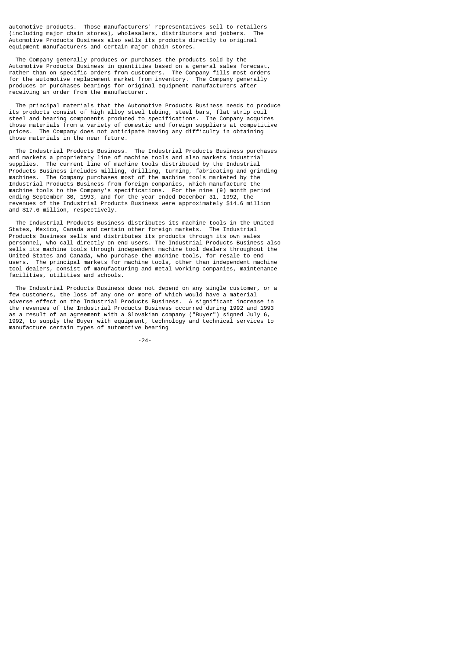automotive products. Those manufacturers' representatives sell to retailers (including major chain stores), wholesalers, distributors and jobbers. The Automotive Products Business also sells its products directly to original equipment manufacturers and certain major chain stores.

 The Company generally produces or purchases the products sold by the Automotive Products Business in quantities based on a general sales forecast, rather than on specific orders from customers. The Company fills most orders for the automotive replacement market from inventory. The Company generally produces or purchases bearings for original equipment manufacturers after receiving an order from the manufacturer.

 The principal materials that the Automotive Products Business needs to produce its products consist of high alloy steel tubing, steel bars, flat strip coil steel and bearing components produced to specifications. The Company acquires those materials from a variety of domestic and foreign suppliers at competitive prices. The Company does not anticipate having any difficulty in obtaining those materials in the near future.

 The Industrial Products Business. The Industrial Products Business purchases and markets a proprietary line of machine tools and also markets industrial supplies. The current line of machine tools distributed by the Industrial Products Business includes milling, drilling, turning, fabricating and grinding machines. The Company purchases most of the machine tools marketed by the Industrial Products Business from foreign companies, which manufacture the machine tools to the Company's specifications. For the nine (9) month period ending September 30, 1993, and for the year ended December 31, 1992, the revenues of the Industrial Products Business were approximately \$14.6 million and \$17.6 million, respectively.

 The Industrial Products Business distributes its machine tools in the United States, Mexico, Canada and certain other foreign markets. The Industrial Products Business sells and distributes its products through its own sales personnel, who call directly on end-users. The Industrial Products Business also sells its machine tools through independent machine tool dealers throughout the United States and Canada, who purchase the machine tools, for resale to end users. The principal markets for machine tools, other than independent machine tool dealers, consist of manufacturing and metal working companies, maintenance facilities, utilities and schools.

 The Industrial Products Business does not depend on any single customer, or a few customers, the loss of any one or more of which would have a material adverse effect on the Industrial Products Business. A significant increase in the revenues of the Industrial Products Business occurred during 1992 and 1993 as a result of an agreement with a Slovakian company ("Buyer") signed July 6, 1992, to supply the Buyer with equipment, technology and technical services to manufacture certain types of automotive bearing

-24-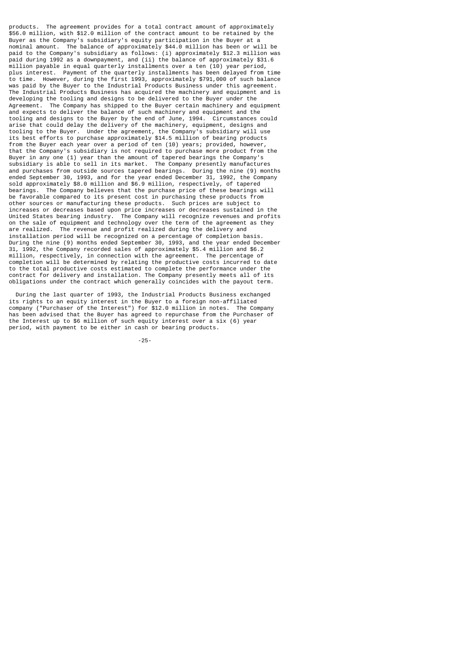products. The agreement provides for a total contract amount of approximately \$56.0 million, with \$12.0 million of the contract amount to be retained by the Buyer as the Company's subsidiary's equity participation in the Buyer at a nominal amount. The balance of approximately \$44.0 million has been or will be paid to the Company's subsidiary as follows: (i) approximately \$12.3 million was paid during 1992 as a downpayment, and (ii) the balance of approximately \$31.6 million payable in equal quarterly installments over a ten (10) year period, plus interest. Payment of the quarterly installments has been delayed from time to time. However, during the first 1993, approximately \$791,000 of such balance was paid by the Buyer to the Industrial Products Business under this agreement. The Industrial Products Business has acquired the machinery and equipment and is developing the tooling and designs to be delivered to the Buyer under the Agreement. The Company has shipped to the Buyer certain machinery and equipment and expects to deliver the balance of such machinery and equipment and the tooling and designs to the Buyer by the end of June, 1994. Circumstances could arise that could delay the delivery of the machinery, equipment, designs and tooling to the Buyer. Under the agreement, the Company's subsidiary will use its best efforts to purchase approximately \$14.5 million of bearing products from the Buyer each year over a period of ten (10) years; provided, however, that the Company's subsidiary is not required to purchase more product from the Buyer in any one (1) year than the amount of tapered bearings the Company's subsidiary is able to sell in its market. The Company presently manufactures and purchases from outside sources tapered bearings. During the nine (9) months ended September 30, 1993, and for the year ended December 31, 1992, the Company sold approximately \$8.0 million and \$6.9 million, respectively, of tapered bearings. The Company believes that the purchase price of these bearings will be favorable compared to its present cost in purchasing these products from other sources or manufacturing these products. Such prices are subject to increases or decreases based upon price increases or decreases sustained in the United States bearing industry. The Company will recognize revenues and profits on the sale of equipment and technology over the term of the agreement as they are realized. The revenue and profit realized during the delivery and installation period will be recognized on a percentage of completion basis. During the nine (9) months ended September 30, 1993, and the year ended December 31, 1992, the Company recorded sales of approximately \$5.4 million and \$6.2 million, respectively, in connection with the agreement. The percentage of completion will be determined by relating the productive costs incurred to date to the total productive costs estimated to complete the performance under the contract for delivery and installation. The Company presently meets all of its obligations under the contract which generally coincides with the payout term.

 During the last quarter of 1993, the Industrial Products Business exchanged its rights to an equity interest in the Buyer to a foreign non-affiliated company ("Purchaser of the Interest") for \$12.0 million in notes. The Company has been advised that the Buyer has agreed to repurchase from the Purchaser of the Interest up to \$6 million of such equity interest over a six (6) year period, with payment to be either in cash or bearing products.

-25-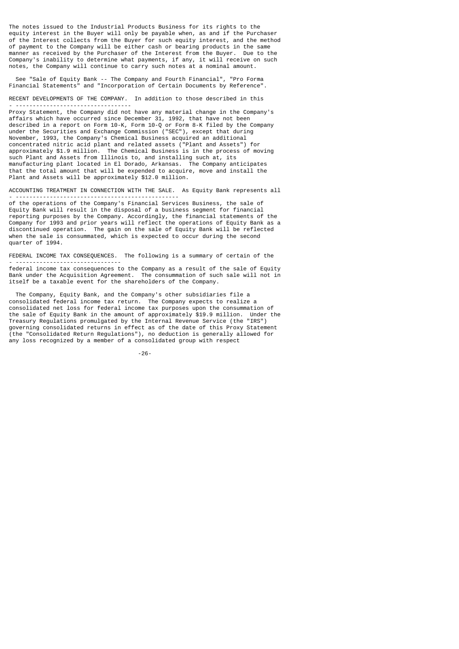The notes issued to the Industrial Products Business for its rights to the equity interest in the Buyer will only be payable when, as and if the Purchaser of the Interest collects from the Buyer for such equity interest, and the method of payment to the Company will be either cash or bearing products in the same manner as received by the Purchaser of the Interest from the Buyer. Due to the Company's inability to determine what payments, if any, it will receive on such notes, the Company will continue to carry such notes at a nominal amount.

 See "Sale of Equity Bank -- The Company and Fourth Financial", "Pro Forma Financial Statements" and "Incorporation of Certain Documents by Reference".

RECENT DEVELOPMENTS OF THE COMPANY. In addition to those described in this

- ---------------------------------- Proxy Statement, the Company did not have any material change in the Company's affairs which have occurred since December 31, 1992, that have not been described in a report on Form 10-K, Form 10-Q or Form 8-K filed by the Company under the Securities and Exchange Commission ("SEC"), except that during November, 1993, the Company's Chemical Business acquired an additional concentrated nitric acid plant and related assets ("Plant and Assets") for approximately \$1.9 million. The Chemical Business is in the process of moving such Plant and Assets from Illinois to, and installing such at, its manufacturing plant located in El Dorado, Arkansas. The Company anticipates that the total amount that will be expended to acquire, move and install the Plant and Assets will be approximately \$12.0 million.

ACCOUNTING TREATMENT IN CONNECTION WITH THE SALE. As Equity Bank represents all - ------------------------------------------------

of the operations of the Company's Financial Services Business, the sale of Equity Bank will result in the disposal of a business segment for financial reporting purposes by the Company. Accordingly, the financial statements of the Company for 1993 and prior years will reflect the operations of Equity Bank as a discontinued operation. The gain on the sale of Equity Bank will be reflected when the sale is consummated, which is expected to occur during the second quarter of 1994.

FEDERAL INCOME TAX CONSEQUENCES. The following is a summary of certain of the - -------------------------------

federal income tax consequences to the Company as a result of the sale of Equity Bank under the Acquisition Agreement. The consummation of such sale will not in itself be a taxable event for the shareholders of the Company.

 The Company, Equity Bank, and the Company's other subsidiaries file a consolidated federal income tax return. The Company expects to realize a consolidated net loss for federal income tax purposes upon the consummation of the sale of Equity Bank in the amount of approximately \$19.9 million. Under the Treasury Regulations promulgated by the Internal Revenue Service (the "IRS") governing consolidated returns in effect as of the date of this Proxy Statement (the "Consolidated Return Regulations"), no deduction is generally allowed for any loss recognized by a member of a consolidated group with respect

-26-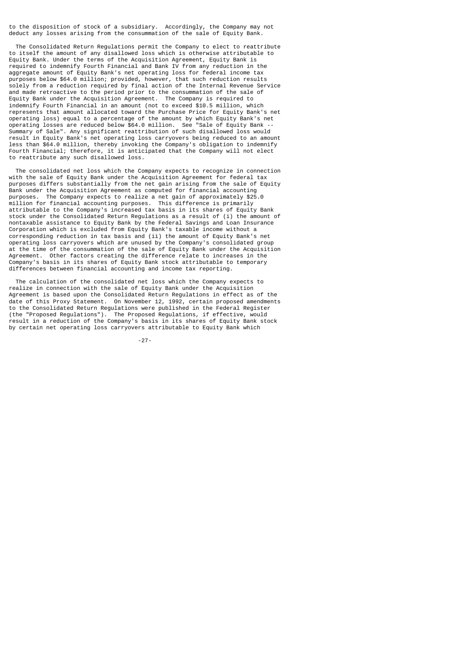to the disposition of stock of a subsidiary. Accordingly, the Company may not deduct any losses arising from the consummation of the sale of Equity Bank.

 The Consolidated Return Regulations permit the Company to elect to reattribute to itself the amount of any disallowed loss which is otherwise attributable to Equity Bank. Under the terms of the Acquisition Agreement, Equity Bank is required to indemnify Fourth Financial and Bank IV from any reduction in the aggregate amount of Equity Bank's net operating loss for federal income tax purposes below \$64.0 million; provided, however, that such reduction results solely from a reduction required by final action of the Internal Revenue Service and made retroactive to the period prior to the consummation of the sale of Equity Bank under the Acquisition Agreement. The Company is required to indemnify Fourth Financial in an amount (not to exceed \$10.5 million, which represents that amount allocated toward the Purchase Price for Equity Bank's net operating loss) equal to a percentage of the amount by which Equity Bank's net operating losses are reduced below \$64.0 million. See "Sale of Equity Bank -- Summary of Sale". Any significant reattribution of such disallowed loss would result in Equity Bank's net operating loss carryovers being reduced to an amount less than \$64.0 million, thereby invoking the Company's obligation to indemnify Fourth Financial; therefore, it is anticipated that the Company will not elect to reattribute any such disallowed loss.

 The consolidated net loss which the Company expects to recognize in connection with the sale of Equity Bank under the Acquisition Agreement for federal tax purposes differs substantially from the net gain arising from the sale of Equity Bank under the Acquisition Agreement as computed for financial accounting purposes. The Company expects to realize a net gain of approximately \$25.0 million for financial accounting purposes. This difference is primarily attributable to the Company's increased tax basis in its shares of Equity Bank stock under the Consolidated Return Regulations as a result of (i) the amount of nontaxable assistance to Equity Bank by the Federal Savings and Loan Insurance Corporation which is excluded from Equity Bank's taxable income without a corresponding reduction in tax basis and (ii) the amount of Equity Bank's net operating loss carryovers which are unused by the Company's consolidated group at the time of the consummation of the sale of Equity Bank under the Acquisition Agreement. Other factors creating the difference relate to increases in the Company's basis in its shares of Equity Bank stock attributable to temporary differences between financial accounting and income tax reporting.

 The calculation of the consolidated net loss which the Company expects to realize in connection with the sale of Equity Bank under the Acquisition Agreement is based upon the Consolidated Return Regulations in effect as of the date of this Proxy Statement. On November 12, 1992, certain proposed amendments to the Consolidated Return Regulations were published in the Federal Register (the "Proposed Regulations"). The Proposed Regulations, if effective, would result in a reduction of the Company's basis in its shares of Equity Bank stock by certain net operating loss carryovers attributable to Equity Bank which

-27-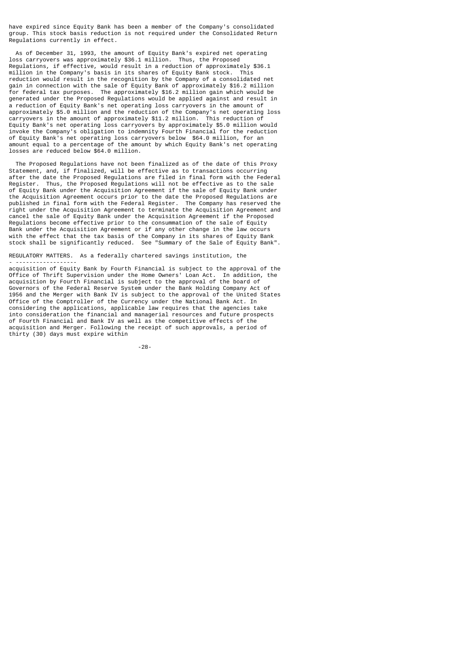have expired since Equity Bank has been a member of the Company's consolidated group. This stock basis reduction is not required under the Consolidated Return Regulations currently in effect.

 As of December 31, 1993, the amount of Equity Bank's expired net operating loss carryovers was approximately \$36.1 million. Thus, the Proposed Regulations, if effective, would result in a reduction of approximately \$36.1 million in the Company's basis in its shares of Equity Bank stock. This reduction would result in the recognition by the Company of a consolidated net gain in connection with the sale of Equity Bank of approximately \$16.2 million for federal tax purposes. The approximately \$16.2 million gain which would be generated under the Proposed Regulations would be applied against and result in a reduction of Equity Bank's net operating loss carryovers in the amount of approximately \$5.0 million and the reduction of the Company's net operating loss carryovers in the amount of approximately \$11.2 million. This reduction of Equity Bank's net operating loss carryovers by approximately \$5.0 million would invoke the Company's obligation to indemnity Fourth Financial for the reduction of Equity Bank's net operating loss carryovers below \$64.0 million, for an amount equal to a percentage of the amount by which Equity Bank's net operating losses are reduced below \$64.0 million.

 The Proposed Regulations have not been finalized as of the date of this Proxy Statement, and, if finalized, will be effective as to transactions occurring after the date the Proposed Regulations are filed in final form with the Federal Register. Thus, the Proposed Regulations will not be effective as to the sale of Equity Bank under the Acquisition Agreement if the sale of Equity Bank under end the Acquisition Agreement occurs prior to the date the Proposed Regulations are<br>published in final form with the Federal Register. The Company has reserved the published in final form with the Federal Register. right under the Acquisition Agreement to terminate the Acquisition Agreement and cancel the sale of Equity Bank under the Acquisition Agreement if the Proposed Regulations become effective prior to the consummation of the sale of Equity Bank under the Acquisition Agreement or if any other change in the law occurs with the effect that the tax basis of the Company in its shares of Equity Bank stock shall be significantly reduced. See "Summary of the Sale of Equity Bank".

REGULATORY MATTERS. As a federally chartered savings institution, the

- ------------------

acquisition of Equity Bank by Fourth Financial is subject to the approval of the Office of Thrift Supervision under the Home Owners' Loan Act. In addition, the acquisition by Fourth Financial is subject to the approval of the board of Governors of the Federal Reserve System under the Bank Holding Company Act of 1956 and the Merger with Bank IV is subject to the approval of the United States Office of the Comptroller of the Currency under the National Bank Act. In considering the applications, applicable law requires that the agencies take into consideration the financial and managerial resources and future prospects of Fourth Financial and Bank IV as well as the competitive effects of the acquisition and Merger. Following the receipt of such approvals, a period of thirty (30) days must expire within

-28-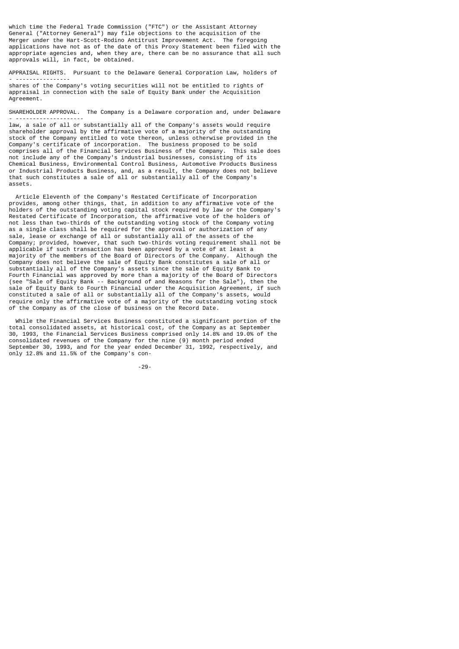which time the Federal Trade Commission ("FTC") or the Assistant Attorney General ("Attorney General") may file objections to the acquisition of the Merger under the Hart-Scott-Rodino Antitrust Improvement Act. The foregoing applications have not as of the date of this Proxy Statement been filed with the appropriate agencies and, when they are, there can be no assurance that all such approvals will, in fact, be obtained.

APPRAISAL RIGHTS. Pursuant to the Delaware General Corporation Law, holders of - ----------------

shares of the Company's voting securities will not be entitled to rights of appraisal in connection with the sale of Equity Bank under the Acquisition Agreement.

SHAREHOLDER APPROVAL. The Company is a Delaware corporation and, under Delaware - --------------------

law, a sale of all or substantially all of the Company's assets would require shareholder approval by the affirmative vote of a majority of the outstanding stock of the Company entitled to vote thereon, unless otherwise provided in the Company's certificate of incorporation. The business proposed to be sold<br>comprises all of the Financial Services Business of the Company. This sale does comprises all of the Financial Services Business of the Company. not include any of the Company's industrial businesses, consisting of its Chemical Business, Environmental Control Business, Automotive Products Business or Industrial Products Business, and, as a result, the Company does not believe that such constitutes a sale of all or substantially all of the Company's assets.

 Article Eleventh of the Company's Restated Certificate of Incorporation provides, among other things, that, in addition to any affirmative vote of the holders of the outstanding voting capital stock required by law or the Company's Restated Certificate of Incorporation, the affirmative vote of the holders of not less than two-thirds of the outstanding voting stock of the Company voting as a single class shall be required for the approval or authorization of any sale, lease or exchange of all or substantially all of the assets of the Company; provided, however, that such two-thirds voting requirement shall not be applicable if such transaction has been approved by a vote of at least a majority of the members of the Board of Directors of the Company. Although the Company does not believe the sale of Equity Bank constitutes a sale of all or substantially all of the Company's assets since the sale of Equity Bank to Fourth Financial was approved by more than a majority of the Board of Directors (see "Sale of Equity Bank -- Background of and Reasons for the Sale"), then the sale of Equity Bank to Fourth Financial under the Acquisition Agreement, if such constituted a sale of all or substantially all of the Company's assets, would require only the affirmative vote of a majority of the outstanding voting stock of the Company as of the close of business on the Record Date.

 While the Financial Services Business constituted a significant portion of the total consolidated assets, at historical cost, of the Company as at September 30, 1993, the Financial Services Business comprised only 14.8% and 19.0% of the consolidated revenues of the Company for the nine (9) month period ended September 30, 1993, and for the year ended December 31, 1992, respectively, and only 12.8% and 11.5% of the Company's con-

-29-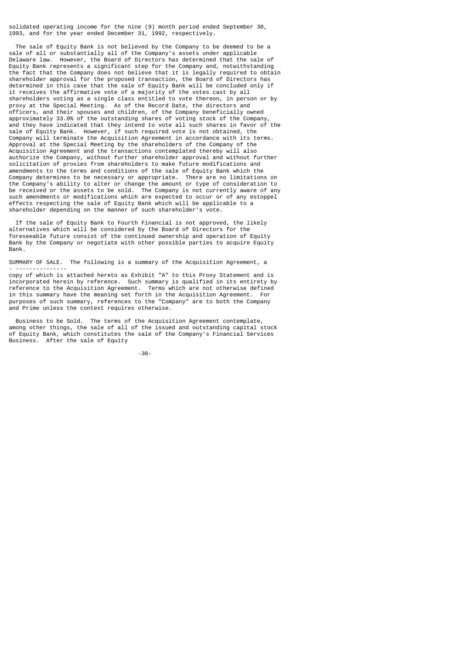solidated operating income for the nine (9) month period ended September 30, 1993, and for the year ended December 31, 1992, respectively.

 The sale of Equity Bank is not believed by the Company to be deemed to be a sale of all or substantially all of the Company's assets under applicable Delaware law. However, the Board of Directors has determined that the sale of Equity Bank represents a significant step for the Company and, notwithstanding the fact that the Company does not believe that it is legally required to obtain shareholder approval for the proposed transaction, the Board of Directors has determined in this case that the sale of Equity Bank will be concluded only if it receives the affirmative vote of a majority of the votes cast by all shareholders voting as a single class entitled to vote thereon, in person or by proxy at the Special Meeting. As of the Record Date, the directors and officers, and their spouses and children, of the Company beneficially owned approximately 33.0% of the outstanding shares of voting stock of the Company, and they have indicated that they intend to vote all such shares in favor of the sale of Equity Bank. However, if such required vote is not obtained, the Company will terminate the Acquisition Agreement in accordance with its terms. Approval at the Special Meeting by the shareholders of the Company of the Acquisition Agreement and the transactions contemplated thereby will also authorize the Company, without further shareholder approval and without further solicitation of proxies from shareholders to make future modifications and amendments to the terms and conditions of the sale of Equity Bank which the Company determines to be necessary or appropriate. There are no limitations on the Company's ability to alter or change the amount or type of consideration to be received or the assets to be sold. The Company is not currently aware of any such amendments or modifications which are expected to occur or of any estoppel effects respecting the sale of Equity Bank which will be applicable to a shareholder depending on the manner of such shareholder's vote.

 If the sale of Equity Bank to Fourth Financial is not approved, the likely alternatives which will be considered by the Board of Directors for the foreseeable future consist of the continued ownership and operation of Equity Bank by the Company or negotiate with other possible parties to acquire Equity Bank.

SUMMARY OF SALE. The following is a summary of the Acquisition Agreement, a - ---------------

copy of which is attached hereto as Exhibit "A" to this Proxy Statement and is incorporated herein by reference. Such summary is qualified in its entirety by reference to the Acquisition Agreement. Terms which are not otherwise defined in this summary have the meaning set forth in the Acquisition Agreement. For purposes of such summary, references to the "Company" are to both the Company and Prime unless the context requires otherwise.

 Business to be Sold. The terms of the Acquisition Agreement contemplate, among other things, the sale of all of the issued and outstanding capital stock of Equity Bank, which constitutes the sale of the Company's Financial Services Business. After the sale of Equity

-30-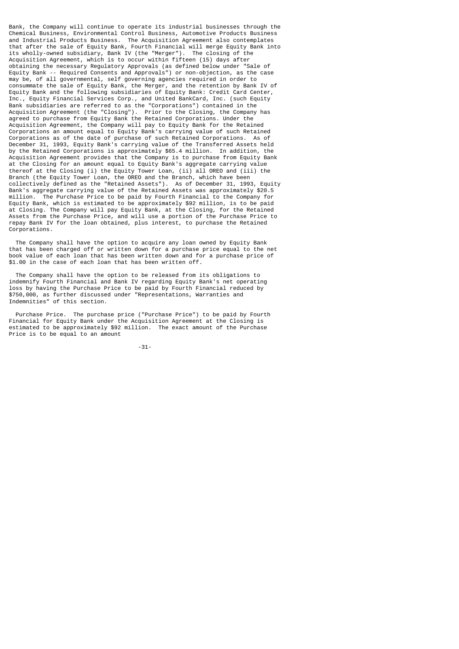Bank, the Company will continue to operate its industrial businesses through the Chemical Business, Environmental Control Business, Automotive Products Business and Industrial Products Business. The Acquisition Agreement also contemplates that after the sale of Equity Bank, Fourth Financial will merge Equity Bank into its wholly-owned subsidiary, Bank IV (the "Merger"). The closing of the Acquisition Agreement, which is to occur within fifteen (15) days after obtaining the necessary Regulatory Approvals (as defined below under "Sale of Equity Bank -- Required Consents and Approvals") or non-objection, as the case may be, of all governmental, self governing agencies required in order to consummate the sale of Equity Bank, the Merger, and the retention by Bank IV of Equity Bank and the following subsidiaries of Equity Bank: Credit Card Center, Inc., Equity Financial Services Corp., and United BankCard, Inc. (such Equity Bank subsidiaries are referred to as the "Corporations") contained in the Acquisition Agreement (the "Closing"). Prior to the Closing, the Company has agreed to purchase from Equity Bank the Retained Corporations. Under the Acquisition Agreement, the Company will pay to Equity Bank for the Retained Corporations an amount equal to Equity Bank's carrying value of such Retained Corporations as of the date of purchase of such Retained Corporations. As of December 31, 1993, Equity Bank's carrying value of the Transferred Assets held by the Retained Corporations is approximately \$65.4 million. In addition, the Acquisition Agreement provides that the Company is to purchase from Equity Bank at the Closing for an amount equal to Equity Bank's aggregate carrying value thereof at the Closing (i) the Equity Tower Loan, (ii) all OREO and (iii) the Branch (the Equity Tower Loan, the OREO and the Branch, which have been collectively defined as the "Retained Assets"). As of December 31, 1993, Equity Bank's aggregate carrying value of the Retained Assets was approximately \$20.5 million. The Purchase Price to be paid by Fourth Financial to the Company for Equity Bank, which is estimated to be approximately \$92 million, is to be paid at Closing. The Company will pay Equity Bank, at the Closing, for the Retained Assets from the Purchase Price, and will use a portion of the Purchase Price to repay Bank IV for the loan obtained, plus interest, to purchase the Retained Corporations.

 The Company shall have the option to acquire any loan owned by Equity Bank that has been charged off or written down for a purchase price equal to the net book value of each loan that has been written down and for a purchase price of \$1.00 in the case of each loan that has been written off.

 The Company shall have the option to be released from its obligations to indemnify Fourth Financial and Bank IV regarding Equity Bank's net operating loss by having the Purchase Price to be paid by Fourth Financial reduced by \$750,000, as further discussed under "Representations, Warranties and Indemnities" of this section.

 Purchase Price. The purchase price ("Purchase Price") to be paid by Fourth Financial for Equity Bank under the Acquisition Agreement at the Closing is estimated to be approximately \$92 million. The exact amount of the Purchase Price is to be equal to an amount

-31-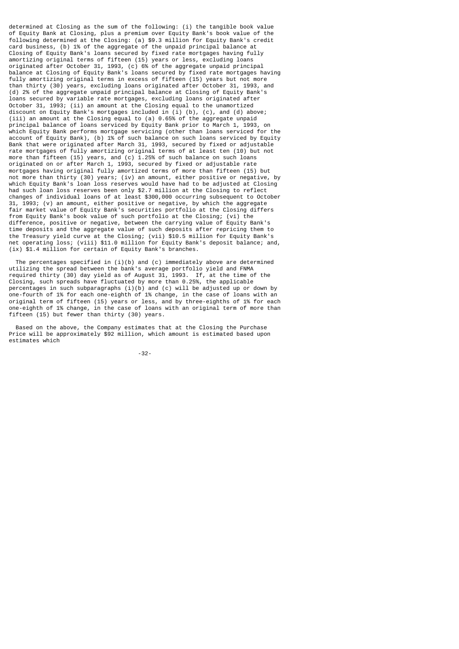determined at Closing as the sum of the following: (i) the tangible book value of Equity Bank at Closing, plus a premium over Equity Bank's book value of the following determined at the Closing: (a) \$9.3 million for Equity Bank's credit card business, (b) 1% of the aggregate of the unpaid principal balance at Closing of Equity Bank's loans secured by fixed rate mortgages having fully amortizing original terms of fifteen (15) years or less, excluding loans originated after October 31, 1993, (c) 6% of the aggregate unpaid principal balance at Closing of Equity Bank's loans secured by fixed rate mortgages having fully amortizing original terms in excess of fifteen (15) years but not more than thirty (30) years, excluding loans originated after October 31, 1993, and (d) 2% of the aggregate unpaid principal balance at Closing of Equity Bank's loans secured by variable rate mortgages, excluding loans originated after October 31, 1993; (ii) an amount at the Closing equal to the unamortized discount on Equity Bank's mortgages included in (i) (b), (c), and (d) above; (iii) an amount at the Closing equal to (a) 0.65% of the aggregate unpaid principal balance of loans serviced by Equity Bank prior to March 1, 1993, on which Equity Bank performs mortgage servicing (other than loans serviced for the account of Equity Bank), (b) 1% of such balance on such loans serviced by Equity Bank that were originated after March 31, 1993, secured by fixed or adjustable rate mortgages of fully amortizing original terms of at least ten (10) but not more than fifteen  $(15)$  years, and  $(c)$  1.25% of such balance on such loans originated on or after March 1, 1993, secured by fixed or adjustable rate mortgages having original fully amortized terms of more than fifteen (15) but not more than thirty (30) years; (iv) an amount, either positive or negative, by which Equity Bank's loan loss reserves would have had to be adjusted at Closing had such loan loss reserves been only \$2.7 million at the Closing to reflect changes of individual loans of at least \$300,000 occurring subsequent to October 31, 1993; (v) an amount, either positive or negative, by which the aggregate fair market value of Equity Bank's securities portfolio at the Closing differs from Equity Bank's book value of such portfolio at the Closing; (vi) the difference, positive or negative, between the carrying value of Equity Bank's time deposits and the aggregate value of such deposits after repricing them to the Treasury yield curve at the Closing; (vii) \$10.5 million for Equity Bank's net operating loss; (viii) \$11.0 million for Equity Bank's deposit balance; and, (ix) \$1.4 million for certain of Equity Bank's branches.

 The percentages specified in (i)(b) and (c) immediately above are determined utilizing the spread between the bank's average portfolio yield and FNMA required thirty (30) day yield as of August 31, 1993. If, at the time of the Closing, such spreads have fluctuated by more than 0.25%, the applicable percentages in such subparagraphs (i)(b) and (c) will be adjusted up or down by one-fourth of 1% for each one-eighth of 1% change, in the case of loans with an original term of fifteen (15) years or less, and by three-eighths of 1% for each one-eighth of 1% change, in the case of loans with an original term of more than fifteen (15) but fewer than thirty (30) years.

 Based on the above, the Company estimates that at the Closing the Purchase Price will be approximately \$92 million, which amount is estimated based upon estimates which

-32-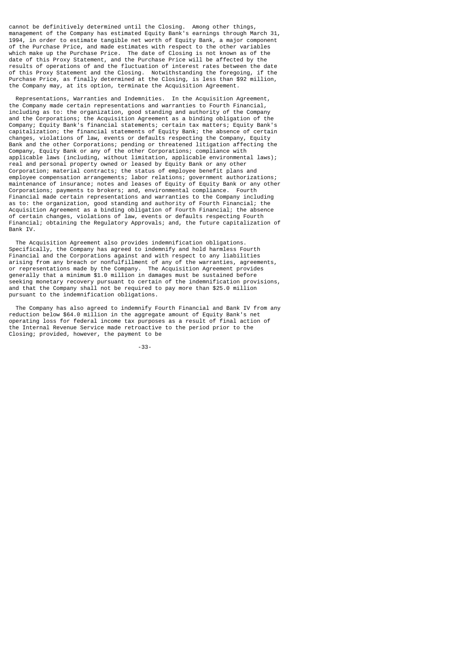cannot be definitively determined until the Closing. Among other things, management of the Company has estimated Equity Bank's earnings through March 31, 1994, in order to estimate tangible net worth of Equity Bank, a major component of the Purchase Price, and made estimates with respect to the other variables which make up the Purchase Price. The date of Closing is not known as of the date of this Proxy Statement, and the Purchase Price will be affected by the results of operations of and the fluctuation of interest rates between the date of this Proxy Statement and the Closing. Notwithstanding the foregoing, if the Purchase Price, as finally determined at the Closing, is less than \$92 million, the Company may, at its option, terminate the Acquisition Agreement.

 Representations, Warranties and Indemnities. In the Acquisition Agreement, the Company made certain representations and warranties to Fourth Financial, including as to: the organization, good standing and authority of the Company and the Corporations; the Acquisition Agreement as a binding obligation of the Company; Equity Bank's financial statements; certain tax matters; Equity Bank's capitalization; the financial statements of Equity Bank; the absence of certain changes, violations of law, events or defaults respecting the Company, Equity Bank and the other Corporations; pending or threatened litigation affecting the Company, Equity Bank or any of the other Corporations; compliance with applicable laws (including, without limitation, applicable environmental laws); real and personal property owned or leased by Equity Bank or any other Corporation; material contracts; the status of employee benefit plans and employee compensation arrangements; labor relations; government authorizations; maintenance of insurance; notes and leases of Equity of Equity Bank or any other Corporations; payments to brokers; and, environmental compliance. Fourth Financial made certain representations and warranties to the Company including as to: the organization, good standing and authority of Fourth Financial; the Acquisition Agreement as a binding obligation of Fourth Financial; the absence of certain changes, violations of law, events or defaults respecting Fourth Financial; obtaining the Regulatory Approvals; and, the future capitalization of Bank IV.

 The Acquisition Agreement also provides indemnification obligations. Specifically, the Company has agreed to indemnify and hold harmless Fourth Financial and the Corporations against and with respect to any liabilities arising from any breach or nonfulfillment of any of the warranties, agreements, or representations made by the Company. The Acquisition Agreement provides generally that a minimum \$1.0 million in damages must be sustained before seeking monetary recovery pursuant to certain of the indemnification provisions, and that the Company shall not be required to pay more than \$25.0 million pursuant to the indemnification obligations.

 The Company has also agreed to indemnify Fourth Financial and Bank IV from any reduction below \$64.0 million in the aggregate amount of Equity Bank's net operating loss for federal income tax purposes as a result of final action of the Internal Revenue Service made retroactive to the period prior to the Closing; provided, however, the payment to be

-33-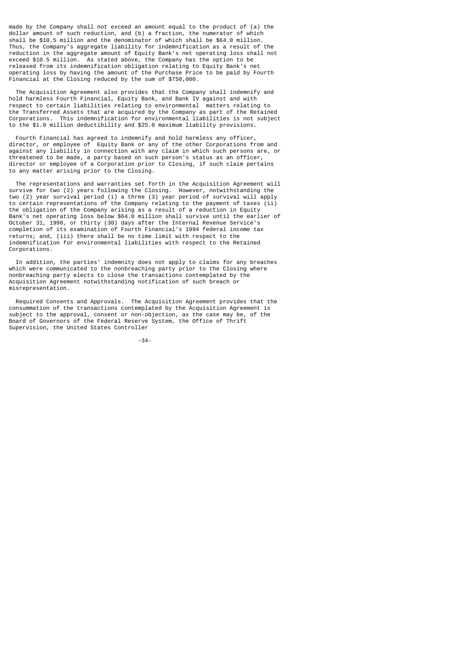made by the Company shall not exceed an amount equal to the product of (a) the dollar amount of such reduction, and (b) a fraction, the numerator of which shall be \$10.5 million and the denominator of which shall be \$64.0 million. Thus, the Company's aggregate liability for indemnification as a result of the reduction in the aggregate amount of Equity Bank's net operating loss shall not exceed \$10.5 million. As stated above, the Company has the option to be released from its indemnification obligation relating to Equity Bank's net operating loss by having the amount of the Purchase Price to be paid by Fourth Financial at the Closing reduced by the sum of \$750,000.

 The Acquisition Agreement also provides that the Company shall indemnify and hold harmless Fourth Financial, Equity Bank, and Bank IV against and with respect to certain liabilities relating to environmental matters relating to the Transferred Assets that are acquired by the Company as part of the Retained Corporations. This indemnification for environmental liabilities is not subject to the \$1.0 million deductibility and \$25.0 maximum liability provisions.

 Fourth Financial has agreed to indemnify and hold harmless any officer, director, or employee of Equity Bank or any of the other Corporations from and against any liability in connection with any claim in which such persons are, or threatened to be made, a party based on such person's status as an officer, director or employee of a Corporation prior to Closing, if such claim pertains to any matter arising prior to the Closing.

 The representations and warranties set forth in the Acquisition Agreement will survive for two (2) years following the Closing. However, notwithstanding the two (2) year survival period (i) a three (3) year period of survival will apply to certain representations of the Company relating to the payment of taxes (ii) the obligation of the Company arising as a result of a reduction in Equity Bank's net operating loss below \$64.0 million shall survive until the earlier of October 31, 1998, or thirty (30) days after the Internal Revenue Service's completion of its examination of Fourth Financial's 1994 federal income tax returns; and, (iii) there shall be no time limit with respect to the indemnification for environmental liabilities with respect to the Retained Corporations.

 In addition, the parties' indemnity does not apply to claims for any breaches which were communicated to the nonbreaching party prior to the Closing where nonbreaching party elects to close the transactions contemplated by the Acquisition Agreement notwithstanding notification of such breach or misrepresentation.

 Required Consents and Approvals. The Acquisition Agreement provides that the consummation of the transactions contemplated by the Acquisition Agreement is subject to the approval, consent or non-objection, as the case may be, of the Board of Governors of the Federal Reserve System, the Office of Thrift Supervision, the United States Controller

-34-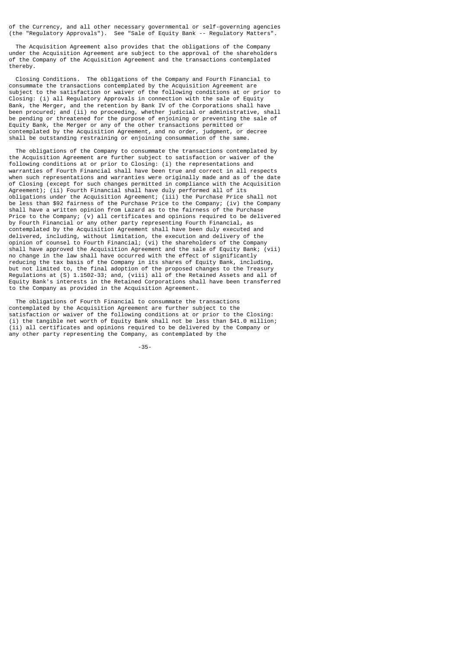of the Currency, and all other necessary governmental or self-governing agencies (the "Regulatory Approvals"). See "Sale of Equity Bank -- Regulatory Matters".

 The Acquisition Agreement also provides that the obligations of the Company under the Acquisition Agreement are subject to the approval of the shareholders of the Company of the Acquisition Agreement and the transactions contemplated thereby.

 Closing Conditions. The obligations of the Company and Fourth Financial to consummate the transactions contemplated by the Acquisition Agreement are subject to the satisfaction or waiver of the following conditions at or prior to Closing: (i) all Regulatory Approvals in connection with the sale of Equity Bank, the Merger, and the retention by Bank IV of the Corporations shall have been procured; and (ii) no proceeding, whether judicial or administrative, shall be pending or threatened for the purpose of enjoining or preventing the sale of Equity Bank, the Merger or any of the other transactions permitted or contemplated by the Acquisition Agreement, and no order, judgment, or decree shall be outstanding restraining or enjoining consummation of the same.

 The obligations of the Company to consummate the transactions contemplated by the Acquisition Agreement are further subject to satisfaction or waiver of the following conditions at or prior to Closing: (i) the representations and warranties of Fourth Financial shall have been true and correct in all respects when such representations and warranties were originally made and as of the date of Closing (except for such changes permitted in compliance with the Acquisition Agreement); (ii) Fourth Financial shall have duly performed all of its obligations under the Acquisition Agreement; (iii) the Purchase Price shall not be less than \$92 fairness of the Purchase Price to the Company; (iv) the Company shall have a written opinion from Lazard as to the fairness of the Purchase Price to the Company; (v) all certificates and opinions required to be delivered by Fourth Financial or any other party representing Fourth Financial, as contemplated by the Acquisition Agreement shall have been duly executed and delivered, including, without limitation, the execution and delivery of the opinion of counsel to Fourth Financial; (vi) the shareholders of the Company shall have approved the Acquisition Agreement and the sale of Equity Bank; (vii) no change in the law shall have occurred with the effect of significantly reducing the tax basis of the Company in its shares of Equity Bank, including, but not limited to, the final adoption of the proposed changes to the Treasury Regulations at (S) 1.1502-33; and, (viii) all of the Retained Assets and all of Equity Bank's interests in the Retained Corporations shall have been transferred to the Company as provided in the Acquisition Agreement.

 The obligations of Fourth Financial to consummate the transactions contemplated by the Acquisition Agreement are further subject to the satisfaction or waiver of the following conditions at or prior to the Closing: (i) the tangible net worth of Equity Bank shall not be less than \$41.0 million; (ii) all certificates and opinions required to be delivered by the Company or any other party representing the Company, as contemplated by the

-35-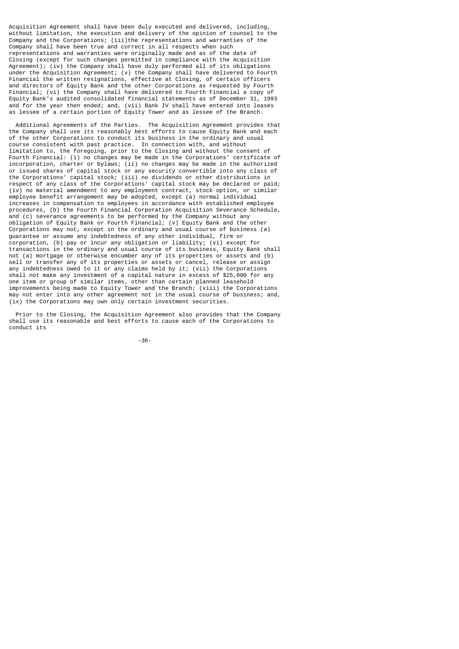Acquisition Agreement shall have been duly executed and delivered, including, without limitation, the execution and delivery of the opinion of counsel to the Company and the Corporations; (iii)the representations and warranties of the Company shall have been true and correct in all respects when such representations and warranties were originally made and as of the date of Closing (except for such changes permitted in compliance with the Acquisition Agreement); (iv) the Company shall have duly performed all of its obligations under the Acquisition Agreement; (v) the Company shall have delivered to Fourth Financial the written resignations, effective at Closing, of certain officers and directors of Equity Bank and the other Corporations as requested by Fourth Financial; (vi) the Company shall have delivered to Fourth Financial a copy of Equity Bank's audited consolidated financial statements as of December 31, 1993 and for the year then ended; and, (vii) Bank IV shall have entered into leases as lessee of a certain portion of Equity Tower and as lessee of the Branch.

 Additional Agreements of the Parties. The Acquisition Agreement provides that the Company shall use its reasonably best efforts to cause Equity Bank and each of the other Corporations to conduct its business in the ordinary and usual course consistent with past practice. In connection with, and without limitation to, the foregoing, prior to the Closing and without the consent of Fourth Financial: (i) no changes may be made in the Corporations' certificate of incorporation, charter or bylaws; (ii) no changes may be made in the authorized or issued shares of capital stock or any security convertible into any class of the Corporations' capital stock; (iii) no dividends or other distributions in respect of any class of the Corporations' capital stock may be declared or paid; (iv) no material amendment to any employment contract, stock option, or similar employee benefit arrangement may be adopted, except (a) normal individual increases in compensation to employees in accordance with established employee procedures, (b) the Fourth Financial Corporation Acquisition Severance Schedule, and (c) severance agreements to be performed by the Company without any obligation of Equity Bank or Fourth Financial; (v) Equity Bank and the other Corporations may not, except in the ordinary and usual course of business (a) guarantee or assume any indebtedness of any other individual, firm or corporation, (b) pay or incur any obligation or liability; (vi) except for transactions in the ordinary and usual course of its business, Equity Bank shall not (a) mortgage or otherwise encumber any of its properties or assets and (b) sell or transfer any of its properties or assets or cancel, release or assign any indebtedness owed to it or any claims held by it; (vii) the Corporations shall not make any investment of a capital nature in excess of \$25,000 for any one item or group of similar items, other than certain planned leasehold improvements being made to Equity Tower and the Branch; (viii) the Corporations may not enter into any other agreement not in the usual course of business; and, (ix) the Corporations may own only certain investment securities.

 Prior to the Closing, the Acquisition Agreement also provides that the Company shall use its reasonable and best efforts to cause each of the Corporations to conduct its

-36-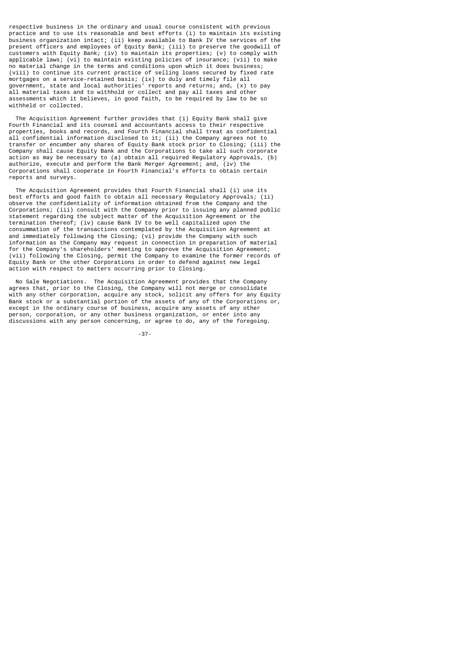respective business in the ordinary and usual course consistent with previous practice and to use its reasonable and best efforts (i) to maintain its existing business organization intact; (ii) keep available to Bank IV the services of the present officers and employees of Equity Bank; (iii) to preserve the goodwill of customers with Equity Bank; (iv) to maintain its properties; (v) to comply with applicable laws; (vi) to maintain existing policies of insurance; (vii) to make no material change in the terms and conditions upon which it does business; (viii) to continue its current practice of selling loans secured by fixed rate mortgages on a service-retained basis; (ix) to duly and timely file all government, state and local authorities' reports and returns; and, (x) to pay all material taxes and to withhold or collect and pay all taxes and other assessments which it believes, in good faith, to be required by law to be so withheld or collected.

 The Acquisition Agreement further provides that (i) Equity Bank shall give Fourth Financial and its counsel and accountants access to their respective properties, books and records, and Fourth Financial shall treat as confidential all confidential information disclosed to it; (ii) the Company agrees not to transfer or encumber any shares of Equity Bank stock prior to Closing; (iii) the Company shall cause Equity Bank and the Corporations to take all such corporate action as may be necessary to (a) obtain all required Regulatory Approvals, (b) authorize, execute and perform the Bank Merger Agreement; and, (iv) the Corporations shall cooperate in Fourth Financial's efforts to obtain certain reports and surveys.

 The Acquisition Agreement provides that Fourth Financial shall (i) use its best efforts and good faith to obtain all necessary Regulatory Approvals; (ii) observe the confidentiality of information obtained from the Company and the Corporations; (iii) consult with the Company prior to issuing any planned public statement regarding the subject matter of the Acquisition Agreement or the termination thereof; (iv) cause Bank IV to be well capitalized upon the consummation of the transactions contemplated by the Acquisition Agreement at and immediately following the Closing; (vi) provide the Company with such information as the Company may request in connection in preparation of material for the Company's shareholders' meeting to approve the Acquisition Agreement; (vii) following the Closing, permit the Company to examine the former records of Equity Bank or the other Corporations in order to defend against new legal action with respect to matters occurring prior to Closing.

 No Sale Negotiations. The Acquisition Agreement provides that the Company agrees that, prior to the Closing, the Company will not merge or consolidate with any other corporation, acquire any stock, solicit any offers for any Equity Bank stock or a substantial portion of the assets of any of the Corporations or, except in the ordinary course of business, acquire any assets of any other person, corporation, or any other business organization, or enter into any discussions with any person concerning, or agree to do, any of the foregoing.

-37-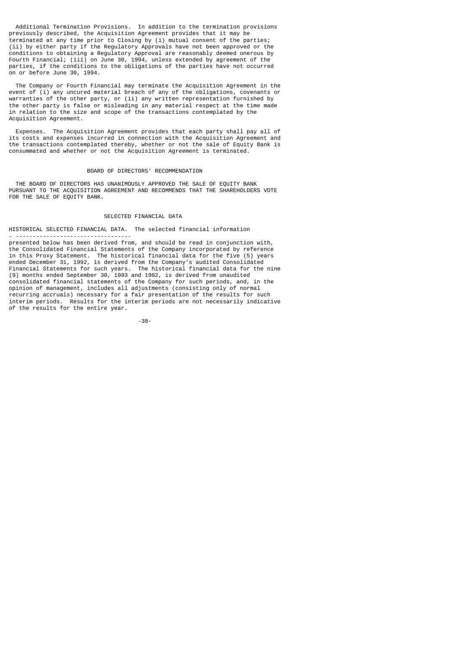Additional Termination Provisions. In addition to the termination provisions previously described, the Acquisition Agreement provides that it may be terminated at any time prior to Closing by (i) mutual consent of the parties; (ii) by either party if the Regulatory Approvals have not been approved or the conditions to obtaining a Regulatory Approval are reasonably deemed onerous by Fourth Financial; (iii) on June 30, 1994, unless extended by agreement of the parties, if the conditions to the obligations of the parties have not occurred on or before June 30, 1994.

 The Company or Fourth Financial may terminate the Acquisition Agreement in the event of (i) any uncured material breach of any of the obligations, covenants or warranties of the other party, or (ii) any written representation furnished by the other party is false or misleading in any material respect at the time made in relation to the size and scope of the transactions contemplated by the Acquisition Agreement.

 Expenses. The Acquisition Agreement provides that each party shall pay all of its costs and expenses incurred in connection with the Acquisition Agreement and the transactions contemplated thereby, whether or not the sale of Equity Bank is consummated and whether or not the Acquisition Agreement is terminated.

### BOARD OF DIRECTORS' RECOMMENDATION

 THE BOARD OF DIRECTORS HAS UNANIMOUSLY APPROVED THE SALE OF EQUITY BANK PURSUANT TO THE ACQUISITION AGREEMENT AND RECOMMENDS THAT THE SHAREHOLDERS VOTE FOR THE SALE OF EQUITY BANK.

## SELECTED FINANCIAL DATA

HISTORICAL SELECTED FINANCIAL DATA. The selected financial information

- --------------------------------- presented below has been derived from, and should be read in conjunction with, the Consolidated Financial Statements of the Company incorporated by reference in this Proxy Statement. The historical financial data for the five (5) years ended December 31, 1992, is derived from the Company's audited Consolidated Financial Statements for such years. The historical financial data for the nine (9) months ended September 30, 1993 and 1992, is derived from unaudited consolidated financial statements of the Company for such periods, and, in the opinion of management, includes all adjustments (consisting only of normal recurring accruals) necessary for a fair presentation of the results for such interim periods. Results for the interim periods are not necessarily indicative of the results for the entire year.

-38-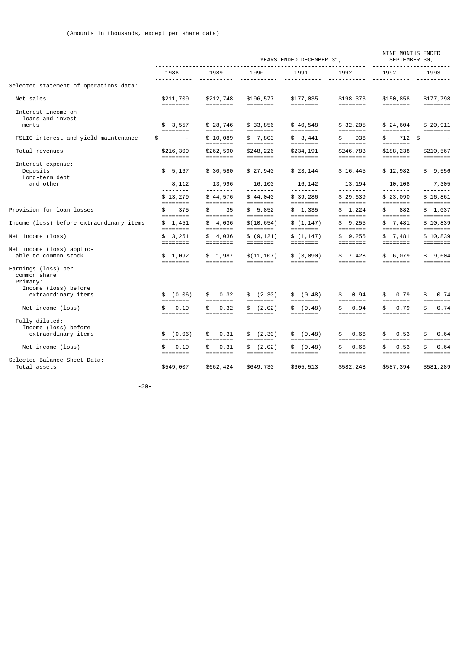|                                                                          |                                                                                      |                                               |                       | YEARS ENDED DECEMBER 31,                                                             |                         | NINE MONTHS ENDED<br>SEPTEMBER 30,    |                                                                                     |
|--------------------------------------------------------------------------|--------------------------------------------------------------------------------------|-----------------------------------------------|-----------------------|--------------------------------------------------------------------------------------|-------------------------|---------------------------------------|-------------------------------------------------------------------------------------|
|                                                                          | 1988<br><u> - - - - - - - - - - -</u>                                                | 1989<br>.                                     | 1990<br>-----------   | 1991                                                                                 | 1992                    | 1992<br><u> - - - - - - - - - - -</u> | 1993<br><u> - - - - - - - - - -</u>                                                 |
| Selected statement of operations data:                                   |                                                                                      |                                               |                       |                                                                                      |                         |                                       |                                                                                     |
| Net sales                                                                | \$211,709<br>========                                                                | \$212,748                                     | \$196,577             | \$177,035<br>========                                                                | \$198,373               | \$150,858                             | \$177,798<br>========                                                               |
| Interest income on<br>loans and invest-                                  |                                                                                      |                                               |                       |                                                                                      |                         |                                       |                                                                                     |
| ments                                                                    | \$3,557<br>$\qquad \qquad \equiv \equiv \equiv \equiv \equiv \equiv \equiv \equiv$   | \$28,746<br>========                          | \$33,856              | \$40,548                                                                             | \$32,205                | \$24,604                              | \$20,911<br>$\qquad \qquad \equiv \equiv \equiv \equiv \equiv \equiv \equiv \equiv$ |
| FSLIC interest and yield maintenance                                     | \$                                                                                   | \$10,089<br>========                          | \$7,803               | \$3,441                                                                              | 936<br>\$               | 712 \$<br>\$.                         | $\overline{a}$                                                                      |
| Total revenues                                                           | \$216,309                                                                            | \$262,590<br>========                         | \$248,226             | \$234,191<br>========                                                                | \$246,783               | \$188,238                             | \$210,567                                                                           |
| Interest expense:<br>Deposits<br>Long-term debt                          | \$5,167                                                                              | \$30,580                                      | \$27,940              | \$23,144                                                                             | \$16,445                | \$12,982                              | \$9,556                                                                             |
| and other                                                                | 8,112                                                                                | 13,996                                        | 16,100                | 16,142                                                                               | 13,194                  | 10,108                                | 7,305                                                                               |
|                                                                          | \$13,279<br>$\qquad \qquad \equiv \equiv \equiv \equiv \equiv \equiv \equiv \equiv$  | \$44,576<br>========                          | \$44,040              | \$39,286                                                                             | \$29,639                | \$23,090                              | \$16,861                                                                            |
| Provision for loan losses                                                | 375<br>\$<br>$\qquad \qquad \equiv \equiv \equiv \equiv \equiv \equiv \equiv \equiv$ | 35<br>\$                                      | \$5,852               | \$1,335                                                                              | \$1,224                 | 882<br>\$.                            | \$1,037<br>$=$ $=$ $=$ $=$ $=$ $=$ $=$ $=$                                          |
| Income (loss) before extraordinary items                                 | \$1,451<br>$\qquad \qquad \equiv \equiv \equiv \equiv \equiv \equiv \equiv \equiv$   | \$4,036<br>$=$ $=$ $=$ $=$ $=$ $=$ $=$ $=$    | \$(10, 654)           | \$(1, 147)                                                                           | \$9,255                 | \$7,481                               | \$10,839                                                                            |
| Net income (loss)                                                        | \$3,251<br>========                                                                  | \$4,036<br>========                           | \$ (9, 121)           | \$(1, 147)<br>========                                                               | \$9,255<br>========     | \$7,481<br>========                   | \$10,839<br>========                                                                |
| Net income (loss) applic-<br>able to common stock                        | \$1,092                                                                              | \$1,987<br>========                           | \$(11, 107)           | \$(3,090)                                                                            | \$7,428                 | \$6,079                               | \$9,604<br>========                                                                 |
| Earnings (loss) per<br>common share:<br>Primary:<br>Income (loss) before |                                                                                      |                                               |                       |                                                                                      |                         |                                       |                                                                                     |
| extraordinary items                                                      | \$<br>(0.06)<br>========                                                             | 0.32<br>\$<br>========                        | \$ (2.30)             | (0.48)<br>\$<br>========                                                             | 0.94<br>\$.<br>======== | 0.79<br>\$<br>========                | 0.74<br>\$<br>$=$ $=$ $=$ $=$ $=$ $=$ $=$ $=$                                       |
| Net income (loss)                                                        | \$<br>0.19<br>========                                                               | 0.32<br>\$<br>========                        | \$ (2.02)<br>======== | \$ (0.48)<br>$=$ $=$ $=$ $=$ $=$ $=$ $=$ $=$                                         | 0.94<br>\$.<br>======== | 0.79<br>\$<br>========                | 0.74<br>\$<br>========                                                              |
| Fully diluted:<br>Income (loss) before                                   |                                                                                      |                                               |                       |                                                                                      |                         |                                       |                                                                                     |
| extraordinary items                                                      | \$ (0.06)<br>$\qquad \qquad \equiv \equiv \equiv \equiv \equiv \equiv \equiv \equiv$ | 0.31<br>\$<br>$=$ $=$ $=$ $=$ $=$ $=$ $=$ $=$ | \$ (2.30)             | \$ (0.48)<br>$\qquad \qquad \equiv \equiv \equiv \equiv \equiv \equiv \equiv \equiv$ | 0.66<br>\$              | 0.53<br>\$                            | \$<br>0.64<br>========                                                              |
| Net income (loss)                                                        | 0.19<br>\$                                                                           | 0.31<br>\$<br>========                        | \$ (2.02)             | \$ (0.48)<br>$\qquad \qquad \equiv \equiv \equiv \equiv \equiv \equiv \equiv \equiv$ | 0.66<br>\$              | 0.53<br>\$                            | \$<br>0.64<br>========                                                              |
| Selected Balance Sheet Data:<br>Total assets                             | \$549,007                                                                            | \$662,424                                     | \$649,730             | \$605,513                                                                            | \$582,248               | \$587,394                             | \$581,289                                                                           |
|                                                                          |                                                                                      |                                               |                       |                                                                                      |                         |                                       |                                                                                     |

-39-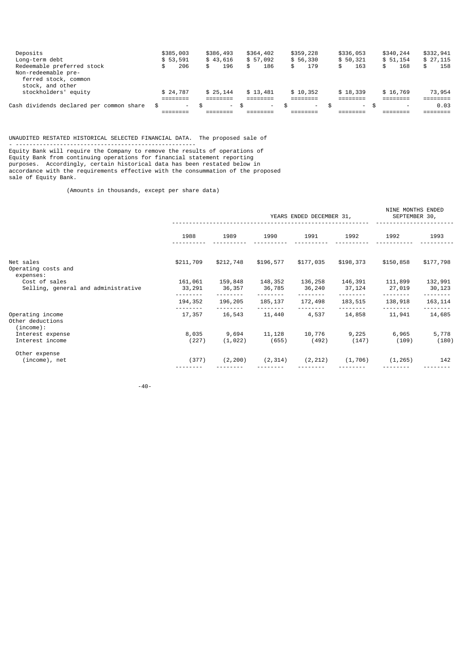| Cash dividends declared per common share                         | - \$<br>$\sim$ | $\sim$    | - \$      | - \$<br>$\overline{\phantom{a}}$ | $-$ \$<br>- SS | $\overline{\phantom{0}}$ | 0.03      |
|------------------------------------------------------------------|----------------|-----------|-----------|----------------------------------|----------------|--------------------------|-----------|
|                                                                  |                |           |           |                                  |                |                          |           |
| ferred stock, common<br>stock, and other<br>stockholders' equity | \$24,787       | \$25.144  | \$13,481  | \$10.352                         | \$18,339       | \$16,769                 | 73,954    |
| Non-redeemable pre-                                              |                |           |           |                                  |                |                          |           |
| Redeemable preferred stock                                       | 206<br>\$      | 196       | \$<br>186 | \$<br>179                        | 163<br>\$      | 168<br>\$                | \$<br>158 |
| Long-term debt                                                   | \$53.591       | \$43,616  | \$57,092  | \$56,330                         | \$50.321       | \$51.154                 | \$27,115  |
| Deposits                                                         | \$385,003      | \$386,493 | \$364,402 | \$359,228                        | \$336,053      | \$340,244                | \$332,941 |

UNAUDITED RESTATED HISTORICAL SELECTED FINANCIAL DATA. The proposed sale of

- ----------------------------------------------------- Equity Bank will require the Company to remove the results of operations of Equity Bank from continuing operations for financial statement reporting purposes. Accordingly, certain historical data has been restated below in accordance with the requirements effective with the consummation of the proposed sale of Equity Bank.

(Amounts in thousands, except per share data)

|                                                      |                   |                   |                   | YEARS ENDED DECEMBER 31, | NINE MONTHS ENDED<br>SEPTEMBER 30, |                   |                   |
|------------------------------------------------------|-------------------|-------------------|-------------------|--------------------------|------------------------------------|-------------------|-------------------|
|                                                      | 1988              | 1989              | 1990              | 1991                     | 1992                               | 1992              | 1993              |
| Net sales<br>Operating costs and<br>expenses:        | \$211,709         | \$212,748         | \$196,577         | \$177,035                | \$198,373                          | \$150,858         | \$177,798         |
| Cost of sales<br>Selling, general and administrative | 161,061<br>33,291 | 159,848<br>36,357 | 148,352<br>36,785 | 136,258<br>36,240        | 146,391<br>37,124                  | 111,899<br>27,019 | 132,991<br>30,123 |
|                                                      | 194,352           | 196,205           | 185,137           | 172,498                  | 183,515                            | 138,918           | 163, 114          |
| Operating income<br>Other deductions<br>(income):    | 17,357            | 16,543            | 11,440            | 4,537                    | 14,858                             | 11,941            | 14,685            |
| Interest expense<br>Interest income                  | 8,035<br>(227)    | 9,694<br>(1, 022) | 11,128<br>(655)   | 10,776<br>(492)          | 9,225<br>(147)                     | 6,965<br>(109)    | 5,778<br>(180)    |
| Other expense<br>(income), net                       | (377)             | (2, 200)          | (2, 314)          | (2, 212)                 | (1, 706)                           | (1, 265)          | 142               |

-40-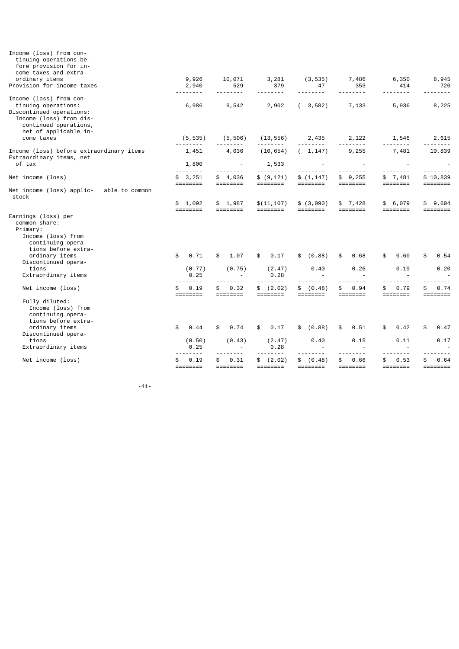| Income (loss) from con-<br>tinuing operations be-<br>fore provision for in-<br>come taxes and extra-                                                                                        |                                                                                    |                                                  |                                                         |                                              |                                             |                                |                                |
|---------------------------------------------------------------------------------------------------------------------------------------------------------------------------------------------|------------------------------------------------------------------------------------|--------------------------------------------------|---------------------------------------------------------|----------------------------------------------|---------------------------------------------|--------------------------------|--------------------------------|
| ordinary items<br>Provision for income taxes                                                                                                                                                | 9,926<br>2,940                                                                     | 10,071<br>529                                    | 3,281<br>379                                            | (3, 535)<br>47                               | 7,486<br>353                                | 6,350<br>414                   | 8,945<br>720                   |
| Income (loss) from con-<br>tinuing operations:<br>Discontinued operations:<br>Income (loss) from dis-<br>continued operations,<br>net of applicable in-                                     | ------<br>6,986                                                                    | <u> - - - - - - -</u><br>9,542                   | $\frac{1}{2}$<br>2,902                                  | -----<br>(3, 582)                            | $- - - - -$<br>7,133                        | 5,936                          | $- - - - - -$<br>8,225         |
| come taxes                                                                                                                                                                                  | (5, 535)<br>.                                                                      | (5, 506)                                         | (13, 556)<br>.                                          | 2,435                                        | 2,122                                       | 1,546                          | 2,615                          |
| Income (loss) before extraordinary items<br>Extraordinary items, net                                                                                                                        | 1,451                                                                              | 4,036                                            | (10, 654)                                               | (1, 147)                                     | 9,255                                       | 7,481                          | 10,839                         |
| of tax                                                                                                                                                                                      | 1,800<br><u> - - - - - - -</u>                                                     | <b>Contractor</b>                                | 1,533                                                   |                                              |                                             | <u> - - - - - - - -</u>        |                                |
| Net income (loss)                                                                                                                                                                           | \$3,251                                                                            | \$4,036                                          | \$ (9, 121)                                             | \$(1, 147)                                   | \$9,255                                     | \$7,481                        | \$10,839                       |
| Net income (loss) applic-<br>able to common<br>stock                                                                                                                                        | ========                                                                           |                                                  | ========                                                |                                              |                                             |                                | ========                       |
|                                                                                                                                                                                             | \$1,092<br>$\qquad \qquad \equiv \equiv \equiv \equiv \equiv \equiv \equiv \equiv$ | \$1,987                                          | \$(11, 107)<br>========                                 | \$(3,090)                                    | \$7,428<br>========                         | \$6,079<br>========            | \$9,604<br>========            |
| Earnings (loss) per<br>common share:<br>Primary:<br>Income (loss) from<br>continuing opera-<br>tions before extra-<br>ordinary items<br>Discontinued opera-<br>tions<br>Extraordinary items | 0.71<br>\$<br>(0.77)<br>0.25                                                       | \$<br>1.07<br>(0.75)<br>$\overline{\phantom{a}}$ | 0.17<br>\$<br>(2.47)<br>0.28                            | \$<br>(0.88)<br>0.40                         | 0.68<br>\$<br>0.26                          | 0.60<br>\$<br>0.19             | 0.54<br>\$<br>0.20             |
| Net income (loss)                                                                                                                                                                           | .<br>0.19<br>\$.                                                                   | -----<br>0.32<br>\$                              | \$ (2.02)                                               | <u>.</u><br>\$ (0.48)                        | ----<br>0.94<br>\$                          | $\frac{1}{2}$<br>0.79<br>\$    | 0.74<br>\$                     |
| Fully diluted:<br>Income (loss) from<br>continuing opera-<br>tions before extra-<br>ordinary items<br>Discontinued opera-<br>tions<br>Extraordinary items                                   | ========<br>\$<br>0.44<br>(0.50)<br>0.25<br>$- - - -$                              | ========<br>0.74<br>\$<br>(0.43)                 | ========<br>\$<br>0.17<br>(2.47)<br>0.28<br>$- - - - -$ | ========<br>\$ (0.88)<br>0.40<br>$- - - - -$ | ========<br>\$<br>0.51<br>0.15<br>$- - - -$ | ========<br>0.42<br>\$<br>0.11 | ========<br>\$<br>0.47<br>0.17 |
| Net income (loss)                                                                                                                                                                           | 0.19<br>========                                                                   | 0.31<br>\$.                                      | \$ (2.02)<br>========                                   | \$ (0.48)                                    | 0.66<br>\$<br>========                      | 0.53<br>\$<br>========         | 0.64<br>\$<br>========         |

-41-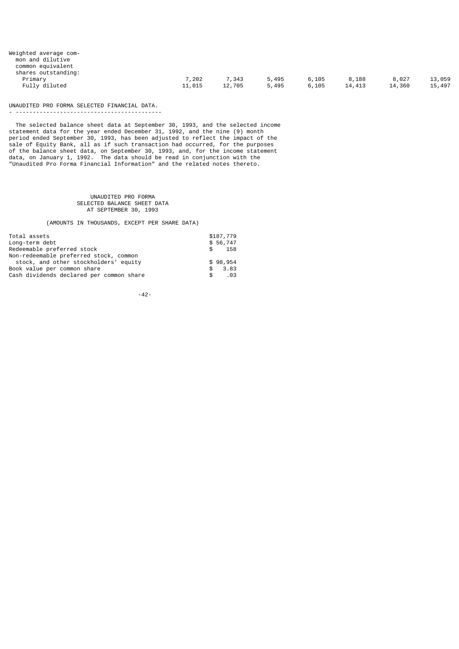| Weighted average com- |        |        |       |       |        |        |        |
|-----------------------|--------|--------|-------|-------|--------|--------|--------|
| mon and dilutive      |        |        |       |       |        |        |        |
| common equivalent     |        |        |       |       |        |        |        |
| shares outstanding:   |        |        |       |       |        |        |        |
| Primary               | 7,202  | 7,343  | 5,495 | 6,105 | 8,188  | 8,027  | 13,059 |
| Fully diluted         | 11,015 | 12,705 | 5,495 | 6.105 | 14,413 | 14,360 | 15,497 |
|                       |        |        |       |       |        |        |        |

UNAUDITED PRO FORMA SELECTED FINANCIAL DATA.

- -------------------------------------------

 The selected balance sheet data at September 30, 1993, and the selected income statement data for the year ended December 31, 1992, and the nine (9) month period ended September 30, 1993, has been adjusted to reflect the impact of the sale of Equity Bank, all as if such transaction had occurred, for the purposes of the balance sheet data, on September 30, 1993, and, for the income statement data, on January 1, 1992. The data should be read in conjunction with the "Unaudited Pro Forma Financial Information" and the related notes thereto.

> UNAUDITED PRO FORMA SELECTED BALANCE SHEET DATA AT SEPTEMBER 30, 1993

(AMOUNTS IN THOUSANDS, EXCEPT PER SHARE DATA)

| Total assets                                    | \$187,779 |
|-------------------------------------------------|-----------|
| Long-term debt                                  | \$56,747  |
| Redeemable preferred stock<br>S.                | 158       |
| Non-redeemable preferred stock, common          |           |
| stock, and other stockholders' equity           | \$98,954  |
| Book value per common share                     | \$3.83    |
| Cash dividends declared per common share<br>\$. | .03       |

-42-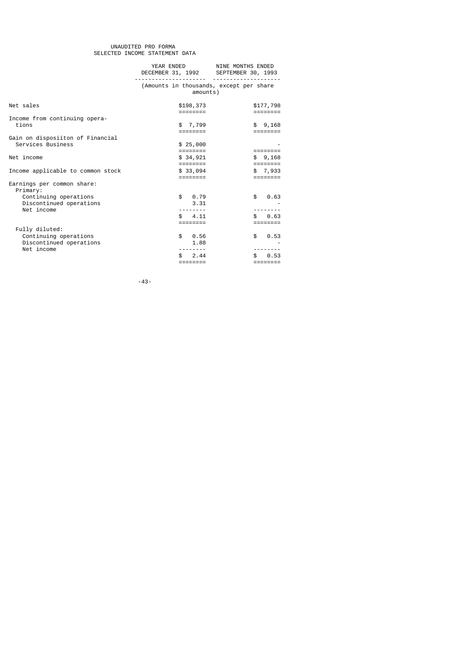#### UNAUDITED PRO FORMA SELECTED INCOME STATEMENT DATA

|                                                                | YEAR ENDED<br>DECEMBER 31, 1992 SEPTEMBER 30, 1993  | NINE MONTHS ENDED       |
|----------------------------------------------------------------|-----------------------------------------------------|-------------------------|
|                                                                | (Amounts in thousands, except per share<br>amounts) |                         |
| Net sales                                                      | \$198,373<br>========                               | \$177,798<br>========   |
| Income from continuing opera-<br>tions                         | \$7,799                                             | \$9,168                 |
| Gain on disposiiton of Financial<br>Services Business          | \$25,000                                            | ========                |
| Net income                                                     | \$34,921<br>========                                | \$9,168<br>========     |
| Income applicable to common stock                              | \$33,094<br>========                                | \$7,933<br>========     |
| Earnings per common share:<br>Primary:                         |                                                     |                         |
| Continuing operations<br>Discontinued operations<br>Net income | 0.79<br>$\mathbb{S}$<br>3.31                        | \$<br>0.63              |
|                                                                | 4.11<br>\$.                                         | 0.63<br>\$.             |
| Fully diluted:                                                 |                                                     |                         |
| Continuing operations<br>Discontinued operations               | \$<br>0.56<br>1.88                                  | \$<br>0.53              |
| Net income                                                     | 2.44<br>\$.<br>========                             | 0.53<br>\$.<br>======== |
|                                                                |                                                     |                         |

-43-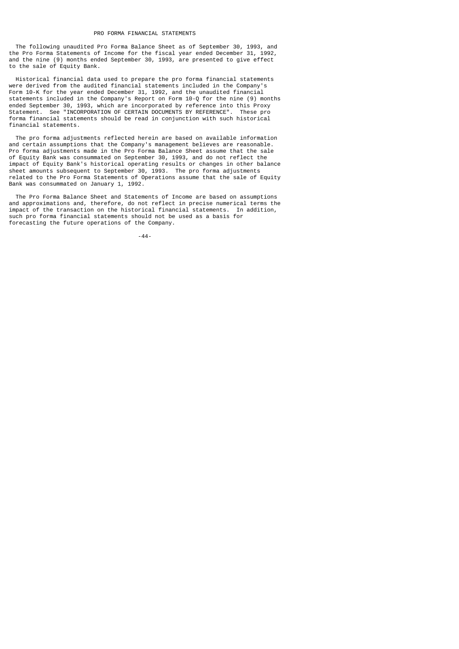The following unaudited Pro Forma Balance Sheet as of September 30, 1993, and the Pro Forma Statements of Income for the fiscal year ended December 31, 1992, and the nine (9) months ended September 30, 1993, are presented to give effect to the sale of Equity Bank.

 Historical financial data used to prepare the pro forma financial statements were derived from the audited financial statements included in the Company's Form 10-K for the year ended December 31, 1992, and the unaudited financial statements included in the Company's Report on Form 10-Q for the nine (9) months ended September 30, 1993, which are incorporated by reference into this Proxy Statement. See "INCORPORATION OF CERTAIN DOCUMENTS BY REFERENCE". These pro forma financial statements should be read in conjunction with such historical financial statements.

 The pro forma adjustments reflected herein are based on available information and certain assumptions that the Company's management believes are reasonable. Pro forma adjustments made in the Pro Forma Balance Sheet assume that the sale of Equity Bank was consummated on September 30, 1993, and do not reflect the impact of Equity Bank's historical operating results or changes in other balance sheet amounts subsequent to September 30, 1993. The pro forma adjustments related to the Pro Forma Statements of Operations assume that the sale of Equity Bank was consummated on January 1, 1992.

 The Pro Forma Balance Sheet and Statements of Income are based on assumptions and approximations and, therefore, do not reflect in precise numerical terms the impact of the transaction on the historical financial statements. In addition, such pro forma financial statements should not be used as a basis for forecasting the future operations of the Company.

-44-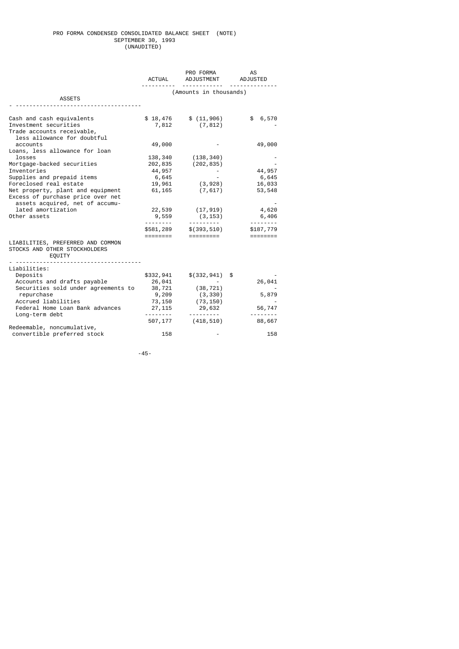### PRO FORMA CONDENSED CONSOLIDATED BALANCE SHEET (NOTE) SEPTEMBER 30, 1993 (UNAUDITED)

|                                                                                                                 | <b>ACTUAL</b>                         | PRO FORMA<br>ADJUSTMENT            | AS<br>ADJUSTED        |
|-----------------------------------------------------------------------------------------------------------------|---------------------------------------|------------------------------------|-----------------------|
| <b>ASSETS</b>                                                                                                   |                                       | (Amounts in thousands)             |                       |
| Cash and cash equivalents<br>Investment securities<br>Trade accounts receivable,<br>less allowance for doubtful | \$18,476<br>7,812                     | \$(11, 906)<br>(7, 812)            | \$6,570               |
| accounts<br>Loans, less allowance for loan<br>losses                                                            | 49,000                                |                                    | 49,000                |
| Mortgage-backed securities<br>Inventories<br>Supplies and prepaid items                                         | 138,340<br>202,835<br>44,957<br>6,645 | (138, 340)<br>(202, 835)           | 44,957<br>6,645       |
| Foreclosed real estate<br>Net property, plant and equipment<br>Excess of purchase price over net                | 19,961<br>61, 165                     | (3,928)<br>(7, 617)                | 16,033<br>53,548      |
| assets acquired, net of accumu-<br>lated amortization<br>Other assets                                           | 22,539<br>9,559<br>.                  | (17,919)<br>(3, 153)<br>---------- | 4,620<br>6,406        |
|                                                                                                                 | \$581,289<br>========                 | \$(393,510)<br>=========           | \$187,779<br>======== |
| LIABILITIES, PREFERRED AND COMMON<br>STOCKS AND OTHER STOCKHOLDERS<br>EQUITY                                    |                                       |                                    |                       |
| Liabilities:<br>Deposits<br>Accounts and drafts payable                                                         | \$332,941<br>26,041                   | \$(332,941)                        | \$<br>26,041          |
| Securities sold under agreements to<br>repurchase<br>Accrued liabilities                                        | 38,721<br>9,209<br>73,150             | (38, 721)<br>(3, 330)<br>(73, 150) | 5,879                 |
| Federal Home Loan Bank advances<br>Long-term debt                                                               | 27,115<br>.<br>507,177                | 29,632<br><u>.</u> .<br>(418,510)  | 56,747<br>88,667      |
| Redeemable, noncumulative,<br>convertible preferred stock                                                       | 158                                   |                                    | 158                   |

-45-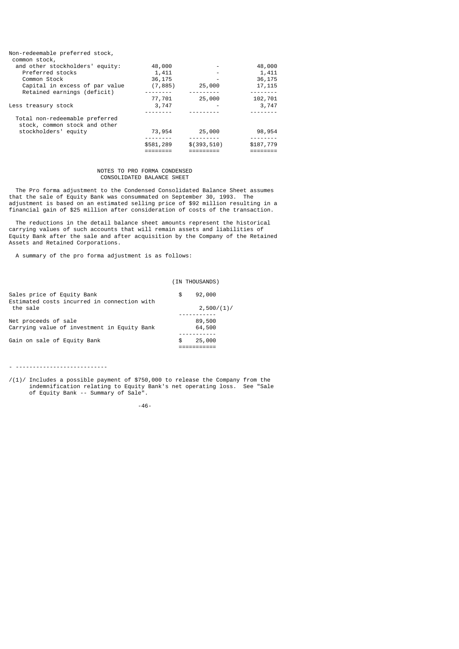| Non-redeemable preferred stock, |           |              |                 |
|---------------------------------|-----------|--------------|-----------------|
| common stock,                   |           |              |                 |
| and other stockholders' equity: | 48,000    |              | 48,000          |
| Preferred stocks                | 1,411     |              | 1,411           |
| Common Stock                    | 36,175    |              | 36,175          |
| Capital in excess of par value  | (7, 885)  | 25,000       | 17, 115         |
| Retained earnings (deficit)     |           |              | - - - - - - - - |
|                                 | 77,701    | 25,000       | 102,701         |
| Less treasury stock             | 3,747     |              | 3,747           |
|                                 |           |              |                 |
| Total non-redeemable preferred  |           |              |                 |
| stock, common stock and other   |           |              |                 |
| stockholders' equity            | 73,954    | 25,000       | 98,954          |
|                                 |           |              |                 |
|                                 | \$581,289 | \$(393, 510) | \$187,779       |
|                                 |           |              |                 |

### NOTES TO PRO FORMA CONDENSED CONSOLIDATED BALANCE SHEET

 The Pro forma adjustment to the Condensed Consolidated Balance Sheet assumes that the sale of Equity Bank was consummated on September 30, 1993. The adjustment is based on an estimated selling price of \$92 million resulting in a financial gain of \$25 million after consideration of costs of the transaction.

 The reductions in the detail balance sheet amounts represent the historical carrying values of such accounts that will remain assets and liabilities of Equity Bank after the sale and after acquisition by the Company of the Retained Assets and Retained Corporations.

A summary of the pro forma adjustment is as follows:

## (IN THOUSANDS)

|    | 2,500/(1)/       |
|----|------------------|
|    | 89,500<br>64,500 |
| £. | 25,000           |
|    |                  |

- ---------------------------

/(1)/ Includes a possible payment of \$750,000 to release the Company from the indemnification relating to Equity Bank's net operating loss. See "Sale of Equity Bank -- Summary of Sale".

-46-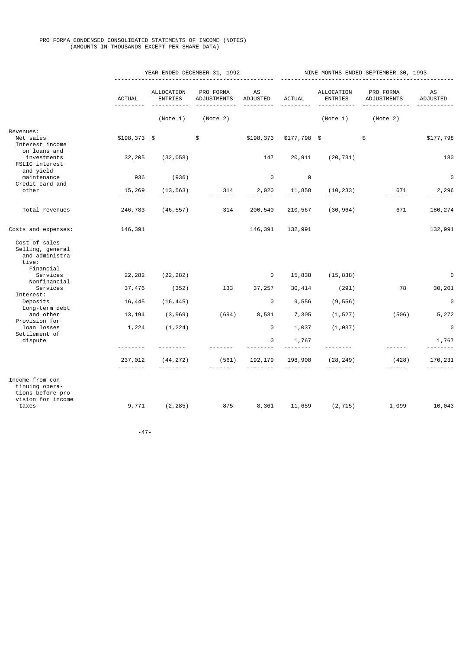### PRO FORMA CONDENSED CONSOLIDATED STATEMENTS OF INCOME (NOTES) (AMOUNTS IN THOUSANDS EXCEPT PER SHARE DATA)

|                                                                                       |                     | YEAR ENDED DECEMBER 31, 1992 |                          |                | NINE MONTHS ENDED SEPTEMBER 30, 1993 |                              |                          |                       |
|---------------------------------------------------------------------------------------|---------------------|------------------------------|--------------------------|----------------|--------------------------------------|------------------------------|--------------------------|-----------------------|
|                                                                                       | <b>ACTUAL</b>       | ALLOCATION<br><b>ENTRIES</b> | PRO FORMA<br>ADJUSTMENTS | AS<br>ADJUSTED | <b>ACTUAL</b>                        | ALLOCATION<br><b>ENTRIES</b> | PRO FORMA<br>ADJUSTMENTS | <b>AS</b><br>ADJUSTED |
|                                                                                       |                     | (Note 1)                     | (Note 2)                 |                |                                      | (Note 1)                     | (Note 2)                 |                       |
| Revenues:<br>Net sales<br>Interest income                                             | $$198,373$ \$       |                              | \$                       | \$198,373      | $$177,798$ \$                        |                              | \$                       | \$177,798             |
| on loans and<br>investments<br>FSLIC interest<br>and yield                            | 32,205              | (32, 058)                    |                          | 147            | 20,911                               | (20, 731)                    |                          | 180                   |
| maintenance                                                                           | 936                 | (936)                        |                          | $\Theta$       | $\Theta$                             |                              |                          | 0                     |
| Credit card and<br>other                                                              | 15,269              | (13, 563)<br>.               | 314                      | 2,020          | 11,858                               | (10, 233)                    | 671<br>------            | 2,296                 |
| Total revenues                                                                        | 246,783             | (46, 557)                    | 314                      | 200,540        | 210,567                              | (30, 964)                    | 671                      | 180,274               |
| Costs and expenses:                                                                   | 146,391             |                              |                          | 146,391        | 132,991                              |                              |                          | 132,991               |
| Cost of sales<br>Selling, general<br>and administra-<br>tive:                         |                     |                              |                          |                |                                      |                              |                          |                       |
| Financial<br>Services                                                                 | 22,282              | (22, 282)                    |                          | 0              | 15,838                               | (15, 838)                    |                          | 0                     |
| Nonfinancial<br>Services<br>Interest:                                                 | 37,476              | (352)                        | 133                      | 37,257         | 30, 414                              | (291)                        | 78                       | 30,201                |
| Deposits                                                                              | 16,445              | (16, 445)                    |                          | 0              | 9,556                                | (9, 556)                     |                          | $\Theta$              |
| Long-term debt<br>and other<br>Provision for                                          | 13, 194             | (3, 969)                     | (694)                    | 8,531          | 7,305                                | (1, 527)                     | (506)                    | 5,272                 |
| loan losses<br>Settlement of                                                          | 1,224               | (1, 224)                     |                          | $\Theta$       | 1,037                                | (1, 037)                     |                          | $\Theta$              |
| dispute                                                                               |                     |                              |                          | 0              | 1,767                                |                              |                          | 1,767                 |
|                                                                                       | 237,012<br><u>.</u> | (44, 272)                    | (561)                    | 192, 179       | 198,908                              | (28, 249)                    | (428)                    | 170,231               |
| Income from con-<br>tinuing opera-<br>tions before pro-<br>vision for income<br>taxes | 9,771               | (2, 285)                     | 875                      | 8,361          | 11,659                               | (2, 715)                     | 1,099                    | 10,043                |
|                                                                                       |                     |                              |                          |                |                                      |                              |                          |                       |

-47-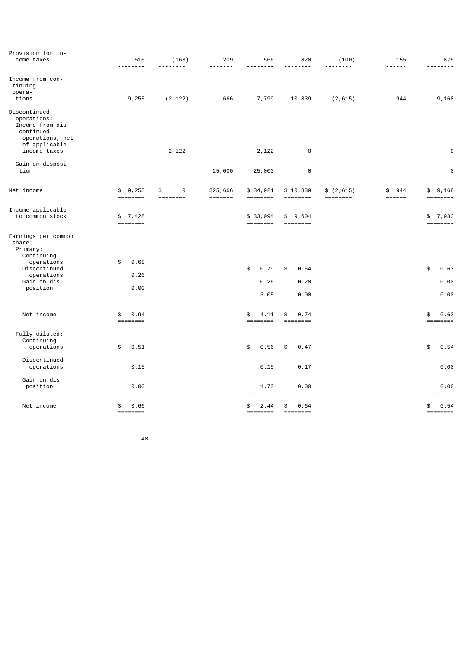| Provision for in-<br>come taxes                                                                                  | 516<br>$- - - - - -$                            | (163)                   | 209                                                | 566                    | 820<br>$- - - -$ | (100)     | 155                                      | 875<br>.                                          |
|------------------------------------------------------------------------------------------------------------------|-------------------------------------------------|-------------------------|----------------------------------------------------|------------------------|------------------|-----------|------------------------------------------|---------------------------------------------------|
| Income from con-<br>tinuing<br>opera-<br>tions                                                                   | 9,255                                           | (2, 122)                | 666                                                | 7,799                  | 10,839           | (2, 615)  | 944                                      | 9,168                                             |
| Discontinued<br>operations:<br>Income from dis-<br>continued<br>operations, net<br>of applicable<br>income taxes |                                                 | 2,122                   |                                                    | 2,122                  | $\Theta$         |           |                                          | $\Theta$                                          |
|                                                                                                                  |                                                 |                         |                                                    |                        |                  |           |                                          |                                                   |
| Gain on disposi-<br>tion                                                                                         |                                                 |                         | 25,000                                             | 25,000                 | $\Theta$         |           |                                          | $\Theta$                                          |
| Net income                                                                                                       | .<br>\$9,255<br>$=$ $=$ $=$ $=$ $=$ $=$ $=$ $=$ | -----<br>$\Theta$<br>\$ | -------<br>\$25,666<br>$=$ $=$ $=$ $=$ $=$ $=$ $=$ | --------<br>\$34,921   | \$10,839         | \$(2,615) | 944<br>\$<br>$=$ $=$ $=$ $=$ $=$ $=$ $=$ | 9,168<br>\$                                       |
| Income applicable<br>to common stock                                                                             | \$7,428<br>$=$ $=$ $=$ $=$ $=$ $=$ $=$ $=$      |                         |                                                    | \$33,094               | \$9,604          |           |                                          | \$7,933                                           |
| Earnings per common<br>share:<br>Primary:<br>Continuing                                                          |                                                 |                         |                                                    |                        |                  |           |                                          |                                                   |
| operations<br>Discontinued                                                                                       | $\frac{1}{2}$<br>0.68                           |                         |                                                    | 0.79<br>\$             | \$<br>0.54       |           |                                          | 0.63<br>\$                                        |
| operations<br>Gain on dis-                                                                                       | 0.26                                            |                         |                                                    | 0.26                   | 0.20             |           |                                          | 0.00                                              |
| position                                                                                                         | 0.00<br>--------                                |                         |                                                    | 3.05                   | 0.00             |           |                                          | 0.00                                              |
|                                                                                                                  |                                                 |                         |                                                    | --------               | $- - - -$        |           |                                          | --------                                          |
| Net income                                                                                                       | \$<br>0.94                                      |                         |                                                    | \$<br>4.11<br>======== | 0.74<br>\$       |           |                                          | \$<br>0.63<br>$=$ $=$ $=$ $=$ $=$ $=$ $=$ $=$ $=$ |
| Fully diluted:<br>Continuing<br>operations                                                                       | \$<br>0.51                                      |                         |                                                    | \$<br>0.56             | \$<br>0.47       |           |                                          | \$<br>0.54                                        |
| Discontinued<br>operations                                                                                       | 0.15                                            |                         |                                                    | 0.15                   | 0.17             |           |                                          | 0.00                                              |
| Gain on dis-<br>position                                                                                         | 0.00<br>-----                                   |                         |                                                    | 1.73                   | 0.00             |           |                                          | 0.00                                              |
| Net income                                                                                                       | 0.66<br>\$                                      |                         |                                                    | 2.44<br>\$<br>======== | \$<br>0.64       |           |                                          | 0.54<br>\$                                        |

-48-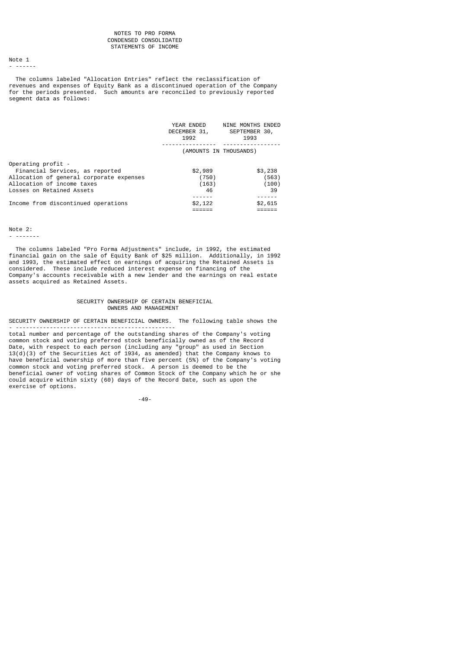### NOTES TO PRO FORMA CONDENSED CONSOLIDATED STATEMENTS OF INCOME

#### Note 1 - ------

 The columns labeled "Allocation Entries" reflect the reclassification of revenues and expenses of Equity Bank as a discontinued operation of the Company for the periods presented. Such amounts are reconciled to previously reported segment data as follows:

|                                                                                                                                                              | YEAR ENDED<br>DECEMBER 31,<br>1992 | <b>NINE MONTHS ENDED</b><br>SEPTEMBER 30,<br>1993 |
|--------------------------------------------------------------------------------------------------------------------------------------------------------------|------------------------------------|---------------------------------------------------|
|                                                                                                                                                              | (AMOUNTS IN THOUSANDS)             |                                                   |
| Operating profit -<br>Financial Services, as reported<br>Allocation of general corporate expenses<br>Allocation of income taxes<br>Losses on Retained Assets | \$2,989<br>(750)<br>(163)<br>46    | \$3,238<br>(563)<br>(100)<br>39                   |
| Income from discontinued operations                                                                                                                          | \$2,122                            | \$2,615                                           |

Note 2:

- -------

 The columns labeled "Pro Forma Adjustments" include, in 1992, the estimated financial gain on the sale of Equity Bank of \$25 million. Additionally, in 1992 and 1993, the estimated effect on earnings of acquiring the Retained Assets is considered. These include reduced interest expense on financing of the Company's accounts receivable with a new lender and the earnings on real estate assets acquired as Retained Assets.

### SECURITY OWNERSHIP OF CERTAIN BENEFICIAL OWNERS AND MANAGEMENT

SECURITY OWNERSHIP OF CERTAIN BENEFICIAL OWNERS. The following table shows the - -----------------------------------------------

total number and percentage of the outstanding shares of the Company's voting common stock and voting preferred stock beneficially owned as of the Record Date, with respect to each person (including any "group" as used in Section 13(d)(3) of the Securities Act of 1934, as amended) that the Company knows to have beneficial ownership of more than five percent (5%) of the Company's voting common stock and voting preferred stock. A person is deemed to be the beneficial owner of voting shares of Common Stock of the Company which he or she could acquire within sixty (60) days of the Record Date, such as upon the exercise of options.

-49-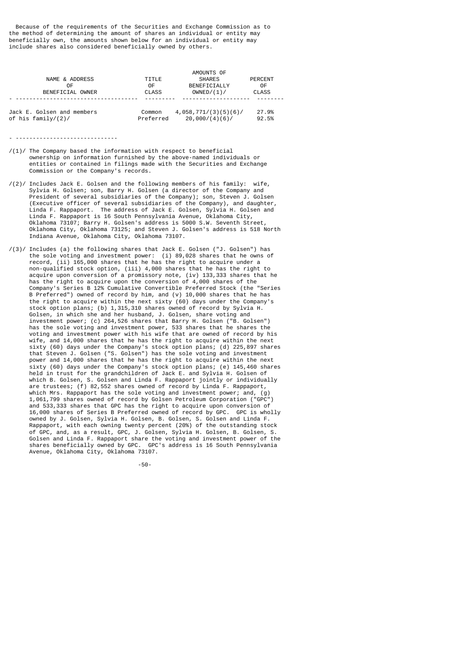Because of the requirements of the Securities and Exchange Commission as to the method of determining the amount of shares an individual or entity may beneficially own, the amounts shown below for an individual or entity may include shares also considered beneficially owned by others.

| NAME & ADDRESS             | TITLE     | AMOUNTS OF<br><b>SHARES</b> | <b>PERCENT</b> |
|----------------------------|-----------|-----------------------------|----------------|
| 0F                         | 0F        | BENEFICIALLY                | 0F             |
| BENEFICIAL OWNER           | CLASS     | OWNED/(1)/                  | <b>CLASS</b>   |
| Jack E. Golsen and members | Common    | 4,058,771/(3)(5)(6)/        | 27.9%          |
| of his family/(2)/         | Preferred | 20,000/(4)(6)/              | 92.5%          |

- ------------------------------

- $/(1)$ / The Company based the information with respect to beneficial ownership on information furnished by the above-named individuals or entities or contained in filings made with the Securities and Exchange Commission or the Company's records.
- /(2)/ Includes Jack E. Golsen and the following members of his family: wife, Sylvia H. Golsen; son, Barry H. Golsen (a director of the Company and President of several subsidiaries of the Company); son, Steven J. Golsen (Executive officer of several subsidiaries of the Company), and daughter, Linda F. Rappaport. The address of Jack E. Golsen, Sylvia H. Golsen and Linda F. Rappaport is 16 South Pennsylvania Avenue, Oklahoma City, Oklahoma 73107; Barry H. Golsen's address is 5000 S.W. Seventh Street, Oklahoma City, Oklahoma 73125; and Steven J. Golsen's address is 518 North Indiana Avenue, Oklahoma City, Oklahoma 73107.
- /(3)/ Includes (a) the following shares that Jack E. Golsen ("J. Golsen") has the sole voting and investment power: (i) 89,028 shares that he owns of record, (ii) 165,000 shares that he has the right to acquire under a non-qualified stock option, (iii) 4,000 shares that he has the right to acquire upon conversion of a promissory note, (iv) 133,333 shares that he has the right to acquire upon the conversion of 4,000 shares of the Company's Series B 12% Cumulative Convertible Preferred Stock (the "Series B Preferred") owned of record by him, and (v) 10,000 shares that he has the right to acquire within the next sixty (60) days under the Company's stock option plans; (b) 1,315,310 shares owned of record by Sylvia H. Golsen, in which she and her husband, J. Golsen, share voting and investment power; (c) 264,526 shares that Barry H. Golsen ("B. Golsen") has the sole voting and investment power, 533 shares that he shares the voting and investment power with his wife that are owned of record by his wife, and 14,000 shares that he has the right to acquire within the next sixty (60) days under the Company's stock option plans; (d) 225,897 shares that Steven J. Golsen ("S. Golsen") has the sole voting and investment power and 14,000 shares that he has the right to acquire within the next sixty (60) days under the Company's stock option plans; (e) 145,460 shares held in trust for the grandchildren of Jack E. and Sylvia H. Golsen of which B. Golsen, S. Golsen and Linda F. Rappaport jointly or individually are trustees; (f) 82,552 shares owned of record by Linda F. Rappaport, which Mrs. Rappaport has the sole voting and investment power; and, (g) 1,061,799 shares owned of record by Golsen Petroleum Corporation ("GPC") and 533,333 shares that GPC has the right to acquire upon conversion of 16,000 shares of Series B Preferred owned of record by GPC. GPC is wholly owned by J. Golsen, Sylvia H. Golsen, B. Golsen, S. Golsen and Linda F. Rappaport, with each owning twenty percent (20%) of the outstanding stock of GPC, and, as a result, GPC, J. Golsen, Sylvia H. Golsen, B. Golsen, S. Golsen and Linda F. Rappaport share the voting and investment power of the shares beneficially owned by GPC. GPC's address is 16 South Pennsylvania Avenue, Oklahoma City, Oklahoma 73107.

-50-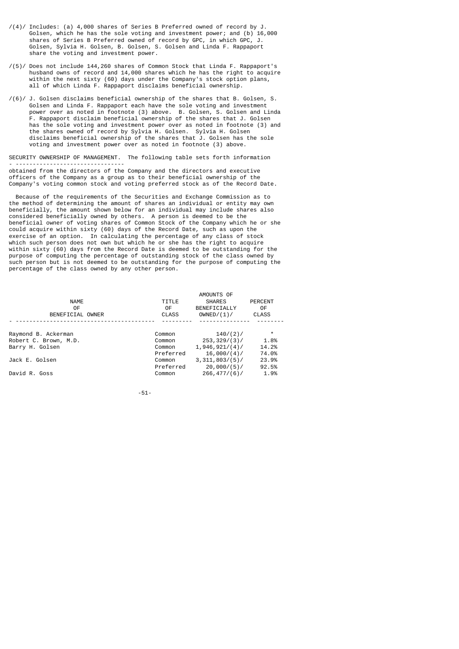- /(4)/ Includes: (a) 4,000 shares of Series B Preferred owned of record by J. Golsen, which he has the sole voting and investment power; and (b) 16,000 shares of Series B Preferred owned of record by GPC, in which GPC, J. Golsen, Sylvia H. Golsen, B. Golsen, S. Golsen and Linda F. Rappaport share the voting and investment power.
- /(5)/ Does not include 144,260 shares of Common Stock that Linda F. Rappaport's husband owns of record and 14,000 shares which he has the right to acquire within the next sixty (60) days under the Company's stock option plans, all of which Linda F. Rappaport disclaims beneficial ownership.
- /(6)/ J. Golsen disclaims beneficial ownership of the shares that B. Golsen, S. Golsen and Linda F. Rappaport each have the sole voting and investment power over as noted in footnote (3) above. B. Golsen, S. Golsen and Linda F. Rappaport disclaim beneficial ownership of the shares that J. Golsen has the sole voting and investment power over as noted in footnote (3) and the shares owned of record by Sylvia H. Golsen. Sylvia H. Golsen disclaims beneficial ownership of the shares that J. Golsen has the sole voting and investment power over as noted in footnote (3) above.

SECURITY OWNERSHIP OF MANAGEMENT. The following table sets forth information - ------------------------------- obtained from the directors of the Company and the directors and executive officers of the Company as a group as to their beneficial ownership of the Company's voting common stock and voting preferred stock as of the Record Date.

 Because of the requirements of the Securities and Exchange Commission as to the method of determining the amount of shares an individual or entity may own beneficially, the amount shown below for an individual may include shares also considered beneficially owned by others. A person is deemed to be the beneficial owner of voting shares of Common Stock of the Company which he or she could acquire within sixty (60) days of the Record Date, such as upon the exercise of an option. In calculating the percentage of any class of stock which such person does not own but which he or she has the right to acquire within sixty (60) days from the Record Date is deemed to be outstanding for the purpose of computing the percentage of outstanding stock of the class owned by such person but is not deemed to be outstanding for the purpose of computing the percentage of the class owned by any other person.

| TITLE<br>0F<br><b>CLASS</b> | AMOUNTS OF<br><b>SHARES</b><br>BENEFICIALLY<br>OWNED/(1)/ | <b>PERCENT</b><br>0F<br><b>CLASS</b> |
|-----------------------------|-----------------------------------------------------------|--------------------------------------|
|                             |                                                           |                                      |
| Common                      | $140/(2)$ /                                               | $\star$                              |
| Common                      | 253, 329/(3)                                              | 1.8%                                 |
| Common                      | 1,946,921/(4)                                             | 14.2%                                |
| Preferred                   | 16,000/(4)/                                               | 74.0%                                |
| Common                      | 3,311,803/(5)                                             | 23.9%                                |
| Preferred                   | 20,000/(5)/                                               | 92.5%                                |
| Common                      | 266, 477/(6)                                              | 1.9%                                 |
|                             |                                                           |                                      |

-51-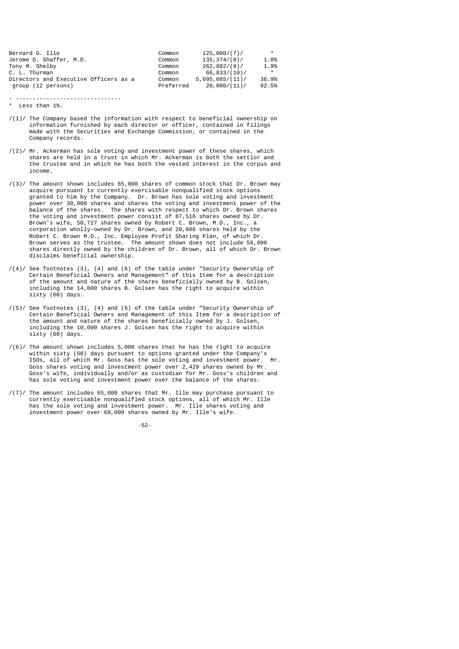| Bernard G. Ille                       | Common    | 125.000/(7)/    | $\star$ |
|---------------------------------------|-----------|-----------------|---------|
| Jerome D. Shaffer, M.D.               | Common    | 135.374/(8)     | 1.0%    |
| Tony M. Shelby                        | Common    | 262.882/(9)     | 1.9%    |
| C. L. Thurman                         | Common    | 66,833/(10)/    | $\star$ |
| Directors and Executive Officers as a | Common    | 5.095.085/(11)/ | 36.9%   |
| group (12 persons)                    | Preferred | 20,000/(11)/    | 92.5%   |

- -------------------------------

- \* Less than 1%.
- $/(1)$ / The Company based the information with respect to beneficial ownership on information furnished by each director or officer, contained in filings made with the Securities and Exchange Commission, or contained in the Company records.
- /(2)/ Mr. Ackerman has sole voting and investment power of these shares, which shares are held in a trust in which Mr. Ackerman is both the settlor and the trustee and in which he has both the vested interest in the corpus and income.
- /(3)/ The amount shown includes 65,000 shares of common stock that Dr. Brown may acquire pursuant to currently exercisable nonqualified stock options granted to him by the Company. Dr. Brown has sole voting and investment power over 30,000 shares and shares the voting and investment power of the balance of the shares. The shares with respect to which Dr. Brown shares the voting and investment power consist of 87,516 shares owned by Dr. Brown's wife, 50,727 shares owned by Robert C. Brown, M.D., Inc., a corporation wholly-owned by Dr. Brown, and 20,086 shares held by the Robert C. Brown M.D., Inc. Employee Profit Sharing Plan, of which Dr. Brown serves as the trustee. The amount shown does not include 56,090 shares directly owned by the children of Dr. Brown, all of which Dr. Brown disclaims beneficial ownership.
- $/(4)$ / See footnotes  $(3)$ ,  $(4)$  and  $(6)$  of the table under "Security Ownership of Certain Beneficial Owners and Management" of this Item for a description of the amount and nature of the shares beneficially owned by B. Golsen, including the 14,000 shares B. Golsen has the right to acquire within sixty (60) days.
- /(5)/ See footnotes (3), (4) and (6) of the table under "Security Ownership of Certain Beneficial Owners and Management of this Item for a description of the amount and nature of the shares beneficially owned by J. Golsen, including the 10,000 shares J. Golsen has the right to acquire within sixty (60) days.
- $/(6)$ / The amount shown includes 5,000 shares that he has the right to acquire within sixty (60) days pursuant to options granted under the Company's ISOs, all of which Mr. Goss has the sole voting and investment power. Mr. Goss shares voting and investment power over 2,429 shares owned by Mr. Goss's wife, individually and/or as custodian for Mr. Goss's children and has sole voting and investment power over the balance of the shares.
- /(7)/ The amount includes 65,000 shares that Mr. Ille may purchase pursuant to currently exercisable nonqualified stock options, all of which Mr. Ille has the sole voting and investment power. Mr. Ille shares voting and investment power over 60,000 shares owned by Mr. Ille's wife.

-52-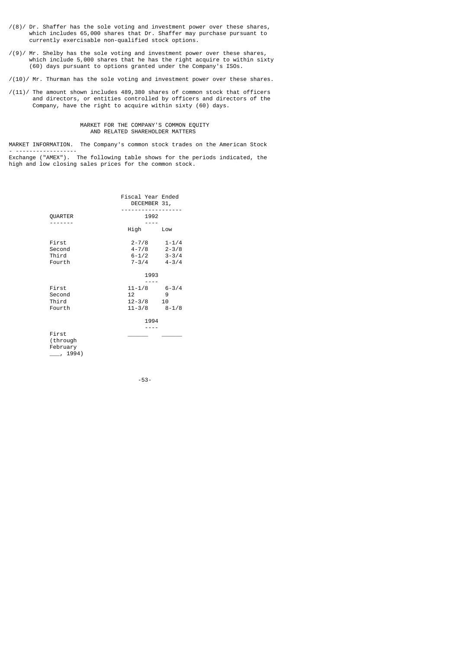- $\mathcal{O}(8)$  Dr. Shaffer has the sole voting and investment power over these shares, which includes 65,000 shares that Dr. Shaffer may purchase pursuant to currently exercisable non-qualified stock options.
- /(9)/ Mr. Shelby has the sole voting and investment power over these shares, which include 5,000 shares that he has the right acquire to within sixty (60) days pursuant to options granted under the Company's ISOs.

/(10)/ Mr. Thurman has the sole voting and investment power over these shares.

/(11)/ The amount shown includes 489,380 shares of common stock that officers and directors, or entities controlled by officers and directors of the Company, have the right to acquire within sixty (60) days.

### MARKET FOR THE COMPANY'S COMMON EQUITY AND RELATED SHAREHOLDER MATTERS

MARKET INFORMATION. The Company's common stock trades on the American Stock - ------------------

Exchange ("AMEX"). The following table shows for the periods indicated, the high and low closing sales prices for the common stock.

|                                                   | Fiscal Year Ended<br>DECEMBER 31,          |                                                  |
|---------------------------------------------------|--------------------------------------------|--------------------------------------------------|
| QUARTER                                           | 1992                                       |                                                  |
|                                                   | High                                       | Low                                              |
| First<br>Second<br>Third<br>Fourth                | $2 - 7/8$<br>4 - 7/8<br>$6 - 1/2$<br>7-3/4 | $1 - 1/4$<br>$2 - 3/8$<br>$3 - 3/4$<br>$4 - 3/4$ |
|                                                   | 1993                                       |                                                  |
|                                                   |                                            |                                                  |
| First                                             | 11-1/8                                     | $6 - 3/4$                                        |
| Second                                            | 12                                         | 9                                                |
| Third<br>Fourth                                   | $12 - 3/8$<br>11-3/8                       | 10<br>$8 - 1/8$                                  |
|                                                   | 1994                                       |                                                  |
| First<br>(through<br>February<br>$\frac{1994}{ }$ |                                            |                                                  |

-53-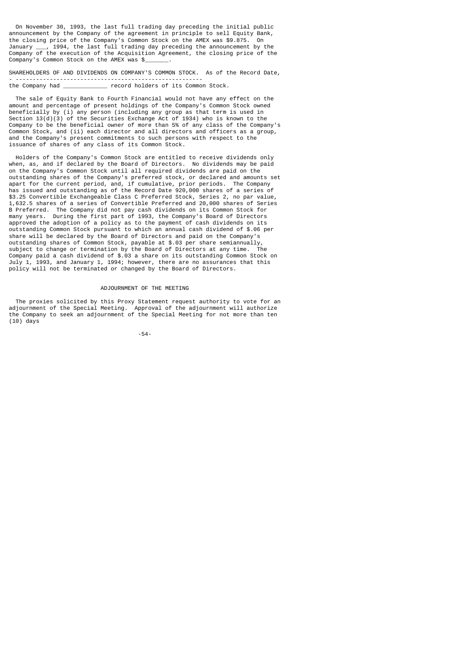On November 30, 1993, the last full trading day preceding the initial public announcement by the Company of the agreement in principle to sell Equity Bank, the closing price of the Company's Common Stock on the AMEX was \$9.875. On<br>January \_\_\_, 1994, the last full trading day preceding the announcement by the January \_\_\_, 1994, the last full trading day preceding the announcement by the Company of the execution of the Acquisition Agreement, the closing price of the Company's Common Stock on the AMEX was \$

SHAREHOLDERS OF AND DIVIDENDS ON COMPANY'S COMMON STOCK. As of the Record Date, - ------------------------------------------------------  $r$  record holders of its Common Stock.

 The sale of Equity Bank to Fourth Financial would not have any effect on the amount and percentage of present holdings of the Company's Common Stock owned beneficially by (i) any person (including any group as that term is used in Section 13(d)(3) of the Securities Exchange Act of 1934) who is known to the Company to be the beneficial owner of more than 5% of any class of the Company's Common Stock, and (ii) each director and all directors and officers as a group, and the Company's present commitments to such persons with respect to the issuance of shares of any class of its Common Stock.

 Holders of the Company's Common Stock are entitled to receive dividends only when, as, and if declared by the Board of Directors. No dividends may be paid on the Company's Common Stock until all required dividends are paid on the outstanding shares of the Company's preferred stock, or declared and amounts set apart for the current period, and, if cumulative, prior periods. The Company has issued and outstanding as of the Record Date 920,000 shares of a series of \$3.25 Convertible Exchangeable Class C Preferred Stock, Series 2, no par value, 1,632.5 shares of a series of Convertible Preferred and 20,000 shares of Series B Preferred. The Company did not pay cash dividends on its Common Stock for many years. During the first part of 1993, the Company's Board of Directors approved the adoption of a policy as to the payment of cash dividends on its outstanding Common Stock pursuant to which an annual cash dividend of \$.06 per share will be declared by the Board of Directors and paid on the Company's outstanding shares of Common Stock, payable at \$.03 per share semiannually, subject to change or termination by the Board of Directors at any time. The Company paid a cash dividend of \$.03 a share on its outstanding Common Stock on July 1, 1993, and January 1, 1994; however, there are no assurances that this policy will not be terminated or changed by the Board of Directors.

### ADJOURNMENT OF THE MEETING

 The proxies solicited by this Proxy Statement request authority to vote for an adjournment of the Special Meeting. Approval of the adjournment will authorize the Company to seek an adjournment of the Special Meeting for not more than ten (10) days

-54-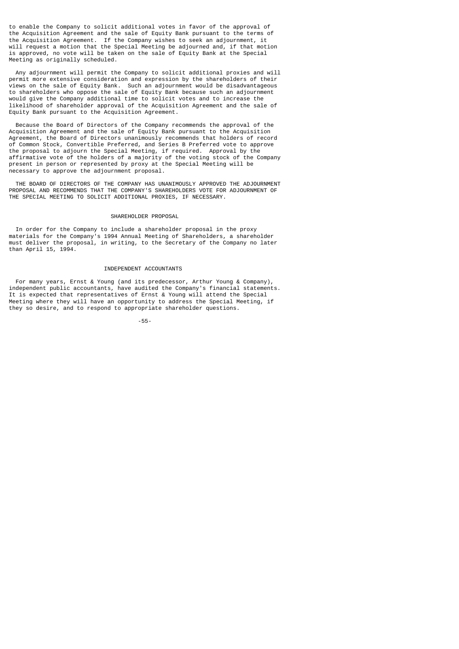to enable the Company to solicit additional votes in favor of the approval of the Acquisition Agreement and the sale of Equity Bank pursuant to the terms of the Acquisition Agreement. If the Company wishes to seek an adjournment, it will request a motion that the Special Meeting be adjourned and, if that motion is approved, no vote will be taken on the sale of Equity Bank at the Special Meeting as originally scheduled.

 Any adjournment will permit the Company to solicit additional proxies and will permit more extensive consideration and expression by the shareholders of their views on the sale of Equity Bank. Such an adjournment would be disadvantageous to shareholders who oppose the sale of Equity Bank because such an adjournment would give the Company additional time to solicit votes and to increase the likelihood of shareholder approval of the Acquisition Agreement and the sale of Equity Bank pursuant to the Acquisition Agreement.

 Because the Board of Directors of the Company recommends the approval of the Acquisition Agreement and the sale of Equity Bank pursuant to the Acquisition Agreement, the Board of Directors unanimously recommends that holders of record of Common Stock, Convertible Preferred, and Series B Preferred vote to approve the proposal to adjourn the Special Meeting, if required. Approval by the affirmative vote of the holders of a majority of the voting stock of the Company present in person or represented by proxy at the Special Meeting will be necessary to approve the adjournment proposal.

 THE BOARD OF DIRECTORS OF THE COMPANY HAS UNANIMOUSLY APPROVED THE ADJOURNMENT PROPOSAL AND RECOMMENDS THAT THE COMPANY'S SHAREHOLDERS VOTE FOR ADJOURNMENT OF THE SPECIAL MEETING TO SOLICIT ADDITIONAL PROXIES, IF NECESSARY.

## SHAREHOLDER PROPOSAL

 In order for the Company to include a shareholder proposal in the proxy materials for the Company's 1994 Annual Meeting of Shareholders, a shareholder must deliver the proposal, in writing, to the Secretary of the Company no later than April 15, 1994.

## INDEPENDENT ACCOUNTANTS

 For many years, Ernst & Young (and its predecessor, Arthur Young & Company), independent public accountants, have audited the Company's financial statements. It is expected that representatives of Ernst & Young will attend the Special Meeting where they will have an opportunity to address the Special Meeting, if they so desire, and to respond to appropriate shareholder questions.

-55-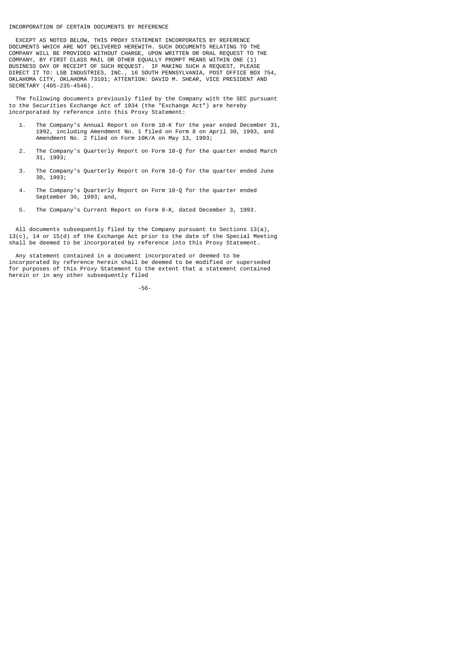#### INCORPORATION OF CERTAIN DOCUMENTS BY REFERENCE

 EXCEPT AS NOTED BELOW, THIS PROXY STATEMENT INCORPORATES BY REFERENCE DOCUMENTS WHICH ARE NOT DELIVERED HEREWITH. SUCH DOCUMENTS RELATING TO THE COMPANY WILL BE PROVIDED WITHOUT CHARGE, UPON WRITTEN OR ORAL REQUEST TO THE COMPANY, BY FIRST CLASS MAIL OR OTHER EQUALLY PROMPT MEANS WITHIN ONE (1) BUSINESS DAY OF RECEIPT OF SUCH REQUEST. IF MAKING SUCH A REQUEST, PLEASE DIRECT IT TO: LSB INDUSTRIES, INC., 16 SOUTH PENNSYLVANIA, POST OFFICE BOX 754, OKLAHOMA CITY, OKLAHOMA 73101; ATTENTION: DAVID M. SHEAR, VICE PRESIDENT AND SECRETARY (405-235-4546).

 The following documents previously filed by the Company with the SEC pursuant to the Securities Exchange Act of 1934 (the "Exchange Act") are hereby incorporated by reference into this Proxy Statement:

- 1. The Company's Annual Report on Form 10-K for the year ended December 31, 1992, including Amendment No. 1 filed on Form 8 on April 30, 1993, and Amendment No. 2 filed on Form 10K/A on May 13, 1993;
- 2. The Company's Quarterly Report on Form 10-Q for the quarter ended March 31, 1993;
- 3. The Company's Quarterly Report on Form 10-Q for the quarter ended June 30, 1993;
- 4. The Company's Quarterly Report on Form 10-Q for the quarter ended September 30, 1993; and,
- 5. The Company's Current Report on Form 8-K, dated December 3, 1993.

 All documents subsequently filed by the Company pursuant to Sections 13(a),  $13(c)$ , 14 or 15(d) of the Exchange Act prior to the date of the Special Meeting shall be deemed to be incorporated by reference into this Proxy Statement.

 Any statement contained in a document incorporated or deemed to be incorporated by reference herein shall be deemed to be modified or superseded for purposes of this Proxy Statement to the extent that a statement contained herein or in any other subsequently filed

-56-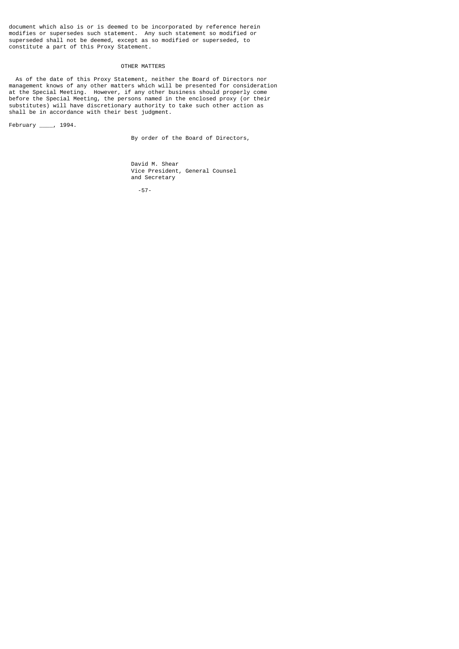document which also is or is deemed to be incorporated by reference herein modifies or supersedes such statement. Any such statement so modified or superseded shall not be deemed, except as so modified or superseded, to constitute a part of this Proxy Statement.

# OTHER MATTERS

 As of the date of this Proxy Statement, neither the Board of Directors nor management knows of any other matters which will be presented for consideration at the Special Meeting. However, if any other business should properly come before the Special Meeting, the persons named in the enclosed proxy (or their substitutes) will have discretionary authority to take such other action as shall be in accordance with their best judgment.

February \_\_\_\_, 1994.

By order of the Board of Directors,

 David M. Shear Vice President, General Counsel and Secretary

-57-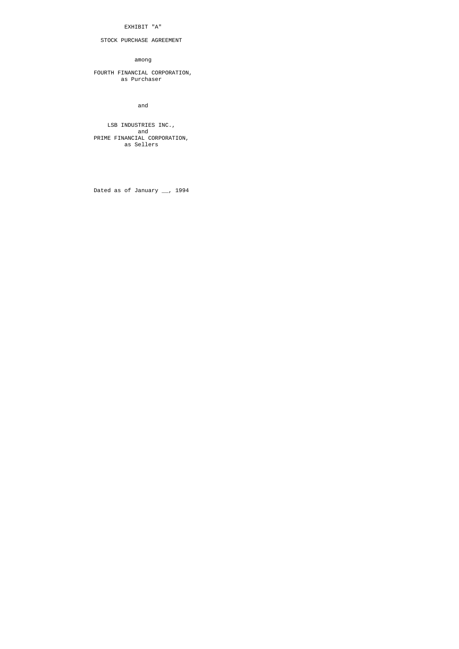## EXHIBIT "A"

# STOCK PURCHASE AGREEMENT

among

 FOURTH FINANCIAL CORPORATION, as Purchaser

and

 LSB INDUSTRIES INC., and the contract of the contract of the contract of the contract of the contract of the contract of the contract of the contract of the contract of the contract of the contract of the contract of the contract of the contra PRIME FINANCIAL CORPORATION, as Sellers

Dated as of January \_\_, 1994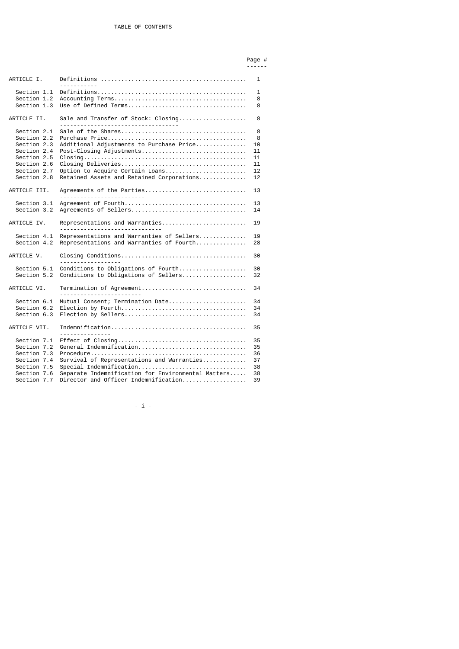#### Page # ------

| ARTICLE I.   |                                                                                                                        | 1  |
|--------------|------------------------------------------------------------------------------------------------------------------------|----|
| Section 1.1  |                                                                                                                        | 1  |
| Section 1.2  |                                                                                                                        | 8  |
| Section 1.3  |                                                                                                                        | 8  |
|              |                                                                                                                        |    |
| ARTICLE II.  | Sale and Transfer of Stock: Closing                                                                                    | 8  |
| Section 2.1  |                                                                                                                        | 8  |
| Section 2.2  |                                                                                                                        | 8  |
| Section 2.3  | Additional Adjustments to Purchase Price                                                                               | 10 |
| Section 2.4  | Post-Closing Adjustments                                                                                               | 11 |
| Section 2.5  | $\text{Closing} \dots \dots \dots \dots \dots \dots \dots \dots \dots \dots \dots \dots \dots \dots \dots \dots \dots$ | 11 |
| Section 2.6  |                                                                                                                        | 11 |
| Section 2.7  | Option to Acquire Certain Loans                                                                                        | 12 |
| Section 2.8  | Retained Assets and Retained Corporations                                                                              | 12 |
|              |                                                                                                                        |    |
| ARTICLE III. | Agreements of the Parties                                                                                              | 13 |
| Section 3.1  |                                                                                                                        | 13 |
| Section 3.2  |                                                                                                                        | 14 |
|              |                                                                                                                        |    |
| ARTICLE IV.  | Representations and Warranties<br><u></u>                                                                              | 19 |
| Section 4.1  | Representations and Warranties of Sellers                                                                              | 19 |
| Section 4.2  | Representations and Warranties of Fourth                                                                               | 28 |
|              |                                                                                                                        |    |
| ARTICLE V.   |                                                                                                                        | 30 |
| Section 5.1  | Conditions to Obligations of Fourth                                                                                    | 30 |
| Section 5.2  | Conditions to Obligations of Sellers                                                                                   | 32 |
|              |                                                                                                                        |    |
| ARTICLE VI.  | Termination of Agreement                                                                                               | 34 |
|              |                                                                                                                        |    |
| Section 6.1  | Mutual Consent; Termination Date                                                                                       | 34 |
| Section 6.2  |                                                                                                                        | 34 |
| Section 6.3  |                                                                                                                        | 34 |
| ARTICLE VII. | <u>.</u>                                                                                                               | 35 |
|              |                                                                                                                        |    |
| Section 7.1  |                                                                                                                        | 35 |
| Section 7.2  | General Indemnification                                                                                                | 35 |
| Section 7.3  |                                                                                                                        | 36 |
| Section 7.4  | $Survival$ of Representations and Warranties                                                                           | 37 |
| Section 7.5  | Special Indemnification                                                                                                | 38 |
| Section 7.6  | Separate Indemnification for Environmental Matters                                                                     | 38 |
| Section 7.7  | Director and Officer Indemnification                                                                                   | 39 |
|              |                                                                                                                        |    |

 $\rightarrow$ i $\sim$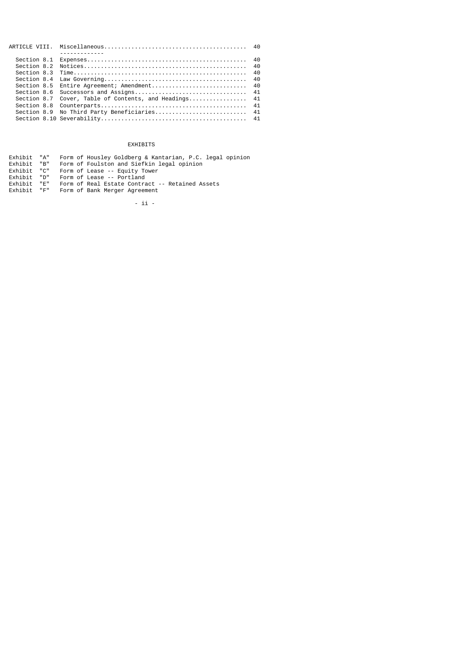| <u>.</u>                                              |  |
|-------------------------------------------------------|--|
|                                                       |  |
|                                                       |  |
|                                                       |  |
|                                                       |  |
|                                                       |  |
|                                                       |  |
| Section 8.7 Cover, Table of Contents, and Headings 41 |  |
|                                                       |  |
| Section 8.9 No Third Party Beneficiaries 41           |  |
|                                                       |  |
|                                                       |  |

# EXHIBITS

| Exhibit "A" |            | Form of Housley Goldberg & Kantarian, P.C. legal opinion |
|-------------|------------|----------------------------------------------------------|
| Exhibit     | "B"        | Form of Foulston and Siefkin legal opinion               |
| Exhibit "C" |            | Form of Lease -- Equity Tower                            |
| Exhibit "D" |            | Form of Lease -- Portland                                |
| Exhibit     | <b>"F"</b> | Form of Real Estate Contract -- Retained Assets          |
| Exhibit     | <b>"F"</b> | Form of Bank Merger Agreement                            |

- ii -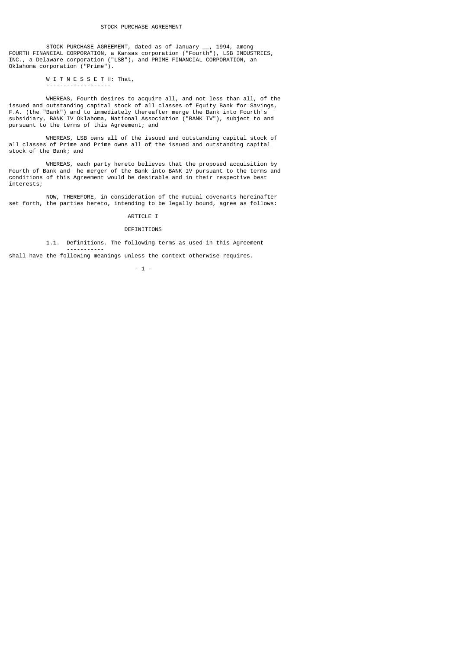STOCK PURCHASE AGREEMENT, dated as of January \_\_, 1994, among FOURTH FINANCIAL CORPORATION, a Kansas corporation ("Fourth"), LSB INDUSTRIES, INC., a Delaware corporation ("LSB"), and PRIME FINANCIAL CORPORATION, an Oklahoma corporation ("Prime").

## W I T N E S S E T H: That,

-------------------

-----------

 WHEREAS, Fourth desires to acquire all, and not less than all, of the issued and outstanding capital stock of all classes of Equity Bank for Savings, F.A. (the "Bank") and to immediately thereafter merge the Bank into Fourth's subsidiary, BANK IV Oklahoma, National Association ("BANK IV"), subject to and pursuant to the terms of this Agreement; and

 WHEREAS, LSB owns all of the issued and outstanding capital stock of all classes of Prime and Prime owns all of the issued and outstanding capital stock of the Bank; and

 WHEREAS, each party hereto believes that the proposed acquisition by Fourth of Bank and he merger of the Bank into BANK IV pursuant to the terms and conditions of this Agreement would be desirable and in their respective best interests;

 NOW, THEREFORE, in consideration of the mutual covenants hereinafter set forth, the parties hereto, intending to be legally bound, agree as follows:

## ARTICLE I

## DEFINITIONS

1.1. Definitions. The following terms as used in this Agreement

shall have the following meanings unless the context otherwise requires.

- 1 -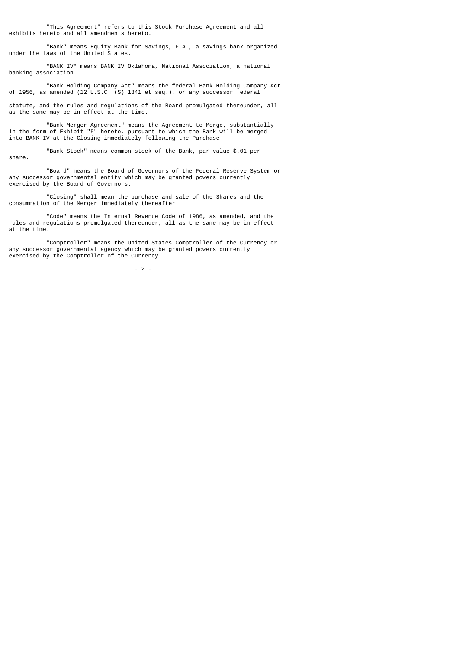"This Agreement" refers to this Stock Purchase Agreement and all exhibits hereto and all amendments hereto.

 "Bank" means Equity Bank for Savings, F.A., a savings bank organized under the laws of the United States.

 "BANK IV" means BANK IV Oklahoma, National Association, a national banking association.

 "Bank Holding Company Act" means the federal Bank Holding Company Act of 1956, as amended (12 U.S.C. (S) 1841 et seq.), or any successor federal

 -- -- statute, and the rules and regulations of the Board promulgated thereunder, all as the same may be in effect at the time.

 "Bank Merger Agreement" means the Agreement to Merge, substantially in the form of Exhibit "F" hereto, pursuant to which the Bank will be merged into BANK IV at the Closing immediately following the Purchase.

 "Bank Stock" means common stock of the Bank, par value \$.01 per share.

 "Board" means the Board of Governors of the Federal Reserve System or any successor governmental entity which may be granted powers currently exercised by the Board of Governors.

 "Closing" shall mean the purchase and sale of the Shares and the consummation of the Merger immediately thereafter.

 "Code" means the Internal Revenue Code of 1986, as amended, and the rules and regulations promulgated thereunder, all as the same may be in effect at the time.

 "Comptroller" means the United States Comptroller of the Currency or any successor governmental agency which may be granted powers currently exercised by the Comptroller of the Currency.

 $-2$  -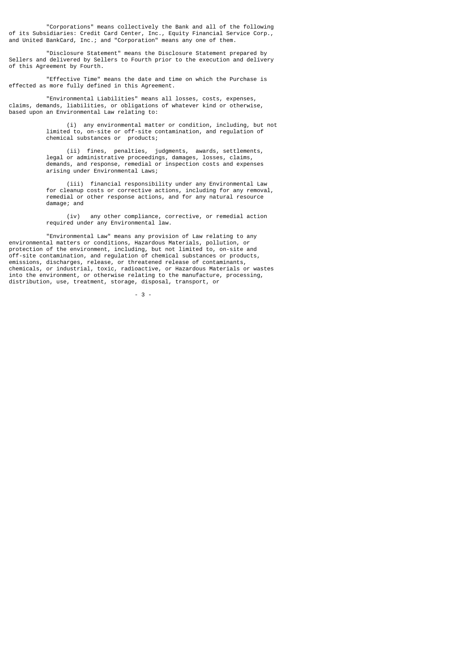"Corporations" means collectively the Bank and all of the following of its Subsidiaries: Credit Card Center, Inc., Equity Financial Service Corp., and United BankCard, Inc.; and "Corporation" means any one of them.

 "Disclosure Statement" means the Disclosure Statement prepared by Sellers and delivered by Sellers to Fourth prior to the execution and delivery of this Agreement by Fourth.

 "Effective Time" means the date and time on which the Purchase is effected as more fully defined in this Agreement.

 "Environmental Liabilities" means all losses, costs, expenses, claims, demands, liabilities, or obligations of whatever kind or otherwise, based upon an Environmental Law relating to:

> (i) any environmental matter or condition, including, but not limited to, on-site or off-site contamination, and regulation of chemical substances or products;

 (ii) fines, penalties, judgments, awards, settlements, legal or administrative proceedings, damages, losses, claims, demands, and response, remedial or inspection costs and expenses arising under Environmental Laws;

 (iii) financial responsibility under any Environmental Law for cleanup costs or corrective actions, including for any removal, remedial or other response actions, and for any natural resource damage; and

> (iv) any other compliance, corrective, or remedial action required under any Environmental law.

 "Environmental Law" means any provision of Law relating to any environmental matters or conditions, Hazardous Materials, pollution, or protection of the environment, including, but not limited to, on-site and off-site contamination, and regulation of chemical substances or products, emissions, discharges, release, or threatened release of contaminants, chemicals, or industrial, toxic, radioactive, or Hazardous Materials or wastes into the environment, or otherwise relating to the manufacture, processing, distribution, use, treatment, storage, disposal, transport, or

 $-3$  -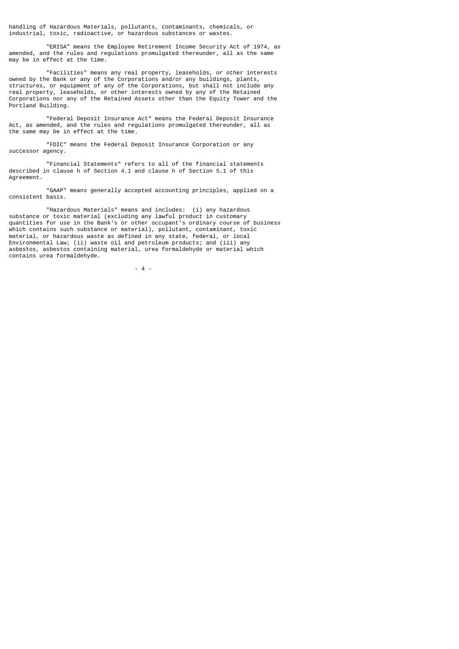handling of Hazardous Materials, pollutants, contaminants, chemicals, or industrial, toxic, radioactive, or hazardous substances or wastes.

 "ERISA" means the Employee Retirement Income Security Act of 1974, as amended, and the rules and regulations promulgated thereunder, all as the same may be in effect at the time.

 "Facilities" means any real property, leaseholds, or other interests owned by the Bank or any of the Corporations and/or any buildings, plants, structures, or equipment of any of the Corporations, but shall not include any real property, leaseholds, or other interests owned by any of the Retained Corporations nor any of the Retained Assets other than the Equity Tower and the Portland Building.

 "Federal Deposit Insurance Act" means the Federal Deposit Insurance Act, as amended, and the rules and regulations promulgated thereunder, all as the same may be in effect at the time.

 "FDIC" means the Federal Deposit Insurance Corporation or any successor agency.

 "Financial Statements" refers to all of the financial statements described in clause h of Section 4.1 and clause h of Section 5.1 of this Agreement.

 "GAAP" means generally accepted accounting principles, applied on a consistent basis.

 "Hazardous Materials" means and includes: (i) any hazardous substance or toxic material (excluding any lawful product in customary quantities for use in the Bank's or other occupant's ordinary course of business which contains such substance or material), pollutant, contaminant, toxic material, or hazardous waste as defined in any state, federal, or local Environmental Law; (ii) waste oil and petroleum products; and (iii) any asbestos, asbestos containing material, urea formaldehyde or material which contains urea formaldehyde.

 $-4$  -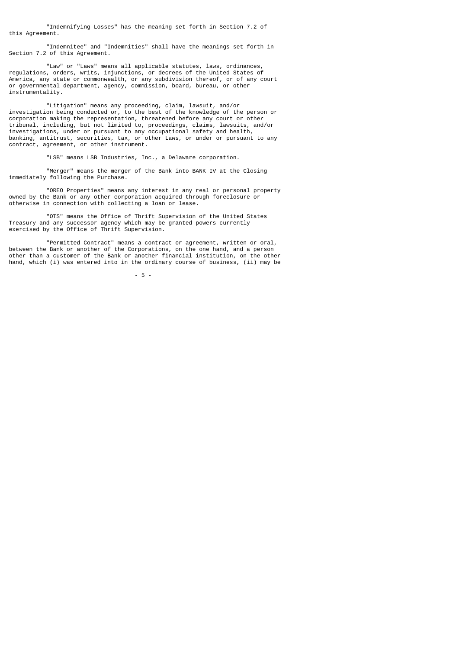"Indemnifying Losses" has the meaning set forth in Section 7.2 of this Agreement.

 "Indemnitee" and "Indemnities" shall have the meanings set forth in Section 7.2 of this Agreement.

 "Law" or "Laws" means all applicable statutes, laws, ordinances, regulations, orders, writs, injunctions, or decrees of the United States of America, any state or commonwealth, or any subdivision thereof, or of any court or governmental department, agency, commission, board, bureau, or other instrumentality.

 "Litigation" means any proceeding, claim, lawsuit, and/or investigation being conducted or, to the best of the knowledge of the person or corporation making the representation, threatened before any court or other tribunal, including, but not limited to, proceedings, claims, lawsuits, and/or investigations, under or pursuant to any occupational safety and health, banking, antitrust, securities, tax, or other Laws, or under or pursuant to any contract, agreement, or other instrument.

"LSB" means LSB Industries, Inc., a Delaware corporation.

 "Merger" means the merger of the Bank into BANK IV at the Closing immediately following the Purchase.

 "OREO Properties" means any interest in any real or personal property owned by the Bank or any other corporation acquired through foreclosure or otherwise in connection with collecting a loan or lease.

 "OTS" means the Office of Thrift Supervision of the United States Treasury and any successor agency which may be granted powers currently exercised by the Office of Thrift Supervision.

 "Permitted Contract" means a contract or agreement, written or oral, between the Bank or another of the Corporations, on the one hand, and a person other than a customer of the Bank or another financial institution, on the other hand, which (i) was entered into in the ordinary course of business, (ii) may be

- 5 -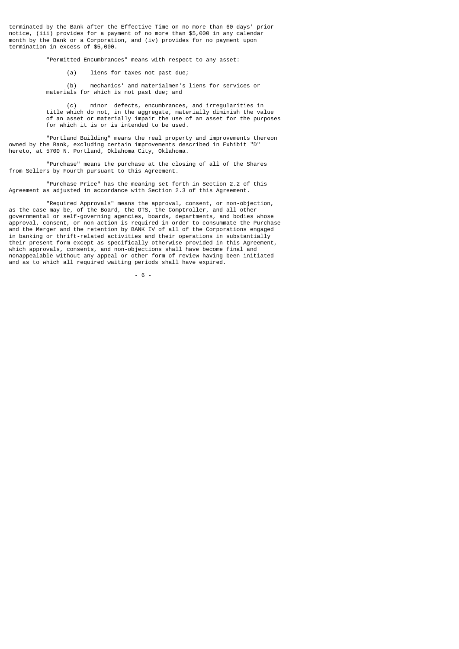terminated by the Bank after the Effective Time on no more than 60 days' prior notice, (iii) provides for a payment of no more than \$5,000 in any calendar month by the Bank or a Corporation, and (iv) provides for no payment upon termination in excess of \$5,000.

"Permitted Encumbrances" means with respect to any asset:

(a) liens for taxes not past due;

 (b) mechanics' and materialmen's liens for services or materials for which is not past due; and

 (c) minor defects, encumbrances, and irregularities in title which do not, in the aggregate, materially diminish the value of an asset or materially impair the use of an asset for the purposes for which it is or is intended to be used.

 "Portland Building" means the real property and improvements thereon owned by the Bank, excluding certain improvements described in Exhibit "D" hereto, at 5700 N. Portland, Oklahoma City, Oklahoma.

 "Purchase" means the purchase at the closing of all of the Shares from Sellers by Fourth pursuant to this Agreement.

 "Purchase Price" has the meaning set forth in Section 2.2 of this Agreement as adjusted in accordance with Section 2.3 of this Agreement.

 "Required Approvals" means the approval, consent, or non-objection, as the case may be, of the Board, the OTS, the Comptroller, and all other governmental or self-governing agencies, boards, departments, and bodies whose approval, consent, or non-action is required in order to consummate the Purchase and the Merger and the retention by BANK IV of all of the Corporations engaged in banking or thrift-related activities and their operations in substantially their present form except as specifically otherwise provided in this Agreement, which approvals, consents, and non-objections shall have become final and nonappealable without any appeal or other form of review having been initiated and as to which all required waiting periods shall have expired.

- 6 -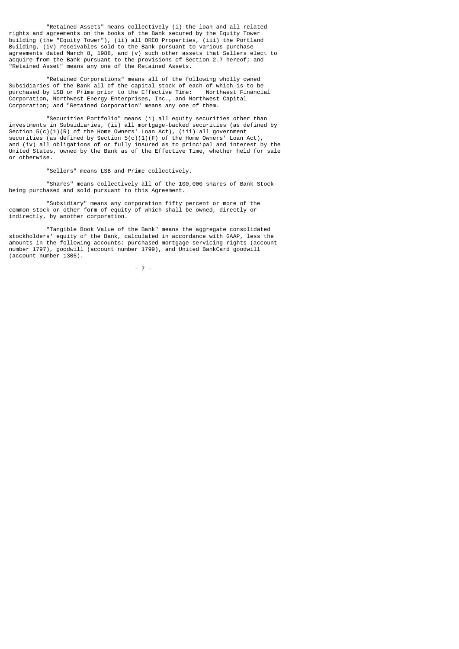"Retained Assets" means collectively (i) the loan and all related rights and agreements on the books of the Bank secured by the Equity Tower building (the "Equity Tower"), (ii) all OREO Properties, (iii) the Portland Building, (iv) receivables sold to the Bank pursuant to various purchase agreements dated March 8, 1988, and (v) such other assets that Sellers elect to acquire from the Bank pursuant to the provisions of Section 2.7 hereof; and "Retained Asset" means any one of the Retained Assets.

 "Retained Corporations" means all of the following wholly owned Subsidiaries of the Bank all of the capital stock of each of which is to be purchased by LSB or Prime prior to the Effective Time: Northwest Financial Corporation, Northwest Energy Enterprises, Inc., and Northwest Capital Corporation; and "Retained Corporation" means any one of them.

 "Securities Portfolio" means (i) all equity securities other than investments in Subsidiaries, (ii) all mortgage-backed securities (as defined by Section  $5(c)(1)(R)$  of the Home Owners' Loan Act), (iii) all government securities (as defined by Section  $5(c)(1)(F)$  of the Home Owners' Loan Act), and (iv) all obligations of or fully insured as to principal and interest by the United States, owned by the Bank as of the Effective Time, whether held for sale or otherwise.

"Sellers" means LSB and Prime collectively.

 "Shares" means collectively all of the 100,000 shares of Bank Stock being purchased and sold pursuant to this Agreement.

 "Subsidiary" means any corporation fifty percent or more of the common stock or other form of equity of which shall be owned, directly or indirectly, by another corporation.

 "Tangible Book Value of the Bank" means the aggregate consolidated stockholders' equity of the Bank, calculated in accordance with GAAP, less the amounts in the following accounts: purchased mortgage servicing rights (account number 1797), goodwill (account number 1799), and United BankCard goodwill (account number 1305).

- 7 -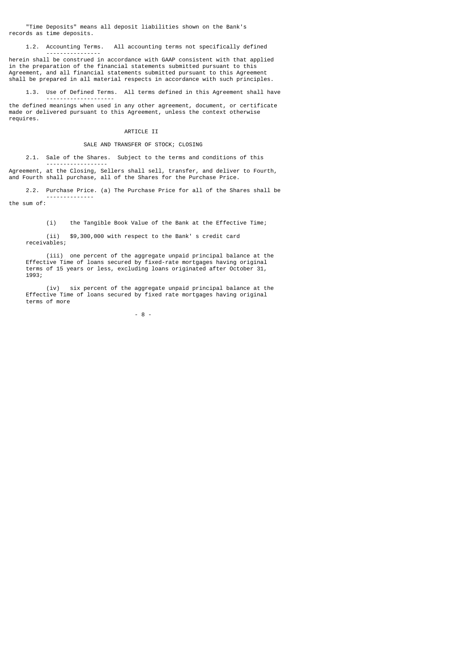"Time Deposits" means all deposit liabilities shown on the Bank's records as time deposits.

1.2. Accounting Terms. All accounting terms not specifically defined

herein shall be construed in accordance with GAAP consistent with that applied in the preparation of the financial statements submitted pursuant to this Agreement, and all financial statements submitted pursuant to this Agreement shall be prepared in all material respects in accordance with such principles.

1.3. Use of Defined Terms. All terms defined in this Agreement shall have

 ------------------- the defined meanings when used in any other agreement, document, or certificate made or delivered pursuant to this Agreement, unless the context otherwise requires.

# ARTICLE II

# SALE AND TRANSFER OF STOCK; CLOSING

2.1. Sale of the Shares. Subject to the terms and conditions of this

 ------------------ Agreement, at the Closing, Sellers shall sell, transfer, and deliver to Fourth, and Fourth shall purchase, all of the Shares for the Purchase Price.

 2.2. Purchase Price. (a) The Purchase Price for all of the Shares shall be --------------

the sum of:

----------------

(i) the Tangible Book Value of the Bank at the Effective Time;

 (ii) \$9,300,000 with respect to the Bank' s credit card receivables;

 (iii) one percent of the aggregate unpaid principal balance at the Effective Time of loans secured by fixed-rate mortgages having original terms of 15 years or less, excluding loans originated after October 31, 1993;

 (iv) six percent of the aggregate unpaid principal balance at the Effective Time of loans secured by fixed rate mortgages having original terms of more

- 8 -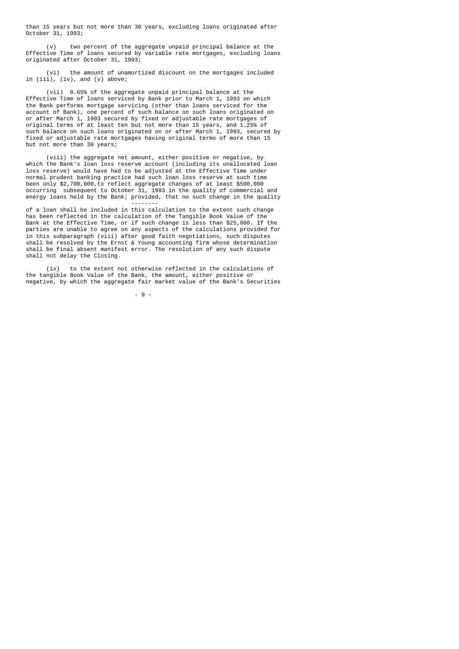than 15 years but not more than 30 years, excluding loans originated after October 31, 1993;

 (v) two percent of the aggregate unpaid principal balance at the Effective Time of loans secured by variable rate mortgages, excluding loans originated after October 31, 1993;

 (vi) the amount of unamortized discount on the mortgages included in  $(iii)$ ,  $(iv)$ , and  $(v)$  above;

 (vii) 0.65% of the aggregate unpaid principal balance at the Effective Time of loans serviced by Bank prior to March 1, 1993 on which the Bank performs mortgage servicing (other than loans serviced for the account of Bank), one percent of such balance on such loans originated on or after March 1, 1993 secured by fixed or adjustable rate mortgages of original terms of at least ten but not more than 15 years, and 1.25% of such balance on such loans originated on or after March 1, 1993, secured by fixed or adjustable rate mortgages having original terms of more than 15 but not more than 30 years;

 (viii) the aggregate net amount, either positive or negative, by which the Bank's loan loss reserve account (including its unallocated loan loss reserve) would have had to be adjusted at the Effective Time under normal prudent banking practice had such loan loss reserve at such time been only \$2,700,000,to reflect aggregate changes of at least \$500,000 occurring subsequent to October 31, 1993 in the quality of commercial and energy loans held by the Bank; provided, that no such change in the quality

 ------- of a loan shall be included in this calculation to the extent such change has been reflected in the calculation of the Tangible Book Value of the Bank at the Effective Time, or if such change is less than \$25,000. If the parties are unable to agree on any aspects of the calculations provided for in this subparagraph (viii) after good faith negotiations, such disputes shall be resolved by the Ernst & Young accounting firm whose determination shall be final absent manifest error. The resolution of any such dispute shall not delay the Closing.

 (ix) to the extent not otherwise reflected in the calculations of the tangible Book Value of the Bank, the amount, either positive or negative, by which the aggregate fair market value of the Bank's Securities

- 9 -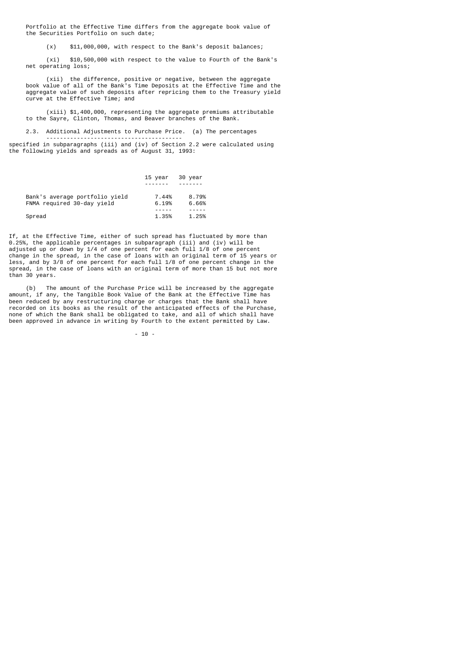Portfolio at the Effective Time differs from the aggregate book value of the Securities Portfolio on such date;

(x) \$11,000,000, with respect to the Bank's deposit balances;

 (xi) \$10,500,000 with respect to the value to Fourth of the Bank's net operating loss;

 (xii) the difference, positive or negative, between the aggregate book value of all of the Bank's Time Deposits at the Effective Time and the aggregate value of such deposits after repricing them to the Treasury yield curve at the Effective Time; and

 (xiii) \$1,400,000, representing the aggregate premiums attributable to the Sayre, Clinton, Thomas, and Beaver branches of the Bank.

 2.3. Additional Adjustments to Purchase Price. (a) The percentages ----------------------------------------

specified in subparagraphs (iii) and (iv) of Section 2.2 were calculated using the following yields and spreads as of August 31, 1993:

|                                | 15 year | 30 year |
|--------------------------------|---------|---------|
|                                |         |         |
| Bank's average portfolio yield | 7.44%   | 8.79%   |
| FNMA required 30-day yield     | 6.19%   | 6.66%   |
| Spread                         | 1.35%   | 1.25%   |
|                                |         |         |

If, at the Effective Time, either of such spread has fluctuated by more than 0.25%, the applicable percentages in subparagraph (iii) and (iv) will be adjusted up or down by 1/4 of one percent for each full 1/8 of one percent change in the spread, in the case of loans with an original term of 15 years or less, and by 3/8 of one percent for each full 1/8 of one percent change in the spread, in the case of loans with an original term of more than 15 but not more than 30 years.

 (b) The amount of the Purchase Price will be increased by the aggregate amount, if any, the Tangible Book Value of the Bank at the Effective Time has been reduced by any restructuring charge or charges that the Bank shall have recorded on its books as the result of the anticipated effects of the Purchase, none of which the Bank shall be obligated to take, and all of which shall have been approved in advance in writing by Fourth to the extent permitted by Law.

- 10 -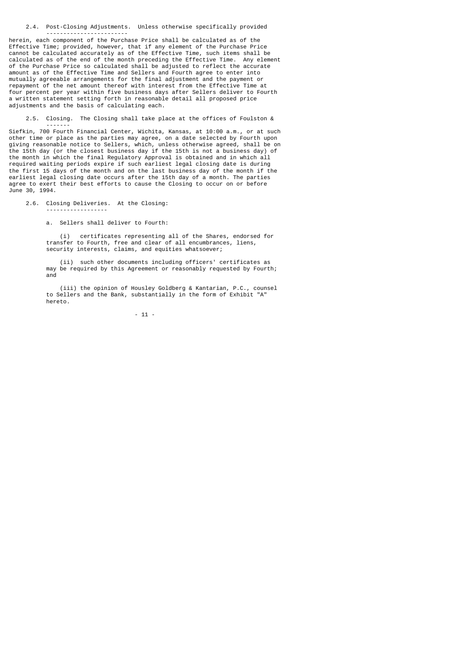2.4. Post-Closing Adjustments. Unless otherwise specifically provided ------------------------

herein, each component of the Purchase Price shall be calculated as of the Effective Time; provided, however, that if any element of the Purchase Price cannot be calculated accurately as of the Effective Time, such items shall be calculated as of the end of the month preceding the Effective Time. Any element of the Purchase Price so calculated shall be adjusted to reflect the accurate amount as of the Effective Time and Sellers and Fourth agree to enter into mutually agreeable arrangements for the final adjustment and the payment or repayment of the net amount thereof with interest from the Effective Time at four percent per year within five business days after Sellers deliver to Fourth a written statement setting forth in reasonable detail all proposed price adjustments and the basis of calculating each.

 2.5. Closing. The Closing shall take place at the offices of Foulston & -------

Siefkin, 700 Fourth Financial Center, Wichita, Kansas, at 10:00 a.m., or at such other time or place as the parties may agree, on a date selected by Fourth upon giving reasonable notice to Sellers, which, unless otherwise agreed, shall be on the 15th day (or the closest business day if the 15th is not a business day) of the month in which the final Regulatory Approval is obtained and in which all required waiting periods expire if such earliest legal closing date is during the first 15 days of the month and on the last business day of the month if the earliest legal closing date occurs after the 15th day of a month. The parties agree to exert their best efforts to cause the Closing to occur on or before June 30, 1994.

2.6. Closing Deliveries. At the Closing:

------------------

a. Sellers shall deliver to Fourth:

 (i) certificates representing all of the Shares, endorsed for transfer to Fourth, free and clear of all encumbrances, liens, security interests, claims, and equities whatsoever;

> (ii) such other documents including officers' certificates as may be required by this Agreement or reasonably requested by Fourth; and

> (iii) the opinion of Housley Goldberg & Kantarian, P.C., counsel to Sellers and the Bank, substantially in the form of Exhibit "A" hereto.

> > - 11 -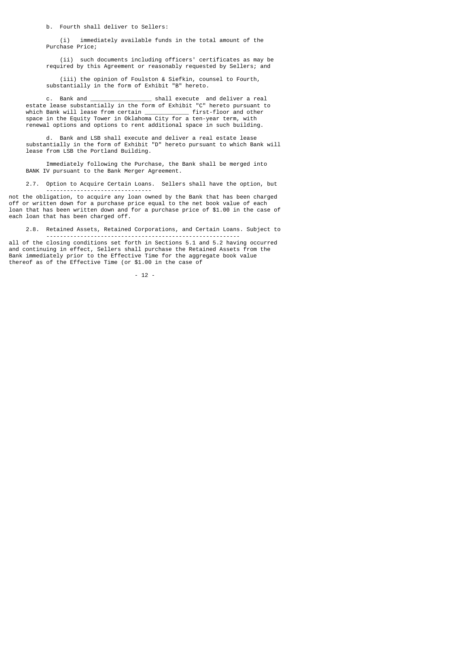b. Fourth shall deliver to Sellers:

 (i) immediately available funds in the total amount of the Purchase Price;

 (ii) such documents including officers' certificates as may be required by this Agreement or reasonably requested by Sellers; and

 (iii) the opinion of Foulston & Siefkin, counsel to Fourth, substantially in the form of Exhibit "B" hereto.

 c. Bank and \_\_\_\_\_\_\_\_\_\_\_\_\_\_\_\_\_\_ shall execute and deliver a real estate lease substantially in the form of Exhibit "C" hereto pursuant to which Bank will lease from certain \_\_\_\_\_\_\_\_\_\_\_\_\_ first-floor and other space in the Equity Tower in Oklahoma City for a ten-year term, with renewal options and options to rent additional space in such building.

 d. Bank and LSB shall execute and deliver a real estate lease substantially in the form of Exhibit "D" hereto pursuant to which Bank will lease from LSB the Portland Building.

 Immediately following the Purchase, the Bank shall be merged into BANK IV pursuant to the Bank Merger Agreement.

 2.7. Option to Acquire Certain Loans. Sellers shall have the option, but -------------------------------

not the obligation, to acquire any loan owned by the Bank that has been charged off or written down for a purchase price equal to the net book value of each loan that has been written down and for a purchase price of \$1.00 in the case of each loan that has been charged off.

2.8. Retained Assets, Retained Corporations, and Certain Loans. Subject to

 -------------------------------------------------------- all of the closing conditions set forth in Sections 5.1 and 5.2 having occurred and continuing in effect, Sellers shall purchase the Retained Assets from the Bank immediately prior to the Effective Time for the aggregate book value thereof as of the Effective Time (or \$1.00 in the case of

- 12 -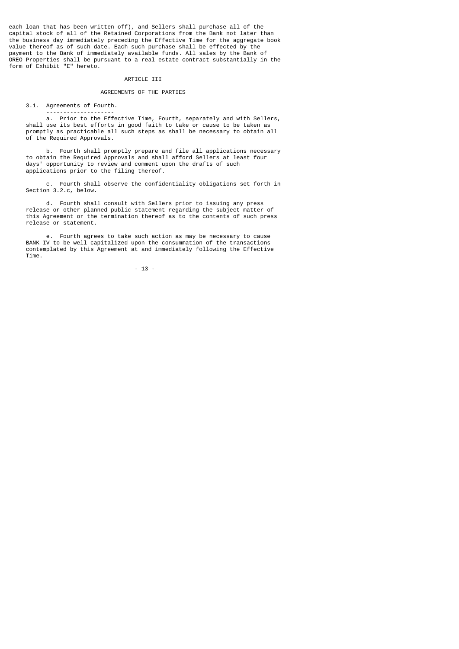each loan that has been written off), and Sellers shall purchase all of the capital stock of all of the Retained Corporations from the Bank not later than the business day immediately preceding the Effective Time for the aggregate book value thereof as of such date. Each such purchase shall be effected by the payment to the Bank of immediately available funds. All sales by the Bank of OREO Properties shall be pursuant to a real estate contract substantially in the form of Exhibit "E" hereto.

#### ARTICLE III

#### AGREEMENTS OF THE PARTIES

3.1. Agreements of Fourth.

 ------------------- a. Prior to the Effective Time, Fourth, separately and with Sellers, shall use its best efforts in good faith to take or cause to be taken as promptly as practicable all such steps as shall be necessary to obtain all of the Required Approvals.

 b. Fourth shall promptly prepare and file all applications necessary to obtain the Required Approvals and shall afford Sellers at least four days' opportunity to review and comment upon the drafts of such applications prior to the filing thereof.

 c. Fourth shall observe the confidentiality obligations set forth in Section 3.2.c, below.

 d. Fourth shall consult with Sellers prior to issuing any press release or other planned public statement regarding the subject matter of this Agreement or the termination thereof as to the contents of such press release or statement.

 e. Fourth agrees to take such action as may be necessary to cause BANK IV to be well capitalized upon the consummation of the transactions contemplated by this Agreement at and immediately following the Effective Time.

- 13 -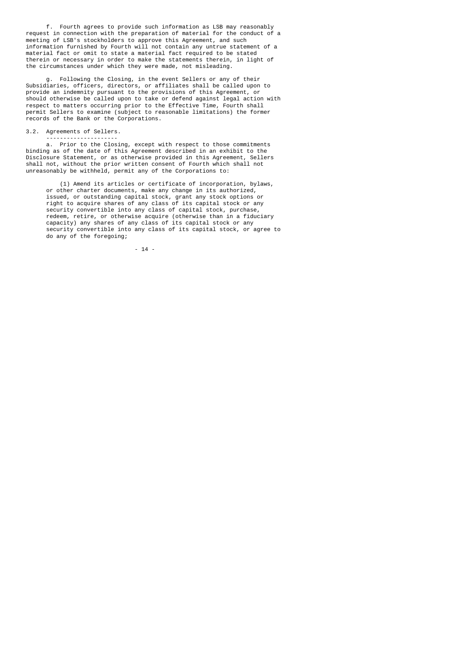f. Fourth agrees to provide such information as LSB may reasonably request in connection with the preparation of material for the conduct of a meeting of LSB's stockholders to approve this Agreement, and such information furnished by Fourth will not contain any untrue statement of a material fact or omit to state a material fact required to be stated therein or necessary in order to make the statements therein, in light of the circumstances under which they were made, not misleading.

 g. Following the Closing, in the event Sellers or any of their Subsidiaries, officers, directors, or affiliates shall be called upon to provide an indemnity pursuant to the provisions of this Agreement, or should otherwise be called upon to take or defend against legal action with respect to matters occurring prior to the Effective Time, Fourth shall permit Sellers to examine (subject to reasonable limitations) the former records of the Bank or the Corporations.

3.2. Agreements of Sellers.

---------------------

 a. Prior to the Closing, except with respect to those commitments binding as of the date of this Agreement described in an exhibit to the Disclosure Statement, or as otherwise provided in this Agreement, Sellers shall not, without the prior written consent of Fourth which shall not unreasonably be withheld, permit any of the Corporations to:

 (1) Amend its articles or certificate of incorporation, bylaws, or other charter documents, make any change in its authorized, issued, or outstanding capital stock, grant any stock options or right to acquire shares of any class of its capital stock or any security convertible into any class of capital stock, purchase, redeem, retire, or otherwise acquire (otherwise than in a fiduciary capacity) any shares of any class of its capital stock or any security convertible into any class of its capital stock, or agree to do any of the foregoing;

- 14 -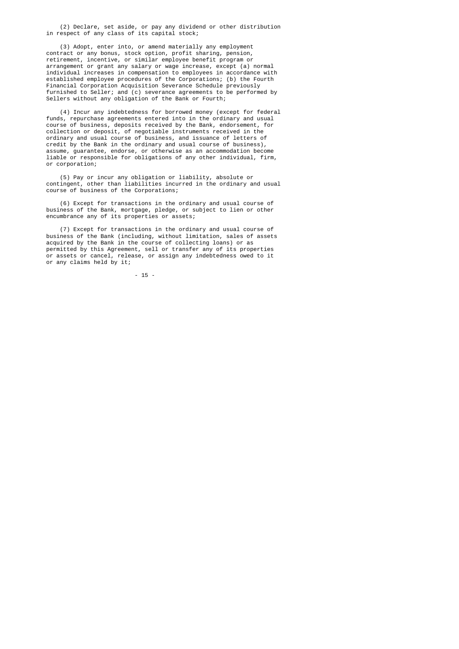(2) Declare, set aside, or pay any dividend or other distribution in respect of any class of its capital stock;

 (3) Adopt, enter into, or amend materially any employment contract or any bonus, stock option, profit sharing, pension, retirement, incentive, or similar employee benefit program or arrangement or grant any salary or wage increase, except (a) normal individual increases in compensation to employees in accordance with established employee procedures of the Corporations; (b) the Fourth Financial Corporation Acquisition Severance Schedule previously furnished to Seller; and (c) severance agreements to be performed by Sellers without any obligation of the Bank or Fourth;

 (4) Incur any indebtedness for borrowed money (except for federal funds, repurchase agreements entered into in the ordinary and usual course of business, deposits received by the Bank, endorsement, for collection or deposit, of negotiable instruments received in the ordinary and usual course of business, and issuance of letters of credit by the Bank in the ordinary and usual course of business), assume, guarantee, endorse, or otherwise as an accommodation become liable or responsible for obligations of any other individual, firm, or corporation;

> (5) Pay or incur any obligation or liability, absolute or contingent, other than liabilities incurred in the ordinary and usual course of business of the Corporations;

 (6) Except for transactions in the ordinary and usual course of business of the Bank, mortgage, pledge, or subject to lien or other encumbrance any of its properties or assets;

 (7) Except for transactions in the ordinary and usual course of business of the Bank (including, without limitation, sales of assets acquired by the Bank in the course of collecting loans) or as permitted by this Agreement, sell or transfer any of its properties or assets or cancel, release, or assign any indebtedness owed to it or any claims held by it;

- 15 -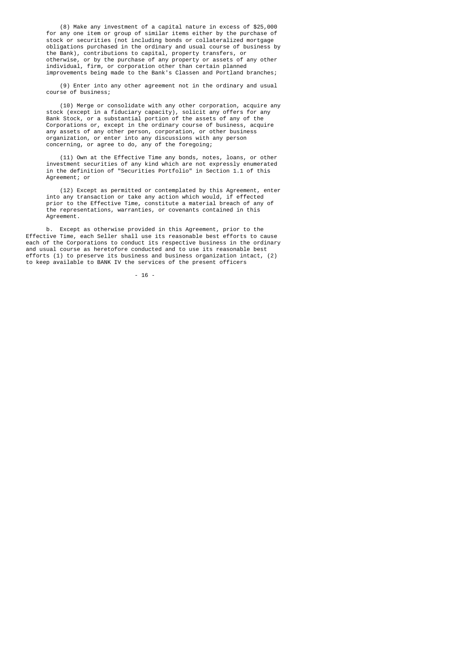(8) Make any investment of a capital nature in excess of \$25,000 for any one item or group of similar items either by the purchase of stock or securities (not including bonds or collateralized mortgage obligations purchased in the ordinary and usual course of business by the Bank), contributions to capital, property transfers, or otherwise, or by the purchase of any property or assets of any other individual, firm, or corporation other than certain planned improvements being made to the Bank's Classen and Portland branches;

> (9) Enter into any other agreement not in the ordinary and usual course of business;

 (10) Merge or consolidate with any other corporation, acquire any stock (except in a fiduciary capacity), solicit any offers for any Bank Stock, or a substantial portion of the assets of any of the Corporations or, except in the ordinary course of business, acquire any assets of any other person, corporation, or other business organization, or enter into any discussions with any person concerning, or agree to do, any of the foregoing;

> (11) Own at the Effective Time any bonds, notes, loans, or other investment securities of any kind which are not expressly enumerated in the definition of "Securities Portfolio" in Section 1.1 of this Agreement; or

 (12) Except as permitted or contemplated by this Agreement, enter into any transaction or take any action which would, if effected prior to the Effective Time, constitute a material breach of any of the representations, warranties, or covenants contained in this Agreement.

 b. Except as otherwise provided in this Agreement, prior to the Effective Time, each Seller shall use its reasonable best efforts to cause each of the Corporations to conduct its respective business in the ordinary and usual course as heretofore conducted and to use its reasonable best efforts (1) to preserve its business and business organization intact, (2) to keep available to BANK IV the services of the present officers

- 16 -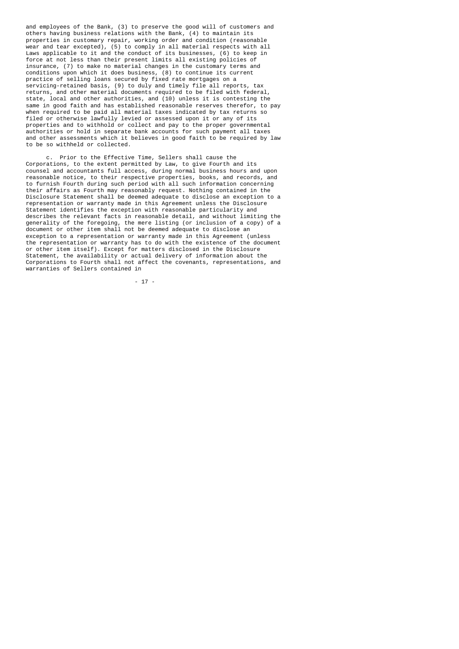and employees of the Bank, (3) to preserve the good will of customers and others having business relations with the Bank, (4) to maintain its properties in customary repair, working order and condition (reasonable wear and tear excepted), (5) to comply in all material respects with all Laws applicable to it and the conduct of its businesses, (6) to keep in force at not less than their present limits all existing policies of insurance, (7) to make no material changes in the customary terms and conditions upon which it does business, (8) to continue its current practice of selling loans secured by fixed rate mortgages on a servicing-retained basis, (9) to duly and timely file all reports, tax returns, and other material documents required to be filed with federal, state, local and other authorities, and (10) unless it is contesting the same in good faith and has established reasonable reserves therefor, to pay when required to be paid all material taxes indicated by tax returns so filed or otherwise lawfully levied or assessed upon it or any of its properties and to withhold or collect and pay to the proper governmental authorities or hold in separate bank accounts for such payment all taxes and other assessments which it believes in good faith to be required by law to be so withheld or collected.

Prior to the Effective Time, Sellers shall cause the Corporations, to the extent permitted by Law, to give Fourth and its counsel and accountants full access, during normal business hours and upon reasonable notice, to their respective properties, books, and records, and to furnish Fourth during such period with all such information concerning their affairs as Fourth may reasonably request. Nothing contained in the Disclosure Statement shall be deemed adequate to disclose an exception to a representation or warranty made in this Agreement unless the Disclosure Statement identifies the exception with reasonable particularity and describes the relevant facts in reasonable detail, and without limiting the generality of the foregoing, the mere listing (or inclusion of a copy) of a document or other item shall not be deemed adequate to disclose an exception to a representation or warranty made in this Agreement (unless the representation or warranty has to do with the existence of the document or other item itself). Except for matters disclosed in the Disclosure Statement, the availability or actual delivery of information about the Corporations to Fourth shall not affect the covenants, representations, and warranties of Sellers contained in

- 17 -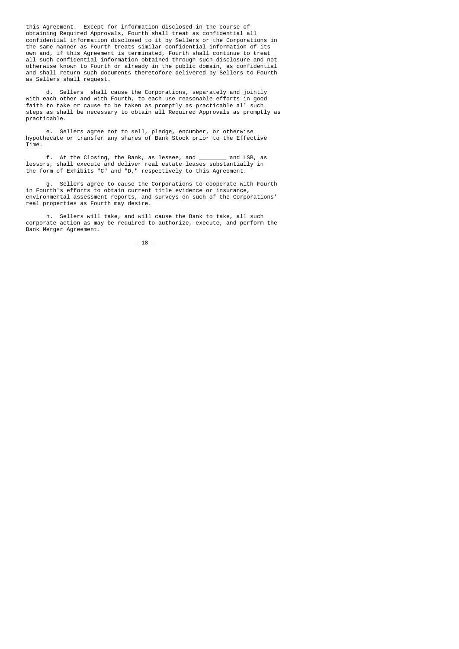this Agreement. Except for information disclosed in the course of obtaining Required Approvals, Fourth shall treat as confidential all confidential information disclosed to it by Sellers or the Corporations in the same manner as Fourth treats similar confidential information of its own and, if this Agreement is terminated, Fourth shall continue to treat all such confidential information obtained through such disclosure and not otherwise known to Fourth or already in the public domain, as confidential and shall return such documents theretofore delivered by Sellers to Fourth as Sellers shall request.

 d. Sellers shall cause the Corporations, separately and jointly with each other and with Fourth, to each use reasonable efforts in good faith to take or cause to be taken as promptly as practicable all such steps as shall be necessary to obtain all Required Approvals as promptly as practicable.

 e. Sellers agree not to sell, pledge, encumber, or otherwise hypothecate or transfer any shares of Bank Stock prior to the Effective Time.

 f. At the Closing, the Bank, as lessee, and \_\_\_\_\_\_\_\_ and LSB, as lessors, shall execute and deliver real estate leases substantially in the form of Exhibits "C" and "D," respectively to this Agreement.

 g. Sellers agree to cause the Corporations to cooperate with Fourth in Fourth's efforts to obtain current title evidence or insurance, environmental assessment reports, and surveys on such of the Corporations' real properties as Fourth may desire.

 h. Sellers will take, and will cause the Bank to take, all such corporate action as may be required to authorize, execute, and perform the Bank Merger Agreement.

- 18 -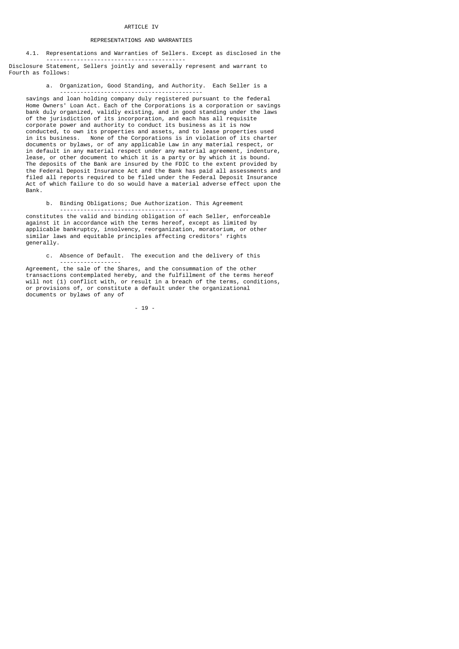## REPRESENTATIONS AND WARRANTIES

4.1. Representations and Warranties of Sellers. Except as disclosed in the

 ----------------------------------------- Disclosure Statement, Sellers jointly and severally represent and warrant to Fourth as follows:

a. Organization, Good Standing, and Authority. Each Seller is a

 ----------------------------------------- savings and loan holding company duly registered pursuant to the federal Home Owners' Loan Act. Each of the Corporations is a corporation or savings bank duly organized, validly existing, and in good standing under the laws of the jurisdiction of its incorporation, and each has all requisite corporate power and authority to conduct its business as it is now conducted, to own its properties and assets, and to lease properties used in its business. None of the Corporations is in violation of its charter documents or bylaws, or of any applicable Law in any material respect, or in default in any material respect under any material agreement, indenture, lease, or other document to which it is a party or by which it is bound. The deposits of the Bank are insured by the FDIC to the extent provided by the Federal Deposit Insurance Act and the Bank has paid all assessments and filed all reports required to be filed under the Federal Deposit Insurance Act of which failure to do so would have a material adverse effect upon the Bank.

b. Binding Obligations; Due Authorization. This Agreement

 ------------------------------------- constitutes the valid and binding obligation of each Seller, enforceable against it in accordance with the terms hereof, except as limited by applicable bankruptcy, insolvency, reorganization, moratorium, or other similar laws and equitable principles affecting creditors' rights generally.

c. Absence of Default. The execution and the delivery of this

 ------------------ Agreement, the sale of the Shares, and the consummation of the other transactions contemplated hereby, and the fulfillment of the terms hereof will not (1) conflict with, or result in a breach of the terms, conditions, or provisions of, or constitute a default under the organizational documents or bylaws of any of

- 19 -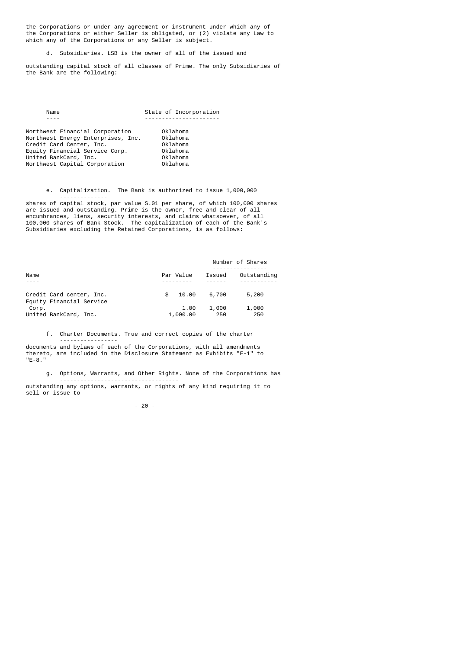the Corporations or under any agreement or instrument under which any of the Corporations or either Seller is obligated, or (2) violate any Law to which any of the Corporations or any Seller is subject.

d. Subsidiaries. LSB is the owner of all of the issued and

 outstanding capital stock of all classes of Prime. The only Subsidiaries of the Bank are the following:

| Name                                                                                                                                                                                          | State of Incorporation                                               |
|-----------------------------------------------------------------------------------------------------------------------------------------------------------------------------------------------|----------------------------------------------------------------------|
|                                                                                                                                                                                               |                                                                      |
| Northwest Financial Corporation<br>Northwest Energy Enterprises, Inc.<br>Credit Card Center, Inc.<br>Equity Financial Service Corp.<br>United BankCard, Inc.<br>Northwest Capital Corporation | Oklahoma<br>Oklahoma<br>Oklahoma<br>Oklahoma<br>Oklahoma<br>Oklahoma |

------------

 e. Capitalization. The Bank is authorized to issue 1,000,000 --------------

 shares of capital stock, par value S.01 per share, of which 100,000 shares are issued and outstanding. Prime is the owner, free and clear of all encumbrances, liens, security interests, and claims whatsoever, of all 100,000 shares of Bank Stock. The capitalization of each of the Bank's Subsidiaries excluding the Retained Corporations, is as follows:

|                          |              | Number of Shares |             |
|--------------------------|--------------|------------------|-------------|
|                          |              |                  |             |
| Name                     | Par Value    | Issued           | Outstanding |
|                          |              |                  |             |
| Credit Card center, Inc. | 10.00<br>\$. | 6,700            | 5,200       |
| Equity Financial Service |              |                  |             |
| Corp.                    | 1.00         | 1,000            | 1,000       |
| United BankCard, Inc.    | 1,000.00     | 250              | 250         |

f. Charter Documents. True and correct copies of the charter

 ---------------- documents and bylaws of each of the Corporations, with all amendments thereto, are included in the Disclosure Statement as Exhibits "E-1" to "E-8."

 g. Options, Warrants, and Other Rights. None of the Corporations has -----------------------------------

 outstanding any options, warrants, or rights of any kind requiring it to sell or issue to

- 20 -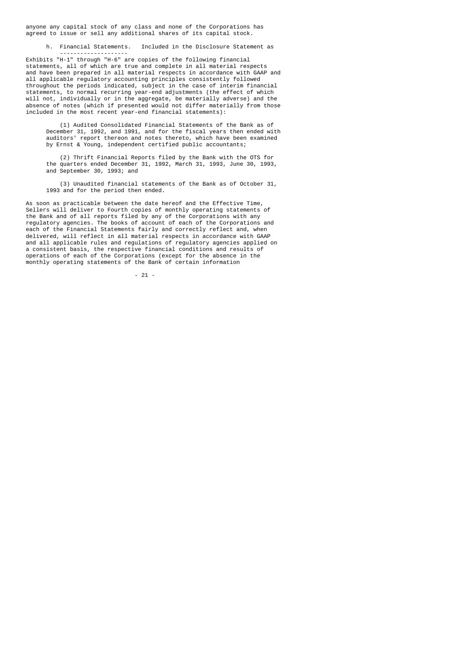anyone any capital stock of any class and none of the Corporations has agreed to issue or sell any additional shares of its capital stock.

h. Financial Statements. Included in the Disclosure Statement as

 -------------------- Exhibits "H-1" through "H-6" are copies of the following financial statements, all of which are true and complete in all material respects and have been prepared in all material respects in accordance with GAAP and all applicable regulatory accounting principles consistently followed throughout the periods indicated, subject in the case of interim financial statements, to normal recurring year-end adjustments (the effect of which will not, individually or in the aggregate, be materially adverse) and the absence of notes (which if presented would not differ materially from those included in the most recent year-end financial statements):

 (1) Audited Consolidated Financial Statements of the Bank as of December 31, 1992, and 1991, and for the fiscal years then ended with auditors' report thereon and notes thereto, which have been examined by Ernst & Young, independent certified public accountants;

> (2) Thrift Financial Reports filed by the Bank with the OTS for the quarters ended December 31, 1992, March 31, 1993, June 30, 1993, and September 30, 1993; and

> (3) Unaudited financial statements of the Bank as of October 31, 1993 and for the period then ended.

 As soon as practicable between the date hereof and the Effective Time, Sellers will deliver to Fourth copies of monthly operating statements of the Bank and of all reports filed by any of the Corporations with any regulatory agencies. The books of account of each of the Corporations and each of the Financial Statements fairly and correctly reflect and, when delivered, will reflect in all material respects in accordance with GAAP and all applicable rules and regulations of regulatory agencies applied on a consistent basis, the respective financial conditions and results of operations of each of the Corporations (except for the absence in the monthly operating statements of the Bank of certain information

- 21 -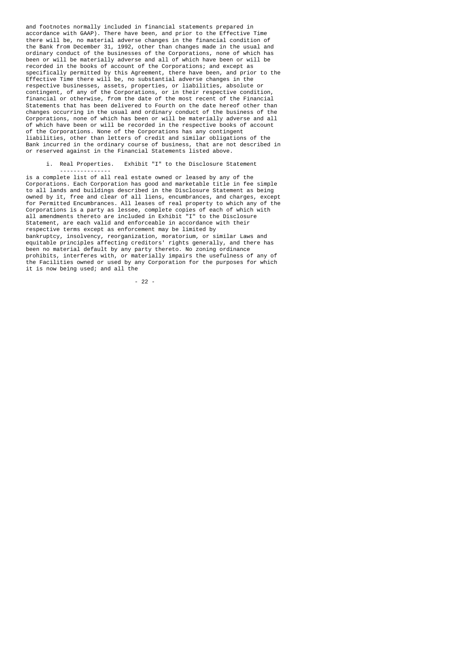and footnotes normally included in financial statements prepared in accordance with GAAP). There have been, and prior to the Effective Time there will be, no material adverse changes in the financial condition of the Bank from December 31, 1992, other than changes made in the usual and ordinary conduct of the businesses of the Corporations, none of which has been or will be materially adverse and all of which have been or will be recorded in the books of account of the Corporations; and except as specifically permitted by this Agreement, there have been, and prior to the Effective Time there will be, no substantial adverse changes in the respective businesses, assets, properties, or liabilities, absolute or contingent, of any of the Corporations, or in their respective condition, financial or otherwise, from the date of the most recent of the Financial Statements that has been delivered to Fourth on the date hereof other than changes occurring in the usual and ordinary conduct of the business of the Corporations, none of which has been or will be materially adverse and all of which have been or will be recorded in the respective books of account of the Corporations. None of the Corporations has any contingent liabilities, other than letters of credit and similar obligations of the Bank incurred in the ordinary course of business, that are not described in or reserved against in the Financial Statements listed above.

i. Real Properties. Exhibit "I" to the Disclosure Statement

---------------

 is a complete list of all real estate owned or leased by any of the Corporations. Each Corporation has good and marketable title in fee simple to all lands and buildings described in the Disclosure Statement as being owned by it, free and clear of all liens, encumbrances, and charges, except for Permitted Encumbrances. All leases of real property to which any of the Corporations is a party as lessee, complete copies of each of which with all amendments thereto are included in Exhibit "I" to the Disclosure Statement, are each valid and enforceable in accordance with their respective terms except as enforcement may be limited by bankruptcy, insolvency, reorganization, moratorium, or similar Laws and equitable principles affecting creditors' rights generally, and there has been no material default by any party thereto. No zoning ordinance prohibits, interferes with, or materially impairs the usefulness of any of the Facilities owned or used by any Corporation for the purposes for which it is now being used; and all the

- 22 -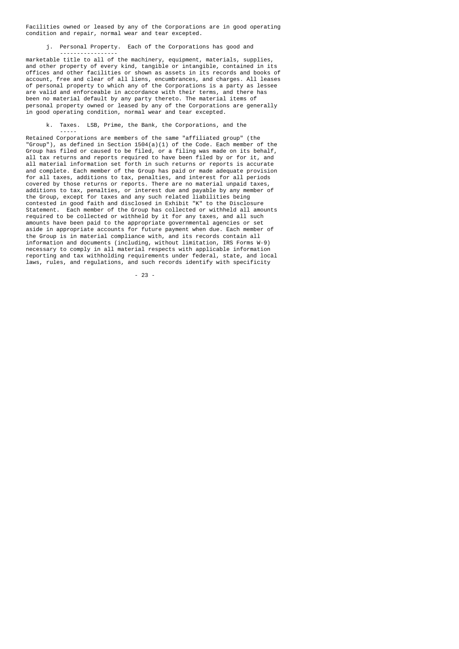Facilities owned or leased by any of the Corporations are in good operating condition and repair, normal wear and tear excepted.

j. Personal Property. Each of the Corporations has good and

-----------------

-----

 marketable title to all of the machinery, equipment, materials, supplies, and other property of every kind, tangible or intangible, contained in its offices and other facilities or shown as assets in its records and books of account, free and clear of all liens, encumbrances, and charges. All leases of personal property to which any of the Corporations is a party as lessee are valid and enforceable in accordance with their terms, and there has been no material default by any party thereto. The material items of personal property owned or leased by any of the Corporations are generally in good operating condition, normal wear and tear excepted.

k. Taxes. LSB, Prime, the Bank, the Corporations, and the

 Retained Corporations are members of the same "affiliated group" (the "Group"), as defined in Section 1504(a)(1) of the Code. Each member of the Group has filed or caused to be filed, or a filing was made on its behalf, all tax returns and reports required to have been filed by or for it, and all material information set forth in such returns or reports is accurate and complete. Each member of the Group has paid or made adequate provision for all taxes, additions to tax, penalties, and interest for all periods covered by those returns or reports. There are no material unpaid taxes, additions to tax, penalties, or interest due and payable by any member of the Group, except for taxes and any such related liabilities being contested in good faith and disclosed in Exhibit "K" to the Disclosure Statement. Each member of the Group has collected or withheld all amounts required to be collected or withheld by it for any taxes, and all such amounts have been paid to the appropriate governmental agencies or set aside in appropriate accounts for future payment when due. Each member of the Group is in material compliance with, and its records contain all information and documents (including, without limitation, IRS Forms W-9) necessary to comply in all material respects with applicable information reporting and tax withholding requirements under federal, state, and local laws, rules, and regulations, and such records identify with specificity

- 23 -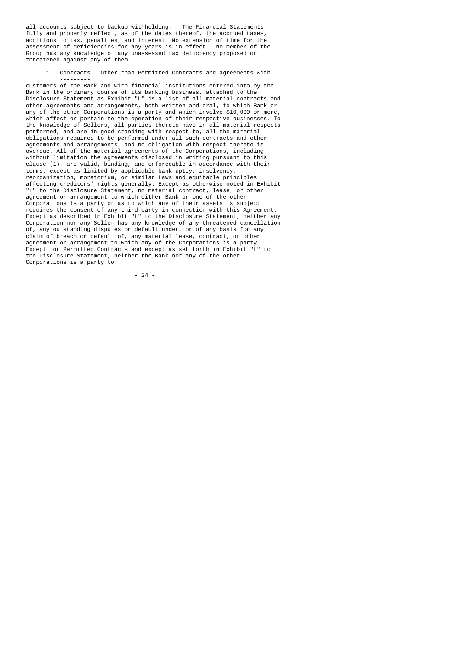all accounts subject to backup withholding. The Financial Statements fully and properly reflect, as of the dates thereof, the accrued taxes, additions to tax, penalties, and interest. No extension of time for the assessment of deficiencies for any years is in effect. No member of the Group has any knowledge of any unassessed tax deficiency proposed or threatened against any of them.

 1. Contracts. Other than Permitted Contracts and agreements with ---------

 customers of the Bank and with financial institutions entered into by the Bank in the ordinary course of its banking business, attached to the Disclosure Statement as Exhibit "L" is a list of all material contracts and other agreements and arrangements, both written and oral, to which Bank or any of the other Corporations is a party and which involve \$10,000 or more, which affect or pertain to the operation of their respective businesses. To the knowledge of Sellers, all parties thereto have in all material respects performed, and are in good standing with respect to, all the material obligations required to be performed under all such contracts and other agreements and arrangements, and no obligation with respect thereto is overdue. All of the material agreements of the Corporations, including without limitation the agreements disclosed in writing pursuant to this clause (1), are valid, binding, and enforceable in accordance with their terms, except as limited by applicable bankruptcy, insolvency, reorganization, moratorium, or similar Laws and equitable principles affecting creditors' rights generally. Except as otherwise noted in Exhibit "L" to the Disclosure Statement, no material contract, lease, or other agreement or arrangement to which either Bank or one of the other Corporations is a party or as to which any of their assets is subject requires the consent of any third party in connection with this Agreement. Except as described in Exhibit "L" to the Disclosure Statement, neither any Corporation nor any Seller has any knowledge of any threatened cancellation of, any outstanding disputes or default under, or of any basis for any claim of breach or default of, any material lease, contract, or other agreement or arrangement to which any of the Corporations is a party. Except for Permitted Contracts and except as set forth in Exhibit "L" to the Disclosure Statement, neither the Bank nor any of the other Corporations is a party to:

- 24 -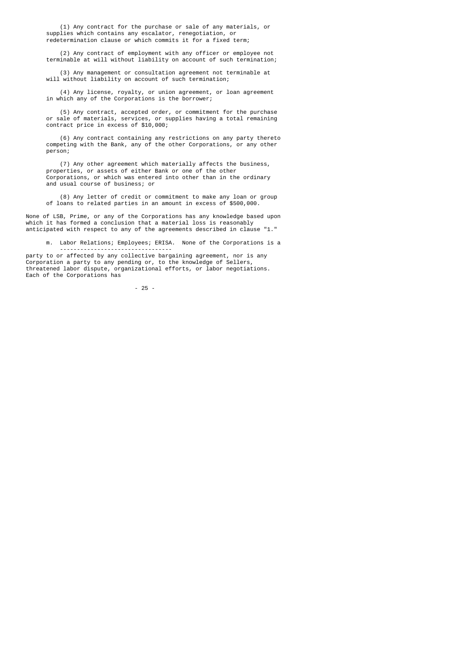(1) Any contract for the purchase or sale of any materials, or supplies which contains any escalator, renegotiation, or redetermination clause or which commits it for a fixed term;

 (2) Any contract of employment with any officer or employee not terminable at will without liability on account of such termination;

 (3) Any management or consultation agreement not terminable at will without liability on account of such termination;

 (4) Any license, royalty, or union agreement, or loan agreement in which any of the Corporations is the borrower;

> (5) Any contract, accepted order, or commitment for the purchase or sale of materials, services, or supplies having a total remaining contract price in excess of \$10,000;

 (6) Any contract containing any restrictions on any party thereto competing with the Bank, any of the other Corporations, or any other person;

 (7) Any other agreement which materially affects the business, properties, or assets of either Bank or one of the other Corporations, or which was entered into other than in the ordinary and usual course of business; or

 (8) Any letter of credit or commitment to make any loan or group of loans to related parties in an amount in excess of \$500,000.

 None of LSB, Prime, or any of the Corporations has any knowledge based upon which it has formed a conclusion that a material loss is reasonably anticipated with respect to any of the agreements described in clause "1."

m. Labor Relations; Employees; ERISA. None of the Corporations is a

 party to or affected by any collective bargaining agreement, nor is any Corporation a party to any pending or, to the knowledge of Sellers, threatened labor dispute, organizational efforts, or labor negotiations. Each of the Corporations has

---------------------------------

- 25 -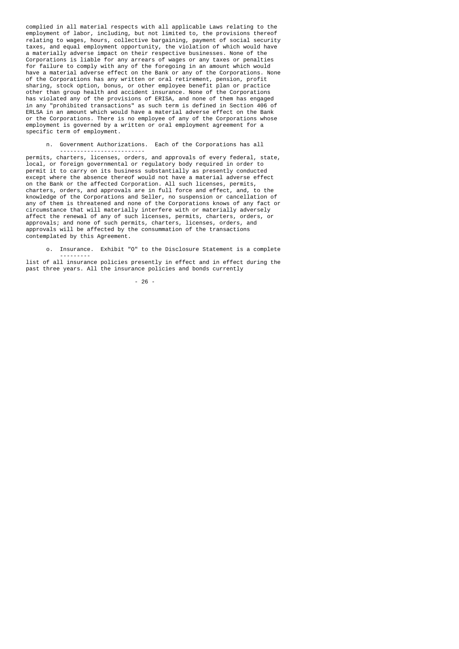complied in all material respects with all applicable Laws relating to the employment of labor, including, but not limited to, the provisions thereof relating to wages, hours, collective bargaining, payment of social security taxes, and equal employment opportunity, the violation of which would have a materially adverse impact on their respective businesses. None of the Corporations is liable for any arrears of wages or any taxes or penalties for failure to comply with any of the foregoing in an amount which would have a material adverse effect on the Bank or any of the Corporations. None of the Corporations has any written or oral retirement, pension, profit sharing, stock option, bonus, or other employee benefit plan or practice other than group health and accident insurance. None of the Corporations has violated any of the provisions of ERISA, and none of them has engaged in any "prohibited transactions" as such term is defined in Section 406 of ERLSA in an amount which would have a material adverse effect on the Bank or the Corporations. There is no employee of any of the Corporations whose employment is governed by a written or oral employment agreement for a specific term of employment.

n. Government Authorizations. Each of the Corporations has all

 ------------------------ permits, charters, licenses, orders, and approvals of every federal, state, local, or foreign governmental or regulatory body required in order to permit it to carry on its business substantially as presently conducted except where the absence thereof would not have a material adverse effect on the Bank or the affected Corporation. All such licenses, permits, charters, orders, and approvals are in full force and effect, and, to the knowledge of the Corporations and Seller, no suspension or cancellation of any of them is threatened and none of the Corporations knows of any fact or circumstance that will materially interfere with or materially adversely affect the renewal of any of such licenses, permits, charters, orders, or approvals; and none of such permits, charters, licenses, orders, and approvals will be affected by the consummation of the transactions contemplated by this Agreement.

o. Insurance. Exhibit "O" to the Disclosure Statement is a complete

 -------- list of all insurance policies presently in effect and in effect during the past three years. All the insurance policies and bonds currently

- 26 -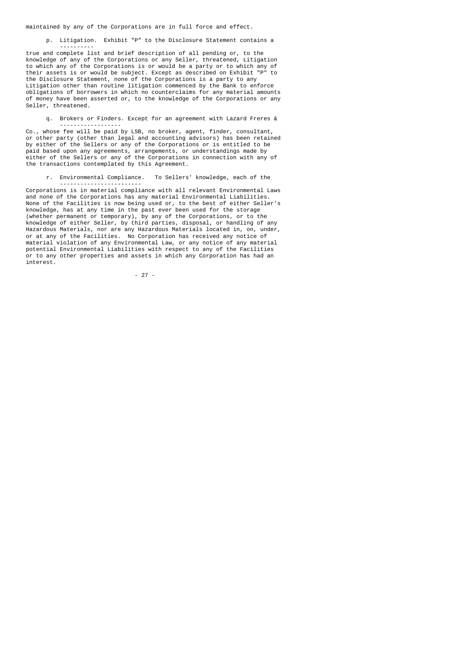maintained by any of the Corporations are in full force and effect.

----------

p. Litigation. Exhibit "P" to the Disclosure Statement contains a

 true and complete list and brief description of all pending or, to the knowledge of any of the Corporations or any Seller, threatened, Litigation to which any of the Corporations is or would be a party or to which any of their assets is or would be subject. Except as described on Exhibit "P" to the Disclosure Statement, none of the Corporations is a party to any Litigation other than routine litigation commenced by the Bank to enforce obligations of borrowers in which no counterclaims for any material amounts of money have been asserted or, to the knowledge of the Corporations or any Seller, threatened.

 q. Brokers or Finders. Except for an agreement with Lazard Freres & ------------------

 Co., whose fee will be paid by LSB, no broker, agent, finder, consultant, or other party (other than legal and accounting advisors) has been retained by either of the Sellers or any of the Corporations or is entitled to be paid based upon any agreements, arrangements, or understandings made by either of the Sellers or any of the Corporations in connection with any of the transactions contemplated by this Agreement.

 r. Environmental Compliance. To Sellers' knowledge, each of the ------------------------

 Corporations is in material compliance with all relevant Environmental Laws and none of the Corporations has any material Environmental Liabilities. None of the Facilities is now being used or, to the best of either Seller's knowledge, has at any time in the past ever been used for the storage (whether permanent or temporary), by any of the Corporations, or to the knowledge of either Seller, by third parties, disposal, or handling of any Hazardous Materials, nor are any Hazardous Materials located in, on, under, or at any of the Facilities. No Corporation has received any notice of material violation of any Environmental Law, or any notice of any material potential Environmental Liabilities with respect to any of the Facilities or to any other properties and assets in which any Corporation has had an interest.

- 27 -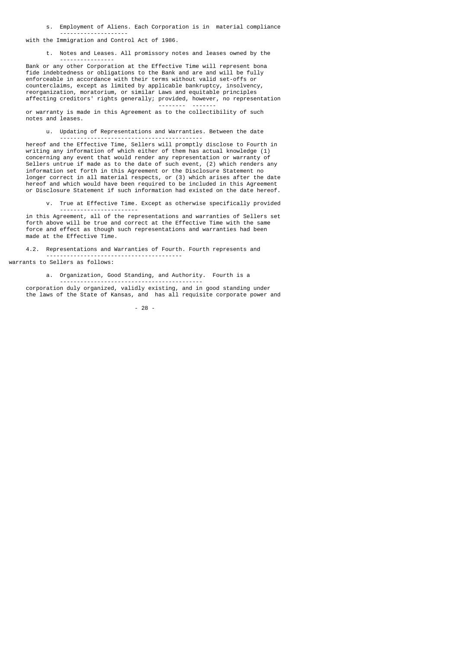s. Employment of Aliens. Each Corporation is in material compliance

 ------------------- with the Immigration and Control Act of 1986.

t. Notes and Leases. All promissory notes and leases owned by the

 ---------------- Bank or any other Corporation at the Effective Time will represent bona fide indebtedness or obligations to the Bank and are and will be fully enforceable in accordance with their terms without valid set-offs or counterclaims, except as limited by applicable bankruptcy, insolvency, reorganization, moratorium, or similar Laws and equitable principles affecting creditors' rights generally; provided, however, no representation -------- -------

 or warranty is made in this Agreement as to the collectibility of such notes and leases.

 u. Updating of Representations and Warranties. Between the date ------------------------------------------

 hereof and the Effective Time, Sellers will promptly disclose to Fourth in writing any information of which either of them has actual knowledge (1) concerning any event that would render any representation or warranty of Sellers untrue if made as to the date of such event, (2) which renders any information set forth in this Agreement or the Disclosure Statement no longer correct in all material respects, or (3) which arises after the date hereof and which would have been required to be included in this Agreement or Disclosure Statement if such information had existed on the date hereof.

 v. True at Effective Time. Except as otherwise specifically provided -----------------------

 in this Agreement, all of the representations and warranties of Sellers set forth above will be true and correct at the Effective Time with the same force and effect as though such representations and warranties had been made at the Effective Time.

 4.2. Representations and Warranties of Fourth. Fourth represents and ----------------------------------------

warrants to Sellers as follows:

a. Organization, Good Standing, and Authority. Fourth is a

 ----------------------------------------- corporation duly organized, validly existing, and in good standing under the laws of the State of Kansas, and has all requisite corporate power and

- 28 -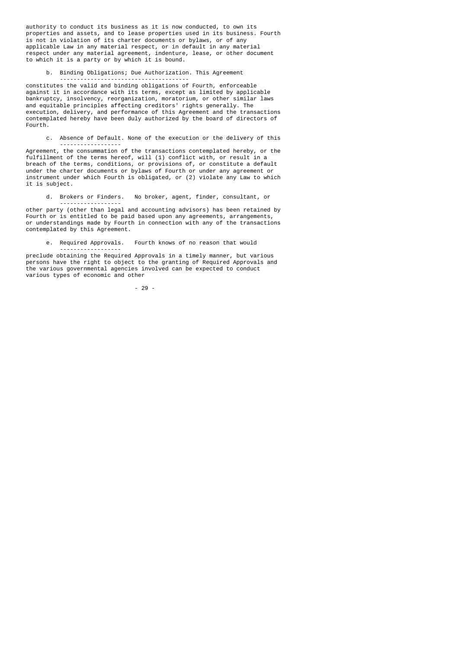authority to conduct its business as it is now conducted, to own its properties and assets, and to lease properties used in its business. Fourth is not in violation of its charter documents or bylaws, or of any applicable Law in any material respect, or in default in any material respect under any material agreement, indenture, lease, or other document to which it is a party or by which it is bound.

b. Binding Obligations; Due Authorization. This Agreement

 ------------------------------------- constitutes the valid and binding obligations of Fourth, enforceable against it in accordance with its terms, except as limited by applicable bankruptcy, insolvency, reorganization, moratorium, or other similar laws and equitable principles affecting creditors' rights generally. The execution, delivery, and performance of this Agreement and the transactions contemplated hereby have been duly authorized by the board of directors of Fourth.

 c. Absence of Default. None of the execution or the delivery of this ------------------

 Agreement, the consummation of the transactions contemplated hereby, or the fulfillment of the terms hereof, will (1) conflict with, or result in a breach of the terms, conditions, or provisions of, or constitute a default under the charter documents or bylaws of Fourth or under any agreement or instrument under which Fourth is obligated, or (2) violate any Law to which it is subject.

d. Brokers or Finders. No broker, agent, finder, consultant, or

 ----------------- other party (other than legal and accounting advisors) has been retained by Fourth or is entitled to be paid based upon any agreements, arrangements, or understandings made by Fourth in connection with any of the transactions contemplated by this Agreement.

e. Required Approvals. Fourth knows of no reason that would

 preclude obtaining the Required Approvals in a timely manner, but various persons have the right to object to the granting of Required Approvals and the various governmental agencies involved can be expected to conduct various types of economic and other

- 29 -

------------------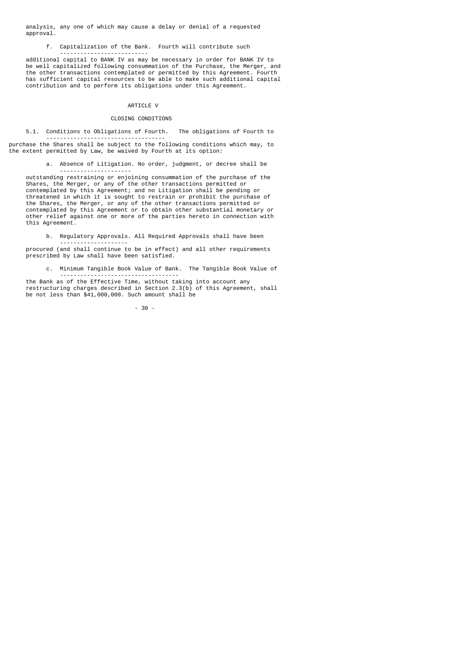analysis, any one of which may cause a delay or denial of a requested approval.

--------------------------

f. Capitalization of the Bank. Fourth will contribute such

 additional capital to BANK IV as may be necessary in order for BANK IV to be well capitalized following consummation of the Purchase, the Merger, and the other transactions contemplated or permitted by this Agreement. Fourth has sufficient capital resources to be able to make such additional capital contribution and to perform its obligations under this Agreement.

# ARTICLE V

### CLOSING CONDITIONS

 5.1. Conditions to Obligations of Fourth. The obligations of Fourth to -----------------------------------

purchase the Shares shall be subject to the following conditions which may, to the extent permitted by Law, be waived by Fourth at its option:

a. Absence of Litigation. No order, judgment, or decree shall be

 -------------------- outstanding restraining or enjoining consummation of the purchase of the Shares, the Merger, or any of the other transactions permitted or contemplated by this Agreement; and no Litigation shall be pending or threatened in which it is sought to restrain or prohibit the purchase of the Shares, the Merger, or any of the other transactions permitted or contemplated by this Agreement or to obtain other substantial monetary or other relief against one or more of the parties hereto in connection with this Agreement.

b. Regulatory Approvals. All Required Approvals shall have been

 ------------------- procured (and shall continue to be in effect) and all other requirements prescribed by Law shall have been satisfied.

> c. Minimum Tangible Book Value of Bank. The Tangible Book Value of -----------------------------------

 the Bank as of the Effective Time, without taking into account any restructuring charges described in Section 2.3(b) of this Agreement, shall be not less than \$41,000,000. Such amount shall be

- 30 -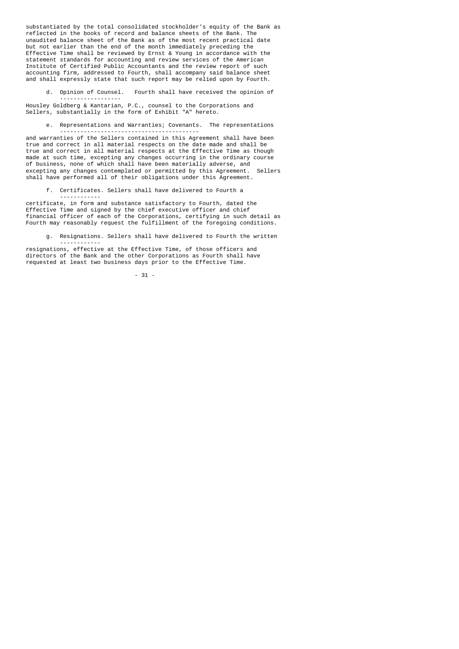substantiated by the total consolidated stockholder's equity of the Bank as reflected in the books of record and balance sheets of the Bank. The unaudited balance sheet of the Bank as of the most recent practical date but not earlier than the end of the month immediately preceding the Effective Time shall be reviewed by Ernst & Young in accordance with the statement standards for accounting and review services of the American Institute of Certified Public Accountants and the review report of such accounting firm, addressed to Fourth, shall accompany said balance sheet and shall expressly state that such report may be relied upon by Fourth.

 d. Opinion of Counsel. Fourth shall have received the opinion of ------------------

 Housley Goldberg & Kantarian, P.C., counsel to the Corporations and Sellers, substantially in the form of Exhibit "A" hereto.

 e. Representations and Warranties; Covenants. The representations -----------------------------------------

 and warranties of the Sellers contained in this Agreement shall have been true and correct in all material respects on the date made and shall be true and correct in all material respects at the Effective Time as though made at such time, excepting any changes occurring in the ordinary course of business, none of which shall have been materially adverse, and excepting any changes contemplated or permitted by this Agreement. Sellers shall have performed all of their obligations under this Agreement.

f. Certificates. Sellers shall have delivered to Fourth a

------------

------------

 certificate, in form and substance satisfactory to Fourth, dated the Effective Time and signed by the chief executive officer and chief financial officer of each of the Corporations, certifying in such detail as Fourth may reasonably request the fulfillment of the foregoing conditions.

g. Resignations. Sellers shall have delivered to Fourth the written

 resignations, effective at the Effective Time, of those officers and directors of the Bank and the other Corporations as Fourth shall have requested at least two business days prior to the Effective Time.

- 31 -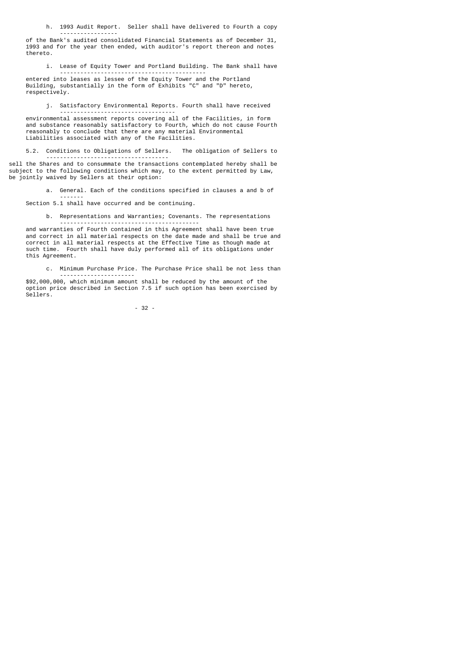h. 1993 Audit Report. Seller shall have delivered to Fourth a copy -----------------

 of the Bank's audited consolidated Financial Statements as of December 31, 1993 and for the year then ended, with auditor's report thereon and notes thereto.

 i. Lease of Equity Tower and Portland Building. The Bank shall have -------------------------------------------

 entered into leases as lessee of the Equity Tower and the Portland Building, substantially in the form of Exhibits "C" and "D" hereto, respectively.

 j. Satisfactory Environmental Reports. Fourth shall have received ----------------------------------

 environmental assessment reports covering all of the Facilities, in form and substance reasonably satisfactory to Fourth, which do not cause Fourth reasonably to conclude that there are any material Environmental Liabilities associated with any of the Facilities.

 5.2. Conditions to Obligations of Sellers. The obligation of Sellers to ------------------------------------

sell the Shares and to consummate the transactions contemplated hereby shall be subject to the following conditions which may, to the extent permitted by Law, be jointly waived by Sellers at their option:

a. General. Each of the conditions specified in clauses a and b of

 ------- Section 5.1 shall have occurred and be continuing.

b. Representations and Warranties; Covenants. The representations

 ---------------------------------------- and warranties of Fourth contained in this Agreement shall have been true and correct in all material respects on the date made and shall be true and correct in all material respects at the Effective Time as though made at such time. Fourth shall have duly performed all of its obligations under this Agreement.

> c. Minimum Purchase Price. The Purchase Price shall be not less than ----------------------

 \$92,000,000, which minimum amount shall be reduced by the amount of the option price described in Section 7.5 if such option has been exercised by Sellers.

- 32 -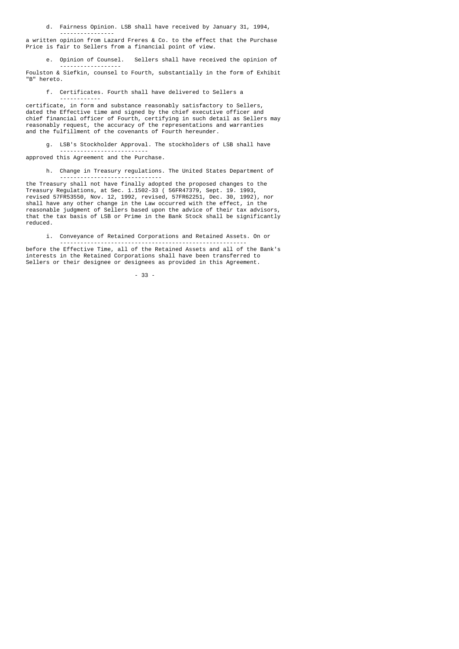d. Fairness Opinion. LSB shall have received by January 31, 1994,

 --------------- a written opinion from Lazard Freres & Co. to the effect that the Purchase Price is fair to Sellers from a financial point of view.

e. Opinion of Counsel. Sellers shall have received the opinion of

 ------------------ Foulston & Siefkin, counsel to Fourth, substantially in the form of Exhibit "B" hereto.

f. Certificates. Fourth shall have delivered to Sellers a

 ----------- certificate, in form and substance reasonably satisfactory to Sellers, dated the Effective time and signed by the chief executive officer and chief financial officer of Fourth, certifying in such detail as Sellers may reasonably request, the accuracy of the representations and warranties and the fulfillment of the covenants of Fourth hereunder.

 g. LSB's Stockholder Approval. The stockholders of LSB shall have ------------------------- approved this Agreement and the Purchase.

h. Change in Treasury regulations. The United States Department of

 ----------------------------- the Treasury shall not have finally adopted the proposed changes to the Treasury Regulations, at Sec. 1.1502-33 ( 56FR47379, Sept. 19. 1993, revised 57FR53550, Nov. 12, 1992, revised, 57FR62251, Dec. 30, 1992), nor shall have any other change in the Law occurred with the effect, in the reasonable judgment of Sellers based upon the advice of their tax advisors, that the tax basis of LSB or Prime in the Bank Stock shall be significantly reduced.

i. Conveyance of Retained Corporations and Retained Assets. On or

 ------------------------------------------------------ before the Effective Time, all of the Retained Assets and all of the Bank's interests in the Retained Corporations shall have been transferred to Sellers or their designee or designees as provided in this Agreement.

- 33 -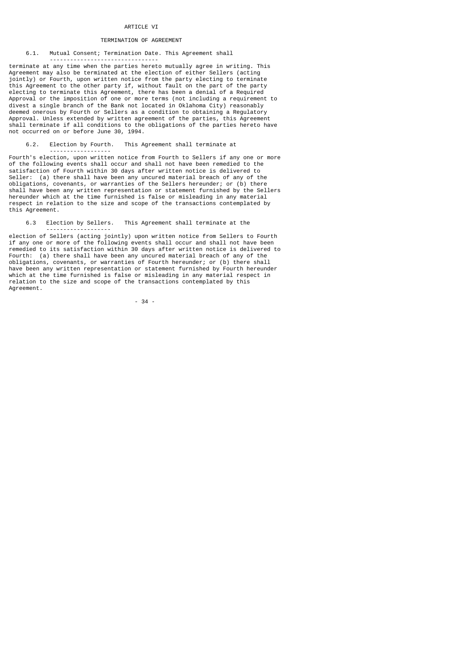## **ARTICLE VT**

# TERMINATION OF AGREEMENT

# 6.1. Mutual Consent; Termination Date. This Agreement shall

 ------------------------------- terminate at any time when the parties hereto mutually agree in writing. This Agreement may also be terminated at the election of either Sellers (acting jointly) or Fourth, upon written notice from the party electing to terminate this Agreement to the other party if, without fault on the part of the party electing to terminate this Agreement, there has been a denial of a Required Approval or the imposition of one or more terms (not including a requirement to divest a single branch of the Bank not located in Oklahoma City) reasonably deemed onerous by Fourth or Sellers as a condition to obtaining a Regulatory Approval. Unless extended by written agreement of the parties, this Agreement shall terminate if all conditions to the obligations of the parties hereto have not occurred on or before June 30, 1994.

# 6.2. Election by Fourth. This Agreement shall terminate at

------------------

-------------------

Fourth's election, upon written notice from Fourth to Sellers if any one or more of the following events shall occur and shall not have been remedied to the satisfaction of Fourth within 30 days after written notice is delivered to<br>Seller: (a) there shall have been any uncured material breach of any of th  $(a)$  there shall have been any uncured material breach of any of the obligations, covenants, or warranties of the Sellers hereunder; or (b) there shall have been any written representation or statement furnished by the Sellers hereunder which at the time furnished is false or misleading in any material respect in relation to the size and scope of the transactions contemplated by this Agreement.

6.3 Election by Sellers. This Agreement shall terminate at the

election of Sellers (acting jointly) upon written notice from Sellers to Fourth if any one or more of the following events shall occur and shall not have been remedied to its satisfaction within 30 days after written notice is delivered to Fourth: (a) there shall have been any uncured material breach of any of the obligations, covenants, or warranties of Fourth hereunder; or (b) there shall have been any written representation or statement furnished by Fourth hereunder which at the time furnished is false or misleading in any material respect in relation to the size and scope of the transactions contemplated by this Agreement.

- 34 -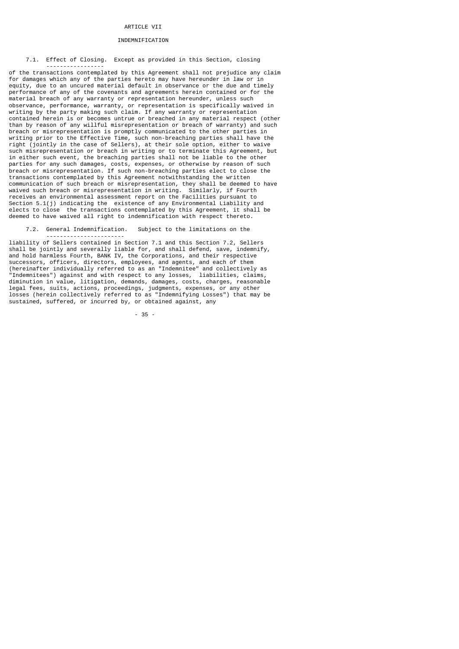## **ARTICLE VII**

#### INDEMNIFICATION

### 7.1. Effect of Closing. Except as provided in this Section, closing

 ---------------- of the transactions contemplated by this Agreement shall not prejudice any claim for damages which any of the parties hereto may have hereunder in law or in equity, due to an uncured material default in observance or the due and timely performance of any of the covenants and agreements herein contained or for the material breach of any warranty or representation hereunder, unless such observance, performance, warranty, or representation is specifically waived in writing by the party making such claim. If any warranty or representation contained herein is or becomes untrue or breached in any material respect (other than by reason of any willful misrepresentation or breach of warranty) and such breach or misrepresentation is promptly communicated to the other parties in writing prior to the Effective Time, such non-breaching parties shall have the right (jointly in the case of Sellers), at their sole option, either to waive such misrepresentation or breach in writing or to terminate this Agreement, but in either such event, the breaching parties shall not be liable to the other parties for any such damages, costs, expenses, or otherwise by reason of such breach or misrepresentation. If such non-breaching parties elect to close the transactions contemplated by this Agreement notwithstanding the written communication of such breach or misrepresentation, they shall be deemed to have waived such breach or misrepresentation in writing. Similarly, if Fourth receives an environmental assessment report on the Facilities pursuant to Section 5.1(j) indicating the existence of any Environmental Liability and elects to close the transactions contemplated by this Agreement, it shall be deemed to have waived all right to indemnification with respect thereto.

7.2. General Indemnification. Subject to the limitations on the

 ---------------------- liability of Sellers contained in Section 7.1 and this Section 7.2, Sellers shall be jointly and severally liable for, and shall defend, save, indemnify, and hold harmless Fourth, BANK IV, the Corporations, and their respective successors, officers, directors, employees, and agents, and each of them (hereinafter individually referred to as an "Indemnitee" and collectively as "Indemnitees") against and with respect to any losses, liabilities, claims, diminution in value, litigation, demands, damages, costs, charges, reasonable legal fees, suits, actions, proceedings, judgments, expenses, or any other losses (herein collectively referred to as "Indemnifying Losses") that may be sustained, suffered, or incurred by, or obtained against, any

- 35 -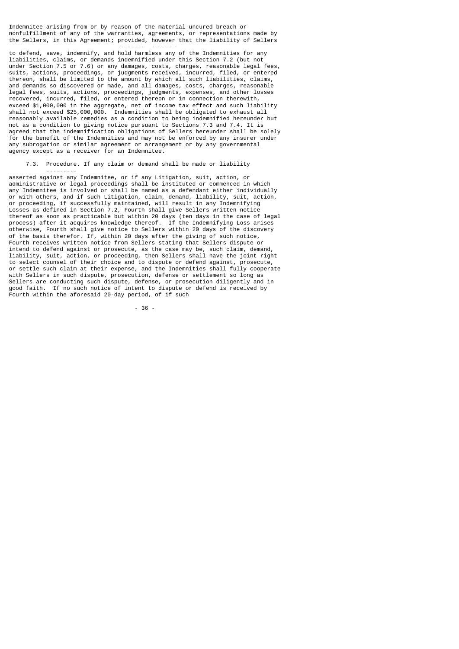Indemnitee arising from or by reason of the material uncured breach or nonfulfillment of any of the warranties, agreements, or representations made by the Sellers, in this Agreement; provided, however that the liability of Sellers

-------- -------

---------

to defend, save, indemnify, and hold harmless any of the Indemnities for any liabilities, claims, or demands indemnified under this Section 7.2 (but not under Section 7.5 or 7.6) or any damages, costs, charges, reasonable legal fees, suits, actions, proceedings, or judgments received, incurred, filed, or entered thereon, shall be limited to the amount by which all such liabilities, claims, and demands so discovered or made, and all damages, costs, charges, reasonable legal fees, suits, actions, proceedings, judgments, expenses, and other losses recovered, incurred, filed, or entered thereon or in connection therewith, exceed \$1,000,000 in the aggregate, net of income tax effect and such liability shall not exceed \$25,000,000. Indemnities shall be obligated to exhaust all reasonably available remedies as a condition to being indemnified hereunder but not as a condition to giving notice pursuant to Sections 7.3 and 7.4. It is agreed that the indemnification obligations of Sellers hereunder shall be solely for the benefit of the Indemnities and may not be enforced by any insurer under any subrogation or similar agreement or arrangement or by any governmental agency except as a receiver for an Indemnitee.

7.3. Procedure. If any claim or demand shall be made or liability

asserted against any Indemnitee, or if any Litigation, suit, action, or administrative or legal proceedings shall be instituted or commenced in which any Indemnitee is involved or shall be named as a defendant either individually or with others, and if such Litigation, claim, demand, liability, suit, action, or proceeding, if successfully maintained, will result in any Indemnifying Losses as defined in Section 7.2, Fourth shall give Sellers written notice thereof as soon as practicable but within 20 days (ten days in the case of legal process) after it acquires knowledge thereof. If the Indemnifying Loss arises otherwise, Fourth shall give notice to Sellers within 20 days of the discovery of the basis therefor. If, within 20 days after the giving of such notice, Fourth receives written notice from Sellers stating that Sellers dispute or intend to defend against or prosecute, as the case may be, such claim, demand, liability, suit, action, or proceeding, then Sellers shall have the joint right to select counsel of their choice and to dispute or defend against, prosecute, or settle such claim at their expense, and the Indemnities shall fully cooperate with Sellers in such dispute, prosecution, defense or settlement so long as Sellers are conducting such dispute, defense, or prosecution diligently and in good faith. If no such notice of intent to dispute or defend is received by Fourth within the aforesaid 20-day period, of if such

- 36 -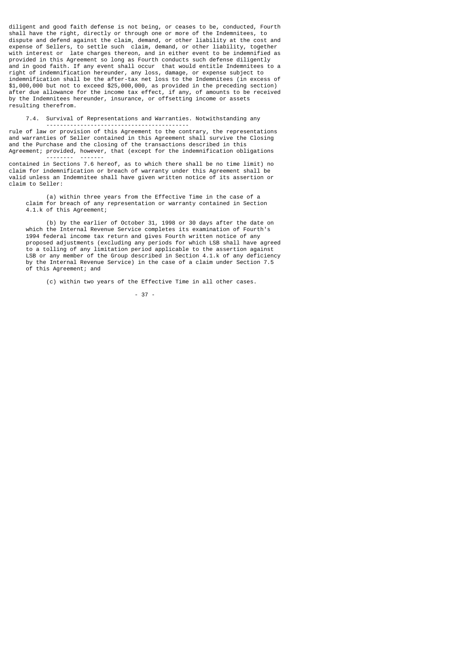diligent and good faith defense is not being, or ceases to be, conducted, Fourth shall have the right, directly or through one or more of the Indemnitees, to dispute and defend against the claim, demand, or other liability at the cost and expense of Sellers, to settle such claim, demand, or other liability, together with interest or late charges thereon, and in either event to be indemnified as provided in this Agreement so long as Fourth conducts such defense diligently and in good faith. If any event shall occur that would entitle Indemnitees to a right of indemnification hereunder, any loss, damage, or expense subject to indemnification shall be the after-tax net loss to the Indemnitees (in excess of \$1,000,000 but not to exceed \$25,000,000, as provided in the preceding section) after due allowance for the income tax effect, if any, of amounts to be received by the Indemnitees hereunder, insurance, or offsetting income or assets resulting therefrom.

 7.4. Survival of Representations and Warranties. Notwithstanding any ------------------------------------------

rule of law or provision of this Agreement to the contrary, the representations and warranties of Seller contained in this Agreement shall survive the Closing and the Purchase and the closing of the transactions described in this Agreement; provided, however, that (except for the indemnification obligations

 -------- ------ contained in Sections 7.6 hereof, as to which there shall be no time limit) no claim for indemnification or breach of warranty under this Agreement shall be valid unless an Indemnitee shall have given written notice of its assertion or claim to Seller:

 (a) within three years from the Effective Time in the case of a claim for breach of any representation or warranty contained in Section 4.1.k of this Agreement;

 (b) by the earlier of October 31, 1998 or 30 days after the date on which the Internal Revenue Service completes its examination of Fourth's 1994 federal income tax return and gives Fourth written notice of any proposed adjustments (excluding any periods for which LSB shall have agreed to a tolling of any limitation period applicable to the assertion against LSB or any member of the Group described in Section 4.1.k of any deficiency by the Internal Revenue Service) in the case of a claim under Section 7.5 of this Agreement; and

(c) within two years of the Effective Time in all other cases.

- 37 -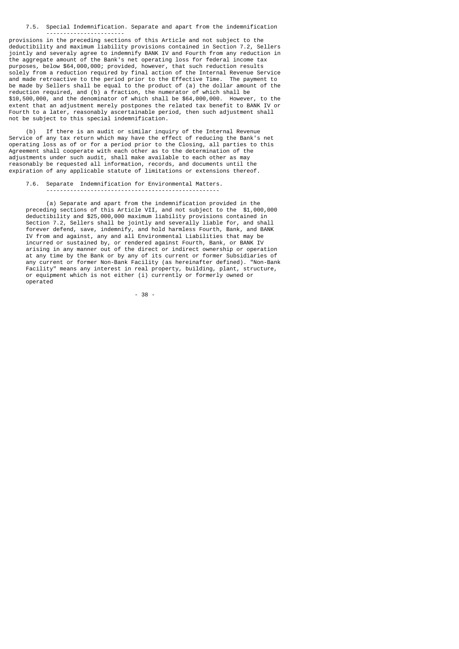7.5. Special Indemnification. Separate and apart from the indemnification -----------------------

provisions in the preceding sections of this Article and not subject to the deductibility and maximum liability provisions contained in Section 7.2, Sellers jointly and severaly agree to indemnify BANK IV and Fourth from any reduction in the aggregate amount of the Bank's net operating loss for federal income tax purposes, below \$64,000,000; provided, however, that such reduction results solely from a reduction required by final action of the Internal Revenue Service and made retroactive to the period prior to the Effective Time. The payment to be made by Sellers shall be equal to the product of (a) the dollar amount of the reduction required, and (b) a fraction, the numerator of which shall be \$10,500,000, and the denominator of which shall be \$64,000,000. However, to the extent that an adjustment merely postpones the related tax benefit to BANK IV or Fourth to a later, reasonably ascertainable period, then such adjustment shall not be subject to this special indemnification.

 (b) If there is an audit or similar inquiry of the Internal Revenue Service of any tax return which may have the effect of reducing the Bank's net operating loss as of or for a period prior to the Closing, all parties to this Agreement shall cooperate with each other as to the determination of the adjustments under such audit, shall make available to each other as may reasonably be requested all information, records, and documents until the expiration of any applicable statute of limitations or extensions thereof.

7.6. Separate Indemnification for Environmental Matters.

---------------------------------------------------

 (a) Separate and apart from the indemnification provided in the preceding sections of this Article VII, and not subject to the \$1,000,000 deductibility and \$25,000,000 maximum liability provisions contained in Section 7.2, Sellers shall be jointly and severally liable for, and shall forever defend, save, indemnify, and hold harmless Fourth, Bank, and BANK IV from and against, any and all Environmental Liabilities that may be incurred or sustained by, or rendered against Fourth, Bank, or BANK IV arising in any manner out of the direct or indirect ownership or operation at any time by the Bank or by any of its current or former Subsidiaries of any current or former Non-Bank Facility (as hereinafter defined). "Non-Bank Facility" means any interest in real property, building, plant, structure, or equipment which is not either (i) currently or formerly owned or operated

 $-38$  -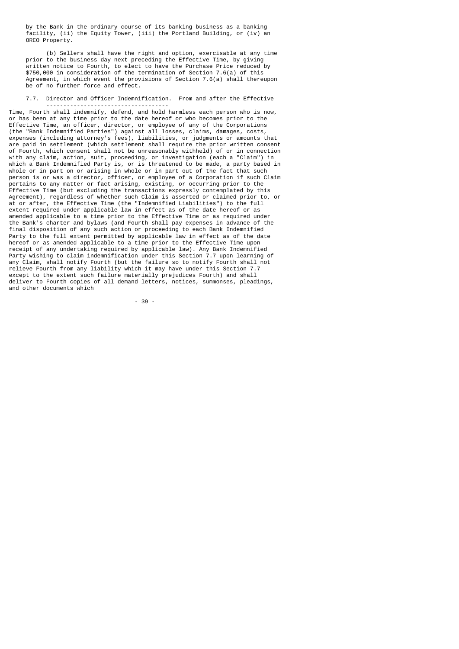by the Bank in the ordinary course of its banking business as a banking facility, (ii) the Equity Tower, (iii) the Portland Building, or (iv) an OREO Property.

 (b) Sellers shall have the right and option, exercisable at any time prior to the business day next preceding the Effective Time, by giving written notice to Fourth, to elect to have the Purchase Price reduced by \$750,000 in consideration of the termination of Section 7.6(a) of this Agreement, in which event the provisions of Section 7.6(a) shall thereupon be of no further force and effect.

#### 7.7. Director and Officer Indemnification. From and after the Effective ------------------------------------

Time, Fourth shall indemnify, defend, and hold harmless each person who is now, or has been at any time prior to the date hereof or who becomes prior to the Effective Time, an officer, director, or employee of any of the Corporations (the "Bank Indemnified Parties") against all losses, claims, damages, costs, expenses (including attorney's fees), liabilities, or judgments or amounts that are paid in settlement (which settlement shall require the prior written consent of Fourth, which consent shall not be unreasonably withheld) of or in connection with any claim, action, suit, proceeding, or investigation (each a "Claim") in which a Bank Indemnified Party is, or is threatened to be made, a party based in whole or in part on or arising in whole or in part out of the fact that such person is or was a director, officer, or employee of a Corporation if such Claim pertains to any matter or fact arising, existing, or occurring prior to the Effective Time (but excluding the transactions expressly contemplated by this Agreement), regardless of whether such Claim is asserted or claimed prior to, or at or after, the Effective Time (the "Indemnified Liabilities") to the full extent required under applicable law in effect as of the date hereof or as amended applicable to a time prior to the Effective Time or as required under the Bank's charter and bylaws (and Fourth shall pay expenses in advance of the final disposition of any such action or proceeding to each Bank Indemnified Party to the full extent permitted by applicable law in effect as of the date hereof or as amended applicable to a time prior to the Effective Time upon receipt of any undertaking required by applicable law). Any Bank Indemnified Party wishing to claim indemnification under this Section 7.7 upon learning of any Claim, shall notify Fourth (but the failure so to notify Fourth shall not relieve Fourth from any liability which it may have under this Section 7.7 except to the extent such failure materially prejudices Fourth) and shall deliver to Fourth copies of all demand letters, notices, summonses, pleadings, and other documents which

- 39 -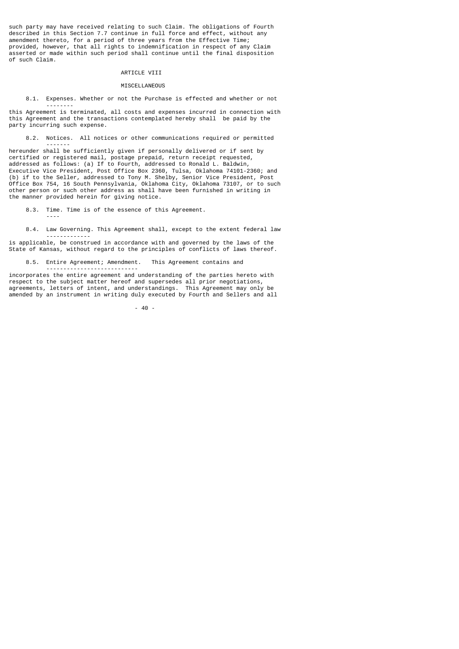such party may have received relating to such Claim. The obligations of Fourth described in this Section 7.7 continue in full force and effect, without any amendment thereto, for a period of three years from the Effective Time; provided, however, that all rights to indemnification in respect of any Claim asserted or made within such period shall continue until the final disposition of such Claim.

# ARTICLE VIII

#### **MISCELLANEOUS**

8.1. Expenses. Whether or not the Purchase is effected and whether or not

 ------- this Agreement is terminated, all costs and expenses incurred in connection with this Agreement and the transactions contemplated hereby shall be paid by the party incurring such expense.

8.2. Notices. All notices or other communications required or permitted

 ------ hereunder shall be sufficiently given if personally delivered or if sent by certified or registered mail, postage prepaid, return receipt requested, addressed as follows: (a) If to Fourth, addressed to Ronald L. Baldwin, Executive Vice President, Post Office Box 2360, Tulsa, Oklahoma 74101-2360; and (b) if to the Seller, addressed to Tony M. Shelby, Senior Vice President, Post Office Box 754, 16 South Pennsylvania, Oklahoma City, Oklahoma 73107, or to such other person or such other address as shall have been furnished in writing in the manner provided herein for giving notice.

8.3. Time. Time is of the essence of this Agreement.

----

8.4. Law Governing. This Agreement shall, except to the extent federal law

 ------------ is applicable, be construed in accordance with and governed by the laws of the State of Kansas, without regard to the principles of conflicts of laws thereof.

8.5. Entire Agreement; Amendment. This Agreement contains and

 -------------------------- incorporates the entire agreement and understanding of the parties hereto with respect to the subject matter hereof and supersedes all prior negotiations, agreements, letters of intent, and understandings. This Agreement may only be amended by an instrument in writing duly executed by Fourth and Sellers and all

- 40 -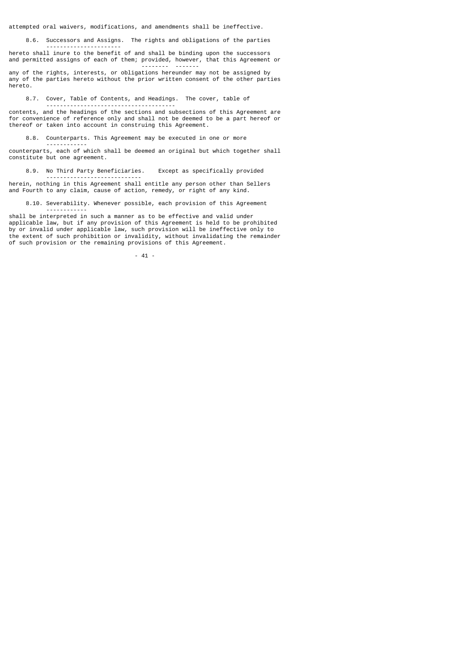attempted oral waivers, modifications, and amendments shall be ineffective.

8.6. Successors and Assigns. The rights and obligations of the parties

 --------------------- hereto shall inure to the benefit of and shall be binding upon the successors and permitted assigns of each of them; provided, however, that this Agreement or

 -------- ------ any of the rights, interests, or obligations hereunder may not be assigned by any of the parties hereto without the prior written consent of the other parties hereto.

8.7. Cover, Table of Contents, and Headings. The cover, table of

 ------------------------------------- contents, and the headings of the sections and subsections of this Agreement are for convenience of reference only and shall not be deemed to be a part hereof or thereof or taken into account in construing this Agreement.

8.8. Counterparts. This Agreement may be executed in one or more

 ----------- counterparts, each of which shall be deemed an original but which together shall constitute but one agreement.

8.9. No Third Party Beneficiaries. Except as specifically provided

herein, nothing in this Agreement shall entitle any person other than Sellers and Fourth to any claim, cause of action, remedy, or right of any kind.

----------------------------

 8.10. Severability. Whenever possible, each provision of this Agreement ------------

shall be interpreted in such a manner as to be effective and valid under applicable law, but if any provision of this Agreement is held to be prohibited by or invalid under applicable law, such provision will be ineffective only to the extent of such prohibition or invalidity, without invalidating the remainder of such provision or the remaining provisions of this Agreement.

- 41 -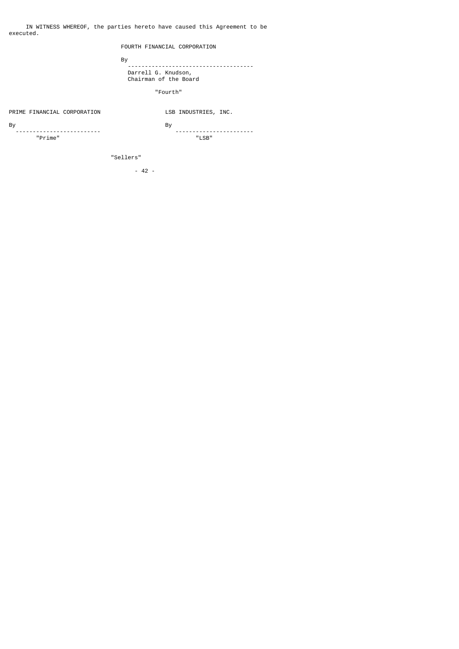# FOURTH FINANCIAL CORPORATION

and the Bystem of Bystem and the Bystem of Bystem and the Bystem of Bystem and the Bystem and the Bystem of By

 ------------------------------------- Darrell G. Knudson, Chairman of the Board

"Fourth"

# PRIME FINANCIAL CORPORATION LSB INDUSTRIES, INC.

By By the contract of the contract of the contract of the contract of the contract of the contract of the contract of the contract of the contract of the contract of the contract of the contract of the contract of the cont

------------------------- -----------------------

"Prime" "LSB"

"Sellers"

- 42 -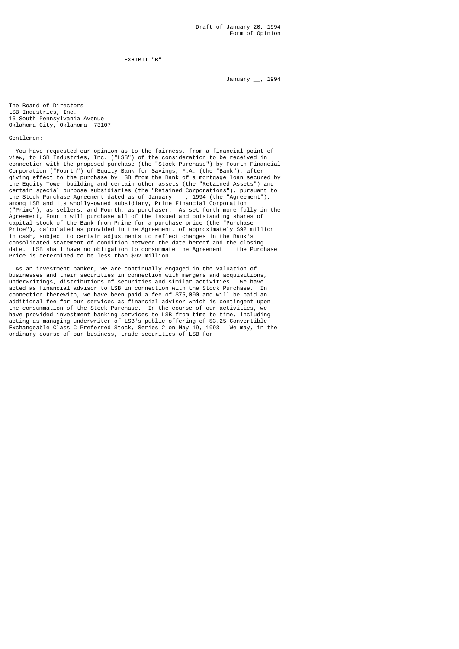EXHIBIT "B"

January \_\_, 1994

The Board of Directors LSB Industries, Inc. 16 South Pennsylvania Avenue Oklahoma City, Oklahoma 73107

Gentlemen:

 You have requested our opinion as to the fairness, from a financial point of view, to LSB Industries, Inc. ("LSB") of the consideration to be received in connection with the proposed purchase (the "Stock Purchase") by Fourth Financial Corporation ("Fourth") of Equity Bank for Savings, F.A. (the "Bank"), after giving effect to the purchase by LSB from the Bank of a mortgage loan secured by the Equity Tower building and certain other assets (the "Retained Assets") and certain special purpose subsidiaries (the "Retained Corporations"), pursuant to the Stock Purchase Agreement dated as of January \_\_\_, 1994 (the "Agreement"), among LSB and its wholly-owned subsidiary, Prime Financial Corporation ("Prime"), as sellers, and Fourth, as purchaser. As set forth more fully in the Agreement, Fourth will purchase all of the issued and outstanding shares of capital stock of the Bank from Prime for a purchase price (the "Purchase Price"), calculated as provided in the Agreement, of approximately \$92 million in cash, subject to certain adjustments to reflect changes in the Bank's consolidated statement of condition between the date hereof and the closing date. LSB shall have no obligation to consummate the Agreement if the Purchase Price is determined to be less than \$92 million.

 As an investment banker, we are continually engaged in the valuation of businesses and their securities in connection with mergers and acquisitions, underwritings, distributions of securities and similar activities. We have acted as financial advisor to LSB in connection with the Stock Purchase. In connection therewith, we have been paid a fee of \$75,000 and will be paid an additional fee for our services as financial advisor which is contingent upon the consummation of the Stock Purchase. In the course of our activities, we have provided investment banking services to LSB from time to time, including acting as managing underwriter of LSB's public offering of \$3.25 Convertible Exchangeable Class C Preferred Stock, Series 2 on May 19, 1993. We may, in the ordinary course of our business, trade securities of LSB for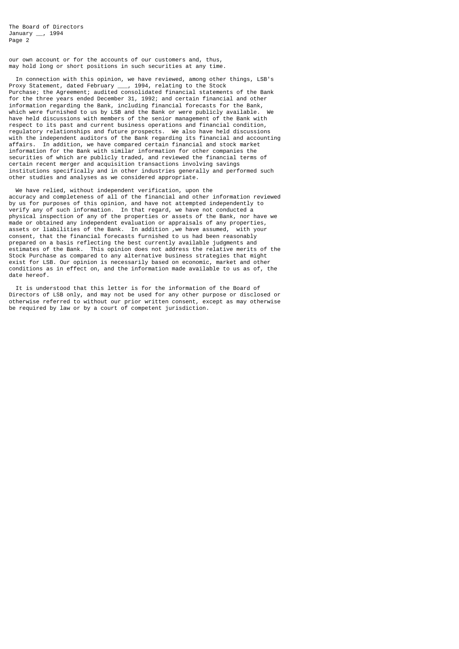The Board of Directors January \_\_, 1994 Page 2

our own account or for the accounts of our customers and, thus, may hold long or short positions in such securities at any time.

 In connection with this opinion, we have reviewed, among other things, LSB's Proxy Statement, dated February \_\_\_, 1994, relating to the Stock Purchase; the Agreement; audited consolidated financial statements of the Bank for the three years ended December 31, 1992; and certain financial and other information regarding the Bank, including financial forecasts for the Bank, which were furnished to us by LSB and the Bank or were publicly available. have held discussions with members of the senior management of the Bank with respect to its past and current business operations and financial condition, regulatory relationships and future prospects. We also have held discussions with the independent auditors of the Bank regarding its financial and accounting affairs. In addition, we have compared certain financial and stock market information for the Bank with similar information for other companies the securities of which are publicly traded, and reviewed the financial terms of certain recent merger and acquisition transactions involving savings institutions specifically and in other industries generally and performed such other studies and analyses as we considered appropriate.

 We have relied, without independent verification, upon the accuracy and completeness of all of the financial and other information reviewed by us for purposes of this opinion, and have not attempted independently to verify any of such information. In that regard, we have not conducted a physical inspection of any of the properties or assets of the Bank, nor have we made or obtained any independent evaluation or appraisals of any properties, assets or liabilities of the Bank. In addition ,we have assumed, with your consent, that the financial forecasts furnished to us had been reasonably prepared on a basis reflecting the best currently available judgments and estimates of the Bank. This opinion does not address the relative merits of the Stock Purchase as compared to any alternative business strategies that might exist for LSB. Our opinion is necessarily based on economic, market and other conditions as in effect on, and the information made available to us as of, the date hereof.

 It is understood that this letter is for the information of the Board of Directors of LSB only, and may not be used for any other purpose or disclosed or otherwise referred to without our prior written consent, except as may otherwise be required by law or by a court of competent jurisdiction.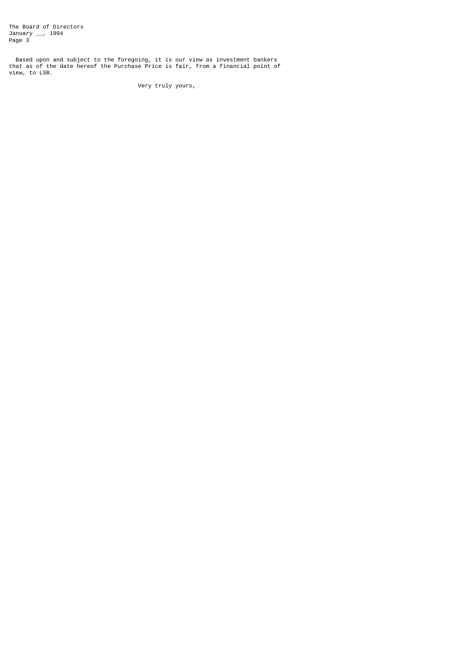The Board of Directors January \_\_, 1994 Page 3

 Based upon and subject to the foregoing, it is our view as investment bankers that as of the date hereof the Purchase Price is fair, from a financial point of view, to LSB.

Very truly yours,